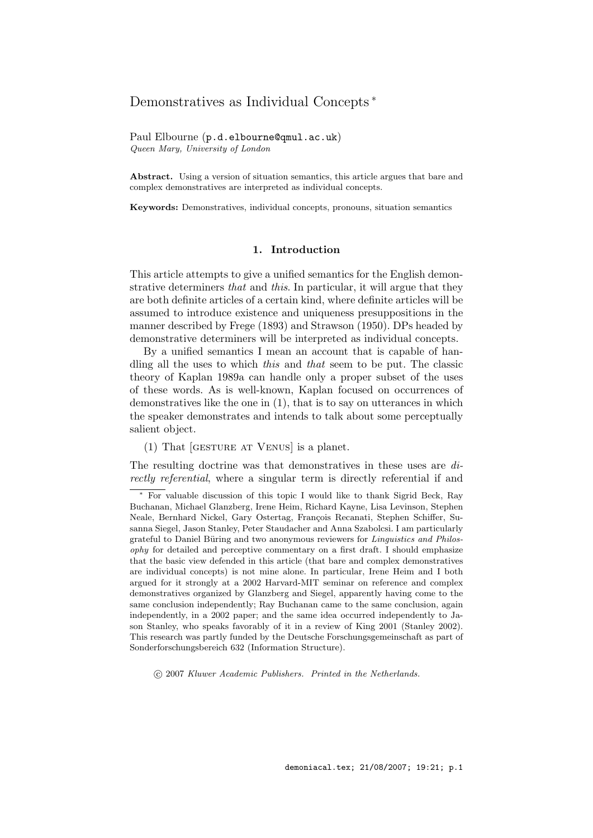# Demonstratives as Individual Concepts <sup>∗</sup>

Paul Elbourne (p.d.elbourne@qmul.ac.uk) Queen Mary, University of London

Abstract. Using a version of situation semantics, this article argues that bare and complex demonstratives are interpreted as individual concepts.

Keywords: Demonstratives, individual concepts, pronouns, situation semantics

# 1. Introduction

This article attempts to give a unified semantics for the English demonstrative determiners that and this. In particular, it will argue that they are both definite articles of a certain kind, where definite articles will be assumed to introduce existence and uniqueness presuppositions in the manner described by Frege (1893) and Strawson (1950). DPs headed by demonstrative determiners will be interpreted as individual concepts.

By a unified semantics I mean an account that is capable of handling all the uses to which this and that seem to be put. The classic theory of Kaplan 1989a can handle only a proper subset of the uses of these words. As is well-known, Kaplan focused on occurrences of demonstratives like the one in (1), that is to say on utterances in which the speaker demonstrates and intends to talk about some perceptually salient object.

(1) That [gesture at Venus] is a planet.

The resulting doctrine was that demonstratives in these uses are directly referential, where a singular term is directly referential if and

c 2007 Kluwer Academic Publishers. Printed in the Netherlands.

<sup>∗</sup> For valuable discussion of this topic I would like to thank Sigrid Beck, Ray Buchanan, Michael Glanzberg, Irene Heim, Richard Kayne, Lisa Levinson, Stephen Neale, Bernhard Nickel, Gary Ostertag, François Recanati, Stephen Schiffer, Susanna Siegel, Jason Stanley, Peter Staudacher and Anna Szabolcsi. I am particularly grateful to Daniel Büring and two anonymous reviewers for *Linguistics and Philos*ophy for detailed and perceptive commentary on a first draft. I should emphasize that the basic view defended in this article (that bare and complex demonstratives are individual concepts) is not mine alone. In particular, Irene Heim and I both argued for it strongly at a 2002 Harvard-MIT seminar on reference and complex demonstratives organized by Glanzberg and Siegel, apparently having come to the same conclusion independently; Ray Buchanan came to the same conclusion, again independently, in a 2002 paper; and the same idea occurred independently to Jason Stanley, who speaks favorably of it in a review of King 2001 (Stanley 2002). This research was partly funded by the Deutsche Forschungsgemeinschaft as part of Sonderforschungsbereich 632 (Information Structure).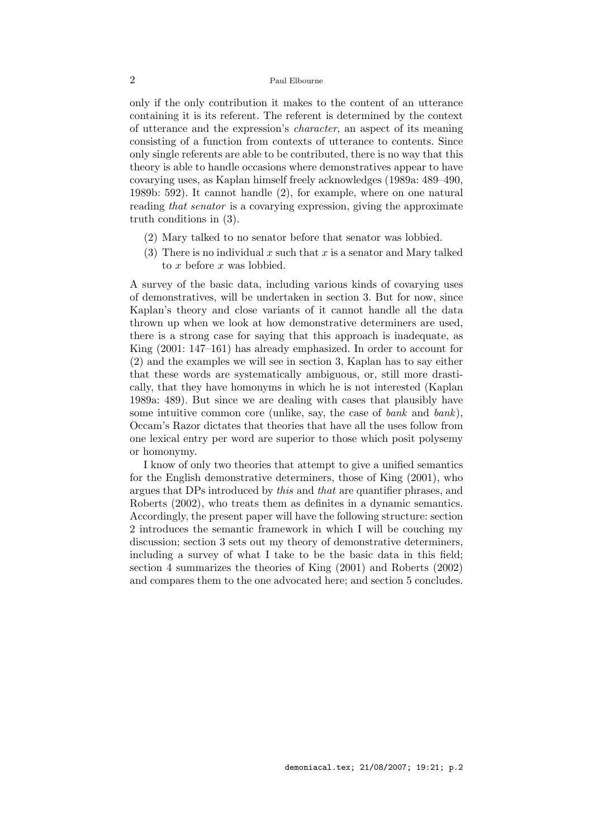only if the only contribution it makes to the content of an utterance containing it is its referent. The referent is determined by the context of utterance and the expression's character, an aspect of its meaning consisting of a function from contexts of utterance to contents. Since only single referents are able to be contributed, there is no way that this theory is able to handle occasions where demonstratives appear to have covarying uses, as Kaplan himself freely acknowledges (1989a: 489–490, 1989b: 592). It cannot handle (2), for example, where on one natural reading that senator is a covarying expression, giving the approximate truth conditions in (3).

- (2) Mary talked to no senator before that senator was lobbied.
- (3) There is no individual x such that x is a senator and Mary talked to x before x was lobbied.

A survey of the basic data, including various kinds of covarying uses of demonstratives, will be undertaken in section 3. But for now, since Kaplan's theory and close variants of it cannot handle all the data thrown up when we look at how demonstrative determiners are used, there is a strong case for saying that this approach is inadequate, as King (2001: 147–161) has already emphasized. In order to account for (2) and the examples we will see in section 3, Kaplan has to say either that these words are systematically ambiguous, or, still more drastically, that they have homonyms in which he is not interested (Kaplan 1989a: 489). But since we are dealing with cases that plausibly have some intuitive common core (unlike, say, the case of bank and bank). Occam's Razor dictates that theories that have all the uses follow from one lexical entry per word are superior to those which posit polysemy or homonymy.

I know of only two theories that attempt to give a unified semantics for the English demonstrative determiners, those of King (2001), who argues that DPs introduced by this and that are quantifier phrases, and Roberts (2002), who treats them as definites in a dynamic semantics. Accordingly, the present paper will have the following structure: section 2 introduces the semantic framework in which I will be couching my discussion; section 3 sets out my theory of demonstrative determiners, including a survey of what I take to be the basic data in this field; section 4 summarizes the theories of King (2001) and Roberts (2002) and compares them to the one advocated here; and section 5 concludes.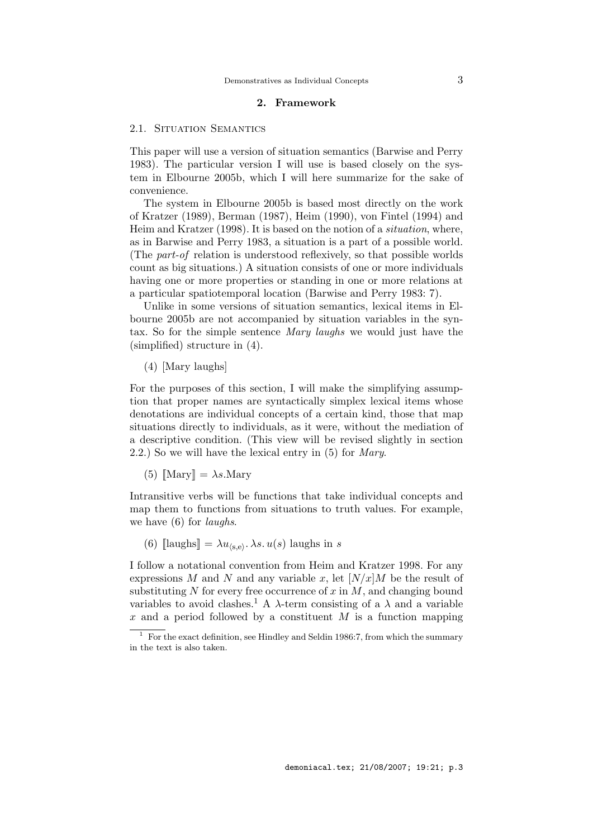# 2. Framework

## 2.1. SITUATION SEMANTICS

This paper will use a version of situation semantics (Barwise and Perry 1983). The particular version I will use is based closely on the system in Elbourne 2005b, which I will here summarize for the sake of convenience.

The system in Elbourne 2005b is based most directly on the work of Kratzer (1989), Berman (1987), Heim (1990), von Fintel (1994) and Heim and Kratzer (1998). It is based on the notion of a situation, where, as in Barwise and Perry 1983, a situation is a part of a possible world. (The part-of relation is understood reflexively, so that possible worlds count as big situations.) A situation consists of one or more individuals having one or more properties or standing in one or more relations at a particular spatiotemporal location (Barwise and Perry 1983: 7).

Unlike in some versions of situation semantics, lexical items in Elbourne 2005b are not accompanied by situation variables in the syntax. So for the simple sentence Mary laughs we would just have the (simplified) structure in (4).

(4) [Mary laughs]

For the purposes of this section, I will make the simplifying assumption that proper names are syntactically simplex lexical items whose denotations are individual concepts of a certain kind, those that map situations directly to individuals, as it were, without the mediation of a descriptive condition. (This view will be revised slightly in section 2.2.) So we will have the lexical entry in (5) for Mary.

(5)  $\llbracket \text{Mary} \rrbracket = \lambda s.\text{Mary}$ 

Intransitive verbs will be functions that take individual concepts and map them to functions from situations to truth values. For example, we have  $(6)$  for *laughs*.

(6)  $\llbracket \text{laughs} \rrbracket = \lambda u_{\langle \mathbf{s}, \mathbf{e} \rangle}$ .  $\lambda s. u(s)$  laughs in s

I follow a notational convention from Heim and Kratzer 1998. For any expressions M and N and any variable x, let  $[N/x]M$  be the result of substituting N for every free occurrence of  $x$  in  $M$ , and changing bound variables to avoid clashes.<sup>1</sup> A  $\lambda$ -term consisting of a  $\lambda$  and a variable x and a period followed by a constituent  $M$  is a function mapping

 $\frac{1}{1}$  For the exact definition, see Hindley and Seldin 1986:7, from which the summary in the text is also taken.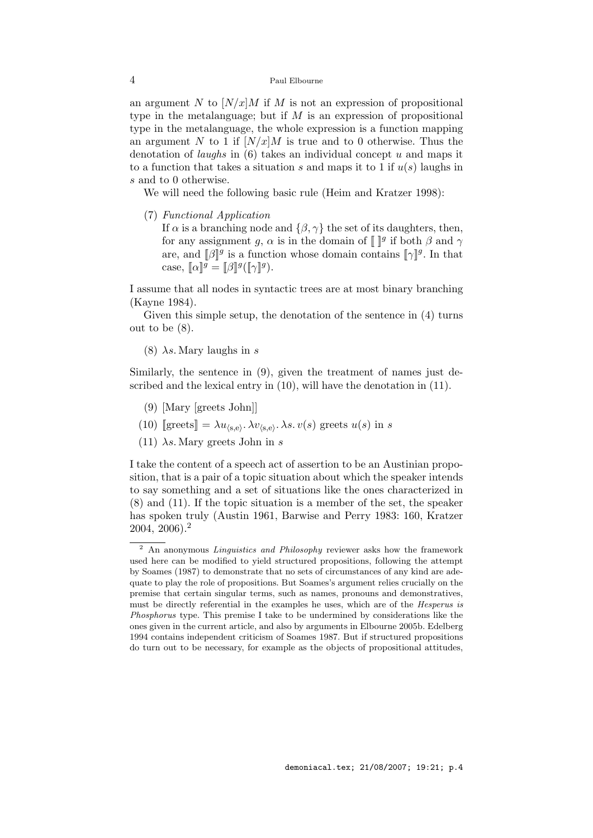an argument N to  $[N/x]M$  if M is not an expression of propositional type in the metalanguage; but if  $M$  is an expression of propositional type in the metalanguage, the whole expression is a function mapping an argument N to 1 if  $\left\lfloor N/x \right\rfloor M$  is true and to 0 otherwise. Thus the denotation of *laughs* in  $(6)$  takes an individual concept u and maps it to a function that takes a situation s and maps it to 1 if  $u(s)$  laughs in s and to 0 otherwise.

We will need the following basic rule (Heim and Kratzer 1998):

(7) Functional Application

If  $\alpha$  is a branching node and  $\{\beta, \gamma\}$  the set of its daughters, then, for any assignment g,  $\alpha$  is in the domain of  $\llbracket \cdot \rrbracket^g$  if both  $\beta$  and  $\gamma$ are, and  $[\![\beta]\!]^g$  is a function whose domain contains  $[\![\gamma]\!]^g$ . In that case,  $\llbracket \alpha \rrbracket^g = \llbracket \beta \rrbracket^g (\llbracket \gamma \rrbracket^g).$ 

I assume that all nodes in syntactic trees are at most binary branching (Kayne 1984).

Given this simple setup, the denotation of the sentence in (4) turns out to be (8).

(8)  $\lambda s$ . Mary laughs in s

Similarly, the sentence in (9), given the treatment of names just described and the lexical entry in (10), will have the denotation in (11).

- (9) [Mary [greets John]]
- (10) [greets] =  $\lambda u_{\langle s,e \rangle}$ .  $\lambda v_{\langle s,e \rangle}$ .  $\lambda s. v(s)$  greets  $u(s)$  in s
- (11)  $\lambda s$ . Mary greets John in s

I take the content of a speech act of assertion to be an Austinian proposition, that is a pair of a topic situation about which the speaker intends to say something and a set of situations like the ones characterized in (8) and (11). If the topic situation is a member of the set, the speaker has spoken truly (Austin 1961, Barwise and Perry 1983: 160, Kratzer 2004, 2006).<sup>2</sup>

 $\overline{2}$  An anonymous *Linguistics and Philosophy* reviewer asks how the framework used here can be modified to yield structured propositions, following the attempt by Soames (1987) to demonstrate that no sets of circumstances of any kind are adequate to play the role of propositions. But Soames's argument relies crucially on the premise that certain singular terms, such as names, pronouns and demonstratives, must be directly referential in the examples he uses, which are of the *Hesperus is* Phosphorus type. This premise I take to be undermined by considerations like the ones given in the current article, and also by arguments in Elbourne 2005b. Edelberg 1994 contains independent criticism of Soames 1987. But if structured propositions do turn out to be necessary, for example as the objects of propositional attitudes,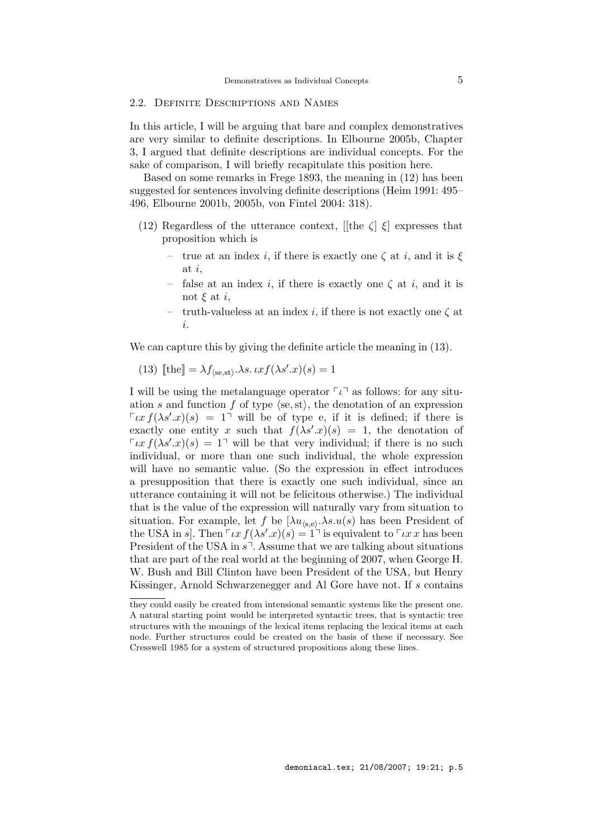## 2.2. Definite Descriptions and Names

In this article, I will be arguing that bare and complex demonstratives are very similar to definite descriptions. In Elbourne 2005b, Chapter 3, I argued that definite descriptions are individual concepts. For the sake of comparison, I will briefly recapitulate this position here.

Based on some remarks in Frege 1893, the meaning in (12) has been suggested for sentences involving definite descriptions (Heim 1991: 495– 496, Elbourne 2001b, 2005b, von Fintel 2004: 318).

- (12) Regardless of the utterance context, [[the  $\zeta$ ]  $\xi$ ] expresses that proposition which is
	- true at an index i, if there is exactly one  $\zeta$  at i, and it is  $\xi$ at i,
	- false at an index i, if there is exactly one  $\zeta$  at i, and it is not  $\xi$  at i,
	- truth-valueless at an index i, if there is not exactly one  $\zeta$  at i.

We can capture this by giving the definite article the meaning in (13).

(13) 
$$
\llbracket \text{the} \rrbracket = \lambda f_{\langle \text{se}, \text{st} \rangle} \cdot \lambda s. \, \iota x f(\lambda s' . x)(s) = 1
$$

I will be using the metalanguage operator  $\lceil \iota \rceil$  as follows: for any situation s and function f of type  $\langle se, st \rangle$ , the denotation of an expression  $\int \iota x f(\lambda s' .x)(s) = 1$  will be of type e, if it is defined; if there is exactly one entity x such that  $f(\lambda s' \cdot x)(s) = 1$ , the denotation of  $\int \iota x f(\lambda s' \cdot x)(s) = 1$  will be that very individual; if there is no such individual, or more than one such individual, the whole expression will have no semantic value. (So the expression in effect introduces a presupposition that there is exactly one such individual, since an utterance containing it will not be felicitous otherwise.) The individual that is the value of the expression will naturally vary from situation to situation. For example, let f be  $\left(\lambda u_{(s,e)}, \lambda s. u(s)\right)$  has been President of the USA in s. Then  $\lceil \iota x f(\lambda s'.x)(s) \rceil$  is equivalent to  $\lceil \iota x x \rceil$  has been President of the USA in  $s^7$ . Assume that we are talking about situations that are part of the real world at the beginning of 2007, when George H. W. Bush and Bill Clinton have been President of the USA, but Henry Kissinger, Arnold Schwarzenegger and Al Gore have not. If s contains

they could easily be created from intensional semantic systems like the present one. A natural starting point would be interpreted syntactic trees, that is syntactic tree structures with the meanings of the lexical items replacing the lexical items at each node. Further structures could be created on the basis of these if necessary. See Cresswell 1985 for a system of structured propositions along these lines.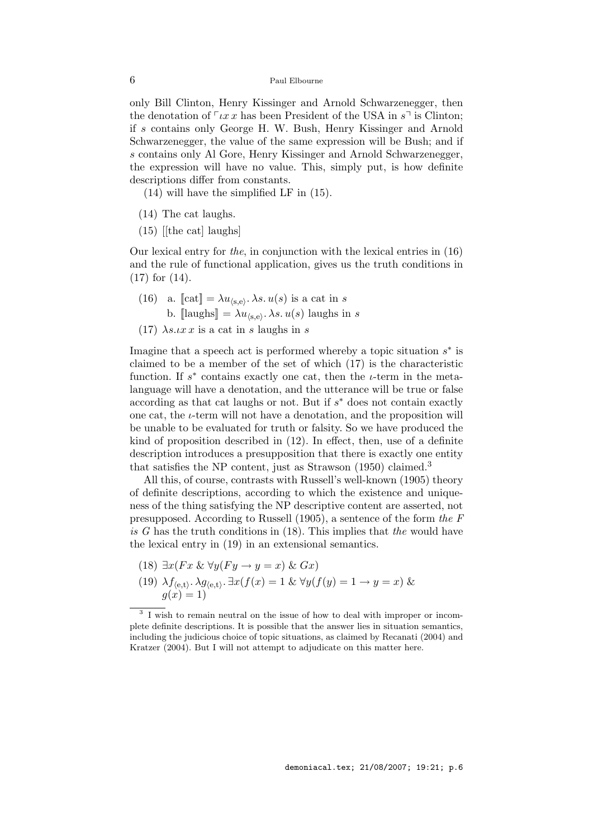only Bill Clinton, Henry Kissinger and Arnold Schwarzenegger, then the denotation of  $\lceil \iota x \rceil x$  has been President of the USA in  $s \rceil$  is Clinton; if s contains only George H. W. Bush, Henry Kissinger and Arnold Schwarzenegger, the value of the same expression will be Bush; and if s contains only Al Gore, Henry Kissinger and Arnold Schwarzenegger, the expression will have no value. This, simply put, is how definite descriptions differ from constants.

(14) will have the simplified LF in (15).

- (14) The cat laughs.
- $(15)$  [[the cat] laughs]

Our lexical entry for the, in conjunction with the lexical entries in (16) and the rule of functional application, gives us the truth conditions in (17) for (14).

- (16) a.  $[\text{cat}] = \lambda u_{\langle s,e \rangle}$ .  $\lambda s. u(s)$  is a cat in s b.  $[\text{laughs}] = \lambda u_{\langle s,e \rangle}$ .  $\lambda s. u(s)$  laughs in s
- (17)  $\lambda s \cdot \iota x \cdot x$  is a cat in s laughs in s

Imagine that a speech act is performed whereby a topic situation  $s^*$  is claimed to be a member of the set of which (17) is the characteristic function. If  $s^*$  contains exactly one cat, then the  $i$ -term in the metalanguage will have a denotation, and the utterance will be true or false according as that cat laughs or not. But if  $s^*$  does not contain exactly one cat, the  $i$ -term will not have a denotation, and the proposition will be unable to be evaluated for truth or falsity. So we have produced the kind of proposition described in (12). In effect, then, use of a definite description introduces a presupposition that there is exactly one entity that satisfies the NP content, just as Strawson  $(1950)$  claimed.<sup>3</sup>

All this, of course, contrasts with Russell's well-known (1905) theory of definite descriptions, according to which the existence and uniqueness of the thing satisfying the NP descriptive content are asserted, not presupposed. According to Russell (1905), a sentence of the form the F is G has the truth conditions in  $(18)$ . This implies that the would have the lexical entry in (19) in an extensional semantics.

- (18)  $\exists x (Fx \& \forall y (Fy \rightarrow y = x) \& Gx)$
- (19)  $\lambda f_{\langle e,t \rangle}$ .  $\lambda g_{\langle e,t \rangle}$ .  $\exists x(f(x) = 1 \& \forall y(f(y) = 1 \rightarrow y = x) \&$  $g(x) = 1$

<sup>&</sup>lt;sup>3</sup> I wish to remain neutral on the issue of how to deal with improper or incomplete definite descriptions. It is possible that the answer lies in situation semantics, including the judicious choice of topic situations, as claimed by Recanati (2004) and Kratzer (2004). But I will not attempt to adjudicate on this matter here.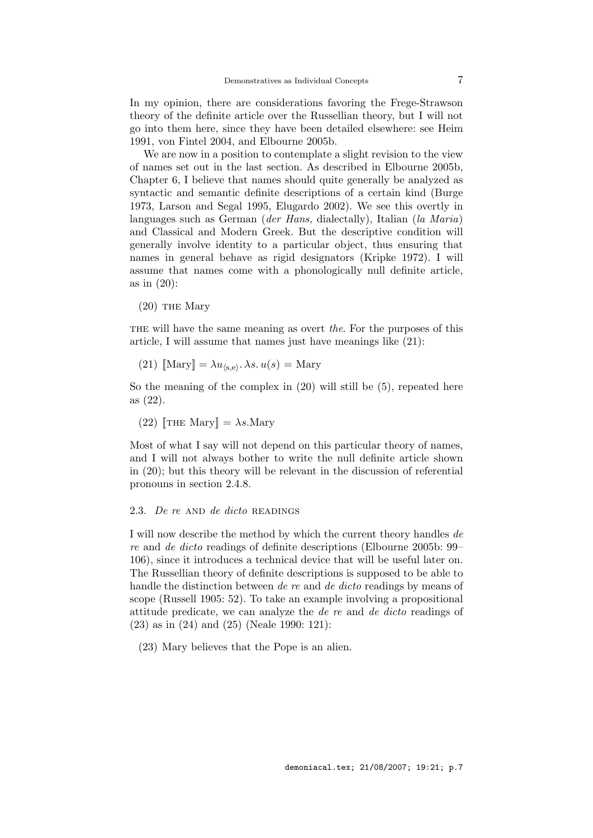In my opinion, there are considerations favoring the Frege-Strawson theory of the definite article over the Russellian theory, but I will not go into them here, since they have been detailed elsewhere: see Heim 1991, von Fintel 2004, and Elbourne 2005b.

We are now in a position to contemplate a slight revision to the view of names set out in the last section. As described in Elbourne 2005b, Chapter 6, I believe that names should quite generally be analyzed as syntactic and semantic definite descriptions of a certain kind (Burge 1973, Larson and Segal 1995, Elugardo 2002). We see this overtly in languages such as German (der Hans, dialectally), Italian (la Maria) and Classical and Modern Greek. But the descriptive condition will generally involve identity to a particular object, thus ensuring that names in general behave as rigid designators (Kripke 1972). I will assume that names come with a phonologically null definite article, as in (20):

 $(20)$  THE Mary

THE will have the same meaning as overt the. For the purposes of this article, I will assume that names just have meanings like (21):

(21) 
$$
\llbracket \text{Mary} \rrbracket = \lambda u_{\langle s, e \rangle} \cdot \lambda s \cdot u(s) = \text{Mary}
$$

So the meaning of the complex in (20) will still be (5), repeated here as (22).

(22)  $\left[\text{THE Mary}\right] = \lambda s.\text{Mary}$ 

Most of what I say will not depend on this particular theory of names, and I will not always bother to write the null definite article shown in (20); but this theory will be relevant in the discussion of referential pronouns in section 2.4.8.

#### 2.3. De re AND de dicto READINGS

I will now describe the method by which the current theory handles de re and de dicto readings of definite descriptions (Elbourne 2005b: 99– 106), since it introduces a technical device that will be useful later on. The Russellian theory of definite descriptions is supposed to be able to handle the distinction between de re and de dicto readings by means of scope (Russell 1905: 52). To take an example involving a propositional attitude predicate, we can analyze the de re and de dicto readings of (23) as in (24) and (25) (Neale 1990: 121):

(23) Mary believes that the Pope is an alien.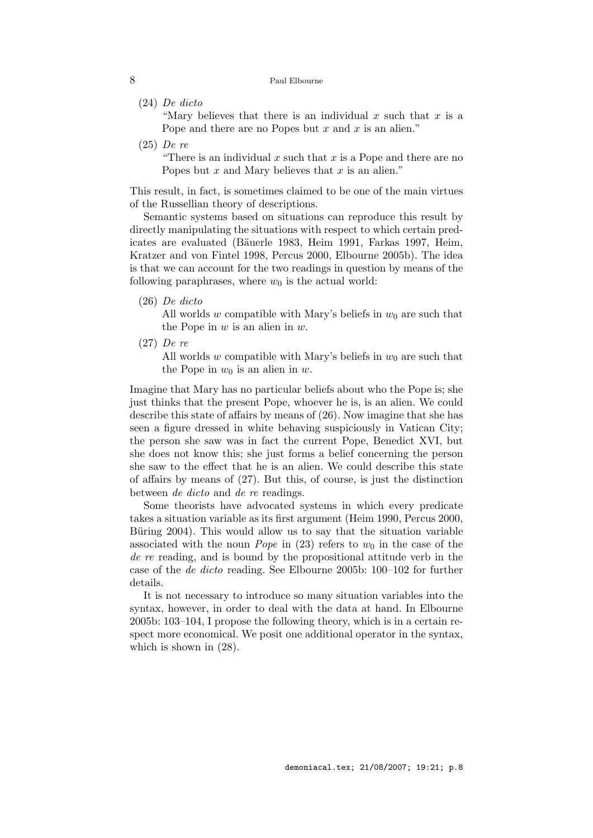(24) De dicto

"Mary believes that there is an individual  $x$  such that  $x$  is a Pope and there are no Popes but  $x$  and  $x$  is an alien."

(25) De re

"There is an individual  $x$  such that  $x$  is a Pope and there are no Popes but  $x$  and Mary believes that  $x$  is an alien."

This result, in fact, is sometimes claimed to be one of the main virtues of the Russellian theory of descriptions.

Semantic systems based on situations can reproduce this result by directly manipulating the situations with respect to which certain predicates are evaluated (Bäuerle 1983, Heim 1991, Farkas 1997, Heim, Kratzer and von Fintel 1998, Percus 2000, Elbourne 2005b). The idea is that we can account for the two readings in question by means of the following paraphrases, where  $w_0$  is the actual world:

(26) De dicto

All worlds w compatible with Mary's beliefs in  $w_0$  are such that the Pope in  $w$  is an alien in  $w$ .

(27) De re

All worlds w compatible with Mary's beliefs in  $w_0$  are such that the Pope in  $w_0$  is an alien in w.

Imagine that Mary has no particular beliefs about who the Pope is; she just thinks that the present Pope, whoever he is, is an alien. We could describe this state of affairs by means of (26). Now imagine that she has seen a figure dressed in white behaving suspiciously in Vatican City; the person she saw was in fact the current Pope, Benedict XVI, but she does not know this; she just forms a belief concerning the person she saw to the effect that he is an alien. We could describe this state of affairs by means of (27). But this, of course, is just the distinction between de dicto and de re readings.

Some theorists have advocated systems in which every predicate takes a situation variable as its first argument (Heim 1990, Percus 2000, Büring 2004). This would allow us to say that the situation variable associated with the noun *Pope* in (23) refers to  $w_0$  in the case of the de re reading, and is bound by the propositional attitude verb in the case of the de dicto reading. See Elbourne 2005b: 100–102 for further details.

It is not necessary to introduce so many situation variables into the syntax, however, in order to deal with the data at hand. In Elbourne 2005b: 103–104, I propose the following theory, which is in a certain respect more economical. We posit one additional operator in the syntax, which is shown in (28).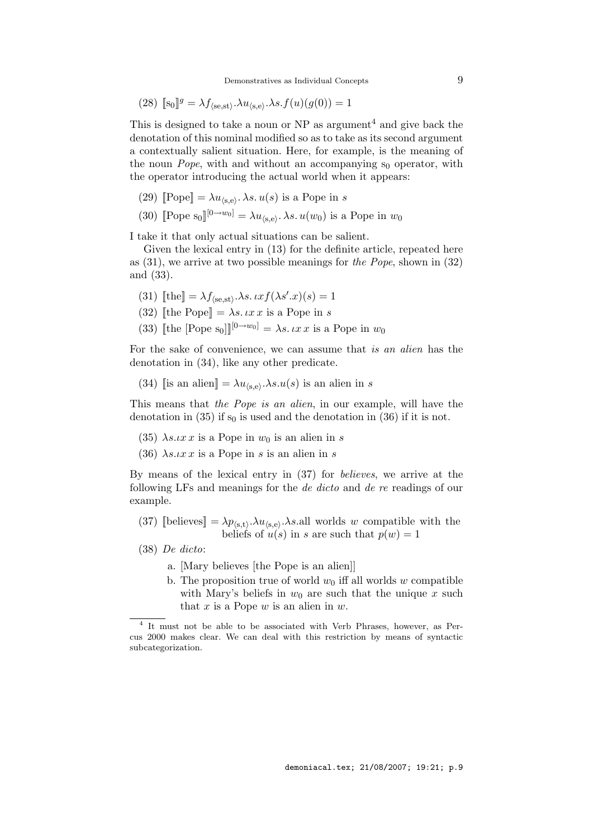(28) 
$$
[\![s_0]\!]^g = \lambda f_{\langle se, st \rangle} \cdot \lambda u_{\langle s, e \rangle} \cdot \lambda s \cdot f(u)(g(0)) = 1
$$

This is designed to take a noun or  $NP$  as argument<sup>4</sup> and give back the denotation of this nominal modified so as to take as its second argument a contextually salient situation. Here, for example, is the meaning of the noun *Pope*, with and without an accompanying  $s_0$  operator, with the operator introducing the actual world when it appears:

(29) 
$$
[\text{Pope}] = \lambda u_{\langle s, e \rangle} \cdot \lambda s u(s)
$$
 is a Pope in s

(30) [Pope s<sub>0</sub>]<sup>[0→w<sub>0</sub>] =  $\lambda u_{\langle s,e \rangle}$ .  $\lambda s. u(w_0)$  is a Pope in  $w_0$ </sup>

I take it that only actual situations can be salient.

Given the lexical entry in (13) for the definite article, repeated here as  $(31)$ , we arrive at two possible meanings for the Pope, shown in  $(32)$ and (33).

- (31)  $[\![\text{the}]\!] = \lambda f_{\langle \text{se}, \text{st} \rangle} \cdot \lambda s \cdot \iota x f(\lambda s' \cdot x)(s) = 1$
- (32) [the Pope] =  $\lambda s. \iota x \iota x$  is a Pope in s
- (33) [the [Pope s<sub>0</sub>]]<sup>[0→w<sub>0</sub>] =  $\lambda s. \iota x \iota x$  is a Pope in  $w_0$ </sup>

For the sake of convenience, we can assume that is an alien has the denotation in (34), like any other predicate.

(34) [is an alien] =  $\lambda u_{\langle s,e \rangle} \cdot \lambda s. u(s)$  is an alien in s

This means that the Pope is an alien, in our example, will have the denotation in (35) if  $s_0$  is used and the denotation in (36) if it is not.

- (35)  $\lambda s \iota x \iota x$  is a Pope in  $w_0$  is an alien in s
- (36)  $\lambda s \cdot \iota x \cdot x$  is a Pope in s is an alien in s

By means of the lexical entry in (37) for believes, we arrive at the following LFs and meanings for the de dicto and de re readings of our example.

- (37) [believes]  $= \lambda p_{\langle s,t \rangle} \cdot \lambda u_{\langle s,e \rangle} \cdot \lambda s$  all worlds w compatible with the beliefs of  $u(s)$  in s are such that  $p(w) = 1$
- (38) De dicto:
	- a. [Mary believes [the Pope is an alien]]
	- b. The proposition true of world  $w_0$  iff all worlds w compatible with Mary's beliefs in  $w_0$  are such that the unique x such that  $x$  is a Pope  $w$  is an alien in  $w$ .

<sup>&</sup>lt;sup>4</sup> It must not be able to be associated with Verb Phrases, however, as Percus 2000 makes clear. We can deal with this restriction by means of syntactic subcategorization.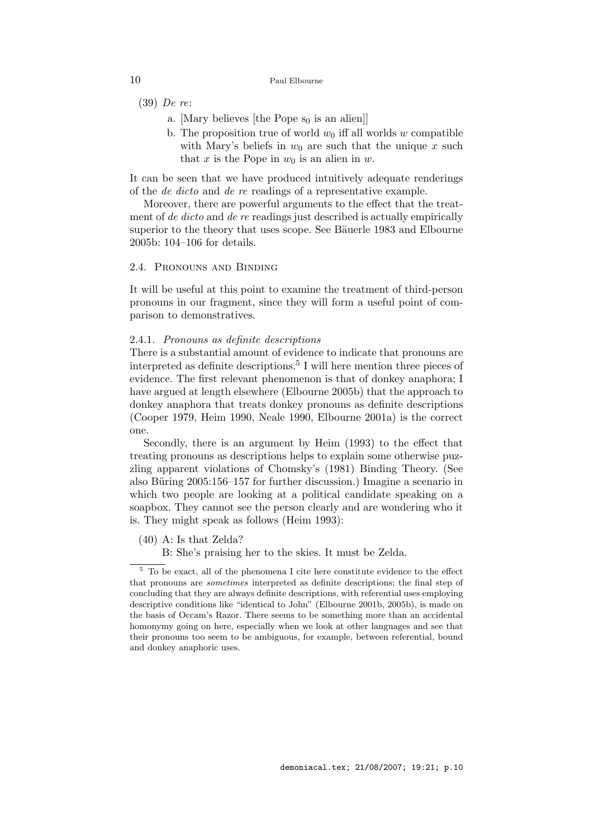- (39) De re:
	- a. [Mary believes [the Pope  $s_0$  is an alien]]
	- b. The proposition true of world  $w_0$  iff all worlds w compatible with Mary's beliefs in  $w_0$  are such that the unique x such that x is the Pope in  $w_0$  is an alien in w.

It can be seen that we have produced intuitively adequate renderings of the de dicto and de re readings of a representative example.

Moreover, there are powerful arguments to the effect that the treatment of *de dicto* and *de re* readings just described is actually empirically superior to the theory that uses scope. See Bäuerle 1983 and Elbourne 2005b: 104–106 for details.

# 2.4. Pronouns and Binding

It will be useful at this point to examine the treatment of third-person pronouns in our fragment, since they will form a useful point of comparison to demonstratives.

#### 2.4.1. Pronouns as definite descriptions

There is a substantial amount of evidence to indicate that pronouns are interpreted as definite descriptions.<sup>5</sup> I will here mention three pieces of evidence. The first relevant phenomenon is that of donkey anaphora; I have argued at length elsewhere (Elbourne 2005b) that the approach to donkey anaphora that treats donkey pronouns as definite descriptions (Cooper 1979, Heim 1990, Neale 1990, Elbourne 2001a) is the correct one.

Secondly, there is an argument by Heim (1993) to the effect that treating pronouns as descriptions helps to explain some otherwise puzzling apparent violations of Chomsky's (1981) Binding Theory. (See also Büring  $2005:156-157$  for further discussion.) Imagine a scenario in which two people are looking at a political candidate speaking on a soapbox. They cannot see the person clearly and are wondering who it is. They might speak as follows (Heim 1993):

- (40) A: Is that Zelda?
	- B: She's praising her to the skies. It must be Zelda.

 $^5\,$  To be exact, all of the phenomena I cite here constitute evidence to the effect that pronouns are sometimes interpreted as definite descriptions; the final step of concluding that they are always definite descriptions, with referential uses employing descriptive conditions like "identical to John" (Elbourne 2001b, 2005b), is made on the basis of Occam's Razor. There seems to be something more than an accidental homonymy going on here, especially when we look at other languages and see that their pronouns too seem to be ambiguous, for example, between referential, bound and donkey anaphoric uses.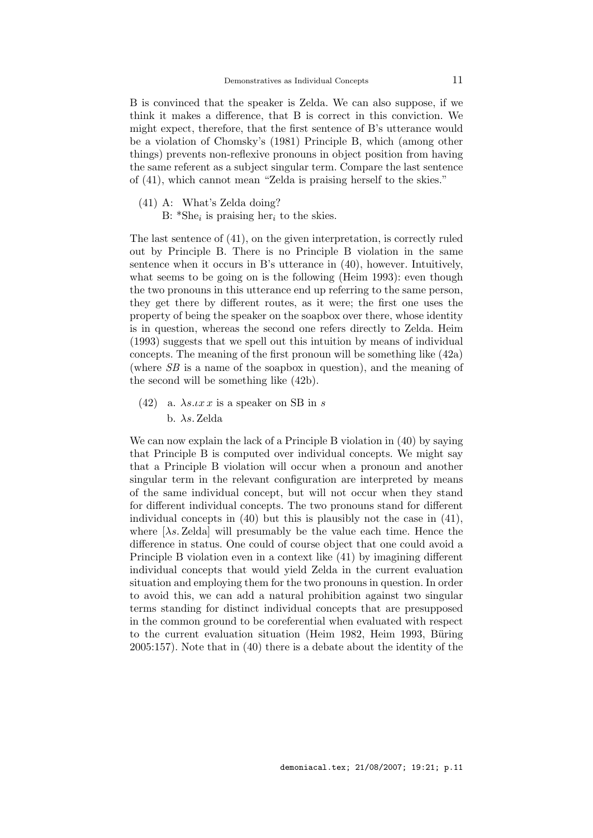B is convinced that the speaker is Zelda. We can also suppose, if we think it makes a difference, that B is correct in this conviction. We might expect, therefore, that the first sentence of B's utterance would be a violation of Chomsky's (1981) Principle B, which (among other things) prevents non-reflexive pronouns in object position from having the same referent as a subject singular term. Compare the last sentence of (41), which cannot mean "Zelda is praising herself to the skies."

- (41) A: What's Zelda doing?
	- B:  $*She_i$  is praising her<sub>i</sub> to the skies.

The last sentence of (41), on the given interpretation, is correctly ruled out by Principle B. There is no Principle B violation in the same sentence when it occurs in B's utterance in (40), however. Intuitively, what seems to be going on is the following (Heim 1993): even though the two pronouns in this utterance end up referring to the same person, they get there by different routes, as it were; the first one uses the property of being the speaker on the soapbox over there, whose identity is in question, whereas the second one refers directly to Zelda. Heim (1993) suggests that we spell out this intuition by means of individual concepts. The meaning of the first pronoun will be something like (42a) (where SB is a name of the soapbox in question), and the meaning of the second will be something like (42b).

(42) a.  $\lambda s \cdot \iota x \cdot x$  is a speaker on SB in s b. λs. Zelda

We can now explain the lack of a Principle B violation in (40) by saying that Principle B is computed over individual concepts. We might say that a Principle B violation will occur when a pronoun and another singular term in the relevant configuration are interpreted by means of the same individual concept, but will not occur when they stand for different individual concepts. The two pronouns stand for different individual concepts in (40) but this is plausibly not the case in (41), where  $[\lambda s. Zelda]$  will presumably be the value each time. Hence the difference in status. One could of course object that one could avoid a Principle B violation even in a context like (41) by imagining different individual concepts that would yield Zelda in the current evaluation situation and employing them for the two pronouns in question. In order to avoid this, we can add a natural prohibition against two singular terms standing for distinct individual concepts that are presupposed in the common ground to be coreferential when evaluated with respect to the current evaluation situation (Heim 1982, Heim 1993, Büring 2005:157). Note that in (40) there is a debate about the identity of the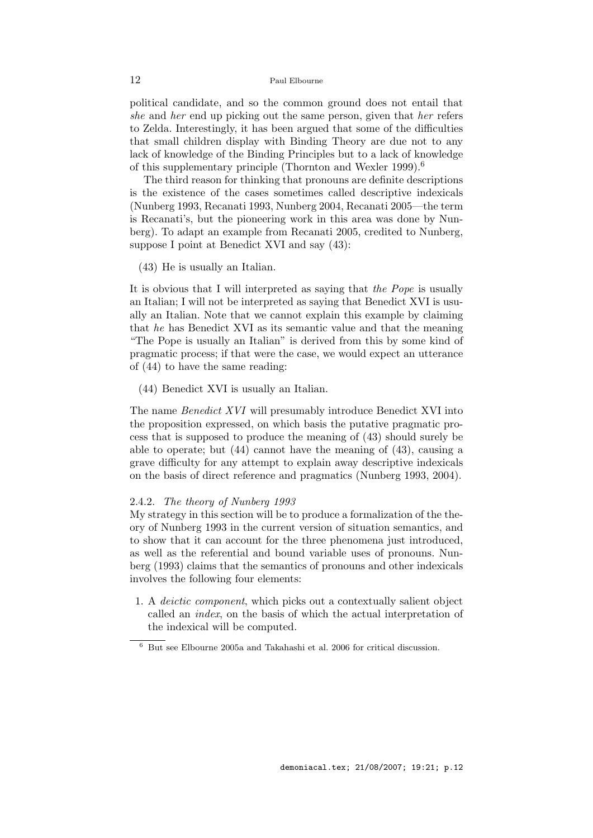political candidate, and so the common ground does not entail that she and her end up picking out the same person, given that her refers to Zelda. Interestingly, it has been argued that some of the difficulties that small children display with Binding Theory are due not to any lack of knowledge of the Binding Principles but to a lack of knowledge of this supplementary principle (Thornton and Wexler 1999).<sup>6</sup>

The third reason for thinking that pronouns are definite descriptions is the existence of the cases sometimes called descriptive indexicals (Nunberg 1993, Recanati 1993, Nunberg 2004, Recanati 2005—the term is Recanati's, but the pioneering work in this area was done by Nunberg). To adapt an example from Recanati 2005, credited to Nunberg, suppose I point at Benedict XVI and say (43):

(43) He is usually an Italian.

It is obvious that I will interpreted as saying that the Pope is usually an Italian; I will not be interpreted as saying that Benedict XVI is usually an Italian. Note that we cannot explain this example by claiming that he has Benedict XVI as its semantic value and that the meaning "The Pope is usually an Italian" is derived from this by some kind of pragmatic process; if that were the case, we would expect an utterance of (44) to have the same reading:

(44) Benedict XVI is usually an Italian.

The name Benedict XVI will presumably introduce Benedict XVI into the proposition expressed, on which basis the putative pragmatic process that is supposed to produce the meaning of (43) should surely be able to operate; but (44) cannot have the meaning of (43), causing a grave difficulty for any attempt to explain away descriptive indexicals on the basis of direct reference and pragmatics (Nunberg 1993, 2004).

#### 2.4.2. The theory of Nunberg 1993

My strategy in this section will be to produce a formalization of the theory of Nunberg 1993 in the current version of situation semantics, and to show that it can account for the three phenomena just introduced, as well as the referential and bound variable uses of pronouns. Nunberg (1993) claims that the semantics of pronouns and other indexicals involves the following four elements:

1. A deictic component, which picks out a contextually salient object called an index, on the basis of which the actual interpretation of the indexical will be computed.

 $^6\,$  But see Elbourne 2005a and Takahashi et al. 2006 for critical discussion.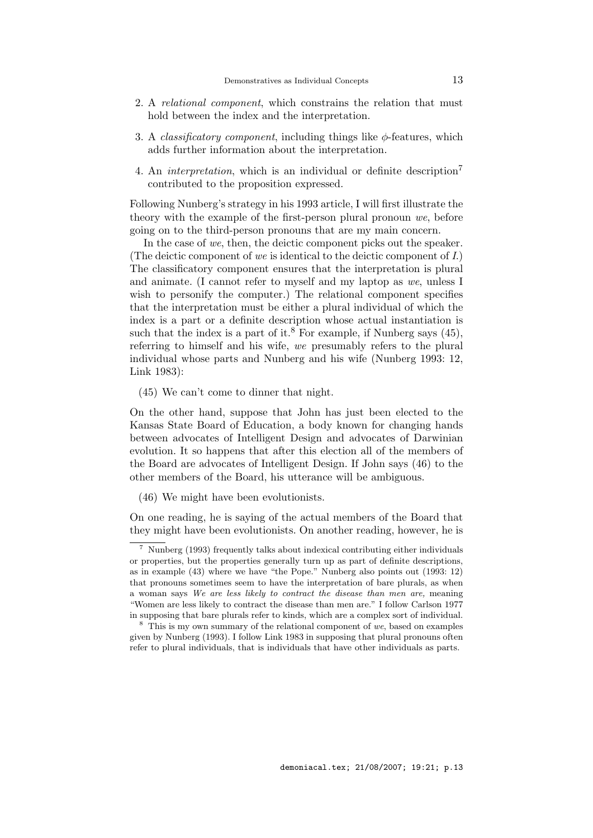- 2. A relational component, which constrains the relation that must hold between the index and the interpretation.
- 3. A *classificatory component*, including things like  $\phi$ -features, which adds further information about the interpretation.
- 4. An *interpretation*, which is an individual or definite description<sup>7</sup> contributed to the proposition expressed.

Following Nunberg's strategy in his 1993 article, I will first illustrate the theory with the example of the first-person plural pronoun we, before going on to the third-person pronouns that are my main concern.

In the case of we, then, the deictic component picks out the speaker. (The deictic component of we is identical to the deictic component of  $I$ .) The classificatory component ensures that the interpretation is plural and animate. (I cannot refer to myself and my laptop as we, unless I wish to personify the computer.) The relational component specifies that the interpretation must be either a plural individual of which the index is a part or a definite description whose actual instantiation is such that the index is a part of it.<sup>8</sup> For example, if Nunberg says  $(45)$ , referring to himself and his wife, we presumably refers to the plural individual whose parts and Nunberg and his wife (Nunberg 1993: 12, Link 1983):

(45) We can't come to dinner that night.

On the other hand, suppose that John has just been elected to the Kansas State Board of Education, a body known for changing hands between advocates of Intelligent Design and advocates of Darwinian evolution. It so happens that after this election all of the members of the Board are advocates of Intelligent Design. If John says (46) to the other members of the Board, his utterance will be ambiguous.

(46) We might have been evolutionists.

On one reading, he is saying of the actual members of the Board that they might have been evolutionists. On another reading, however, he is

<sup>7</sup> Nunberg (1993) frequently talks about indexical contributing either individuals or properties, but the properties generally turn up as part of definite descriptions, as in example (43) where we have "the Pope." Nunberg also points out (1993: 12) that pronouns sometimes seem to have the interpretation of bare plurals, as when a woman says We are less likely to contract the disease than men are, meaning "Women are less likely to contract the disease than men are." I follow Carlson 1977 in supposing that bare plurals refer to kinds, which are a complex sort of individual.

<sup>8</sup> This is my own summary of the relational component of we, based on examples given by Nunberg (1993). I follow Link 1983 in supposing that plural pronouns often refer to plural individuals, that is individuals that have other individuals as parts.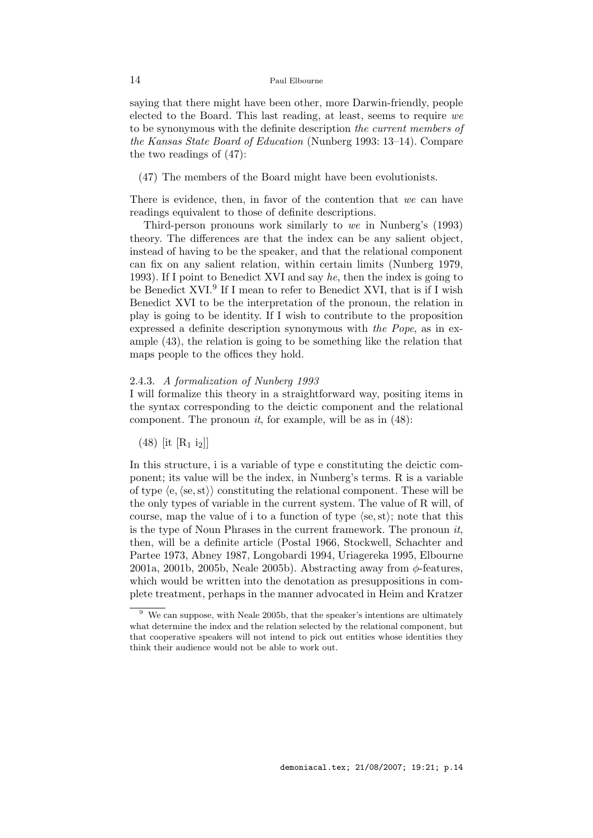saying that there might have been other, more Darwin-friendly, people elected to the Board. This last reading, at least, seems to require we to be synonymous with the definite description the current members of the Kansas State Board of Education (Nunberg 1993: 13–14). Compare the two readings of (47):

(47) The members of the Board might have been evolutionists.

There is evidence, then, in favor of the contention that we can have readings equivalent to those of definite descriptions.

Third-person pronouns work similarly to we in Nunberg's (1993) theory. The differences are that the index can be any salient object, instead of having to be the speaker, and that the relational component can fix on any salient relation, within certain limits (Nunberg 1979, 1993). If I point to Benedict XVI and say he, then the index is going to be Benedict XVI.<sup>9</sup> If I mean to refer to Benedict XVI, that is if I wish Benedict XVI to be the interpretation of the pronoun, the relation in play is going to be identity. If I wish to contribute to the proposition expressed a definite description synonymous with the Pope, as in example (43), the relation is going to be something like the relation that maps people to the offices they hold.

## 2.4.3. A formalization of Nunberg 1993

I will formalize this theory in a straightforward way, positing items in the syntax corresponding to the deictic component and the relational component. The pronoun  $it$ , for example, will be as in  $(48)$ :

 $(48)$  [it [R<sub>1</sub> i<sub>2</sub>]]

In this structure, i is a variable of type e constituting the deictic component; its value will be the index, in Nunberg's terms. R is a variable of type  $\langle e, \langle se, st \rangle \rangle$  constituting the relational component. These will be the only types of variable in the current system. The value of R will, of course, map the value of i to a function of type  $\langle se, st \rangle$ ; note that this is the type of Noun Phrases in the current framework. The pronoun  $it$ , then, will be a definite article (Postal 1966, Stockwell, Schachter and Partee 1973, Abney 1987, Longobardi 1994, Uriagereka 1995, Elbourne 2001a, 2001b, 2005b, Neale 2005b). Abstracting away from  $\phi$ -features, which would be written into the denotation as presuppositions in complete treatment, perhaps in the manner advocated in Heim and Kratzer

We can suppose, with Neale 2005b, that the speaker's intentions are ultimately what determine the index and the relation selected by the relational component, but that cooperative speakers will not intend to pick out entities whose identities they think their audience would not be able to work out.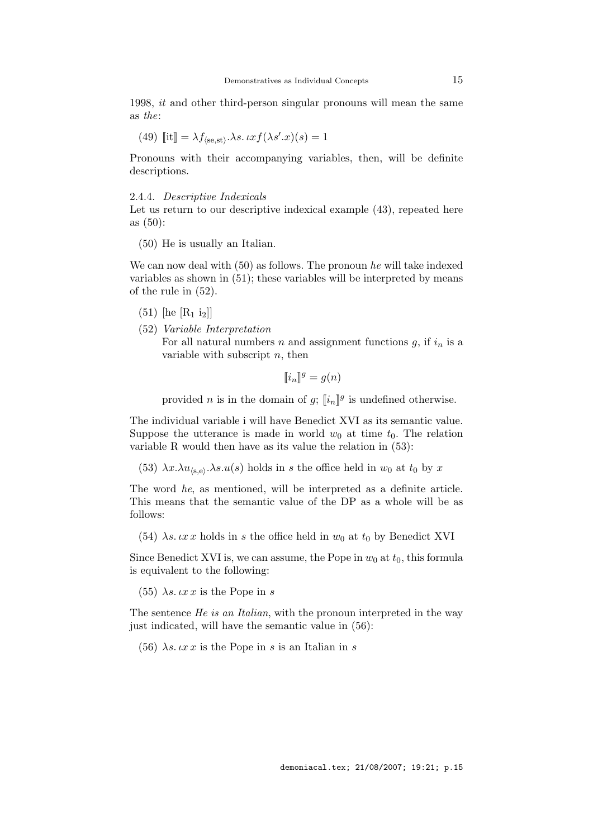1998, it and other third-person singular pronouns will mean the same as the:

(49) 
$$
[\![\text{it}]\!] = \lambda f_{\langle\text{se},\text{st}\rangle}.\lambda s.\, \iota x f(\lambda s'.x)(s) = 1
$$

Pronouns with their accompanying variables, then, will be definite descriptions.

#### 2.4.4. Descriptive Indexicals

Let us return to our descriptive indexical example  $(43)$ , repeated here as (50):

(50) He is usually an Italian.

We can now deal with (50) as follows. The pronoun he will take indexed variables as shown in (51); these variables will be interpreted by means of the rule in (52).

- $(51)$  [he [R<sub>1</sub> i<sub>2</sub>]]
- (52) Variable Interpretation For all natural numbers n and assignment functions  $g$ , if  $i_n$  is a variable with subscript  $n$ , then

$$
[\![i_n]\!]^g = g(n)
$$

provided *n* is in the domain of  $g$ ;  $\llbracket i_n \rrbracket^g$  is undefined otherwise.

The individual variable i will have Benedict XVI as its semantic value. Suppose the utterance is made in world  $w_0$  at time  $t_0$ . The relation variable R would then have as its value the relation in (53):

(53)  $\lambda x.\lambda u_{(s,e)}.\lambda s.u(s)$  holds in s the office held in  $w_0$  at  $t_0$  by x

The word he, as mentioned, will be interpreted as a definite article. This means that the semantic value of the DP as a whole will be as follows:

(54)  $\lambda s. \iota x \iota x$  holds in s the office held in  $w_0$  at  $t_0$  by Benedict XVI

Since Benedict XVI is, we can assume, the Pope in  $w_0$  at  $t_0$ , this formula is equivalent to the following:

(55)  $\lambda s. \iota x \iota x$  is the Pope in s

The sentence He is an Italian, with the pronoun interpreted in the way just indicated, will have the semantic value in (56):

(56)  $\lambda s. \iota x \iota x$  is the Pope in s is an Italian in s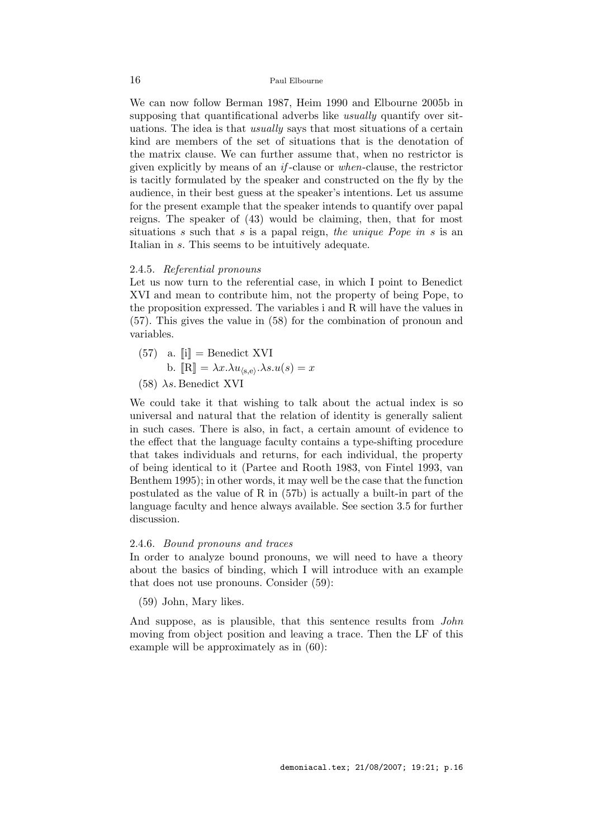We can now follow Berman 1987, Heim 1990 and Elbourne 2005b in supposing that quantificational adverbs like *usually* quantify over situations. The idea is that usually says that most situations of a certain kind are members of the set of situations that is the denotation of the matrix clause. We can further assume that, when no restrictor is given explicitly by means of an if -clause or when-clause, the restrictor is tacitly formulated by the speaker and constructed on the fly by the audience, in their best guess at the speaker's intentions. Let us assume for the present example that the speaker intends to quantify over papal reigns. The speaker of (43) would be claiming, then, that for most situations s such that s is a papal reign, the unique Pope in s is an Italian in s. This seems to be intuitively adequate.

### 2.4.5. Referential pronouns

Let us now turn to the referential case, in which I point to Benedict XVI and mean to contribute him, not the property of being Pope, to the proposition expressed. The variables i and R will have the values in (57). This gives the value in (58) for the combination of pronoun and variables.

- $(57)$  a.  $\|\mathbf{i}\| = \text{Benedict XVI}$ b.  $[\mathbb{R}] = \lambda x. \lambda u_{\langle s, e \rangle} \cdot \lambda s. u(s) = x$
- (58)  $\lambda s$ . Benedict XVI

We could take it that wishing to talk about the actual index is so universal and natural that the relation of identity is generally salient in such cases. There is also, in fact, a certain amount of evidence to the effect that the language faculty contains a type-shifting procedure that takes individuals and returns, for each individual, the property of being identical to it (Partee and Rooth 1983, von Fintel 1993, van Benthem 1995); in other words, it may well be the case that the function postulated as the value of R in (57b) is actually a built-in part of the language faculty and hence always available. See section 3.5 for further discussion.

#### 2.4.6. Bound pronouns and traces

In order to analyze bound pronouns, we will need to have a theory about the basics of binding, which I will introduce with an example that does not use pronouns. Consider (59):

(59) John, Mary likes.

And suppose, as is plausible, that this sentence results from *John* moving from object position and leaving a trace. Then the LF of this example will be approximately as in (60):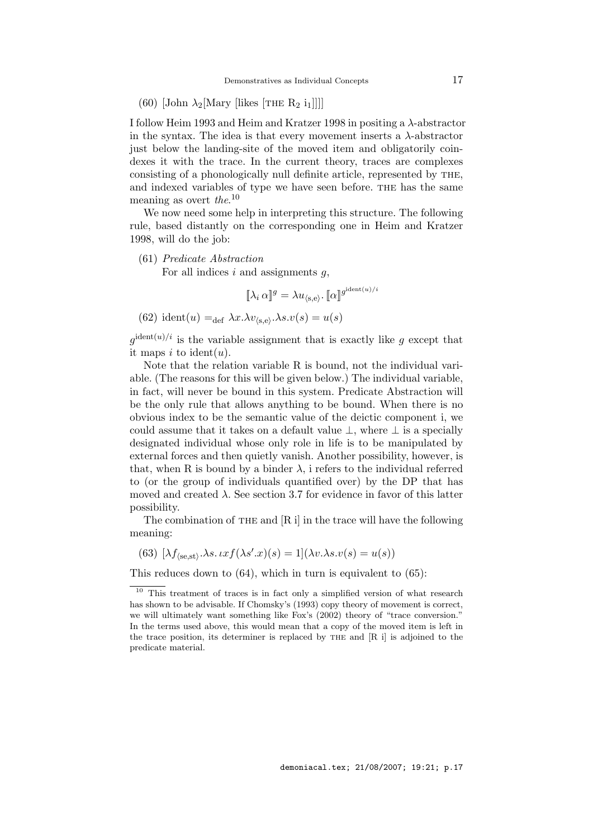(60) [John  $\lambda_2$ [Mary [likes [THE R<sub>2</sub> i<sub>1</sub>]]]]

I follow Heim 1993 and Heim and Kratzer 1998 in positing a λ-abstractor in the syntax. The idea is that every movement inserts a  $\lambda$ -abstractor just below the landing-site of the moved item and obligatorily coindexes it with the trace. In the current theory, traces are complexes consisting of a phonologically null definite article, represented by the, and indexed variables of type we have seen before. the has the same meaning as overt the.<sup>10</sup>

We now need some help in interpreting this structure. The following rule, based distantly on the corresponding one in Heim and Kratzer 1998, will do the job:

(61) Predicate Abstraction

For all indices  $i$  and assignments  $g$ ,

$$
[\![\lambda_i \, \alpha]\!]^g = \lambda u_{\langle \mathbf{s}, \mathbf{e} \rangle}. [\![\alpha]\!]^{g^{\mathrm{ident}(u)/i}}
$$

(62) 
$$
ident(u) =_{def} \lambda x. \lambda v_{(s,e)}.\lambda s. v(s) = u(s)
$$

 $g^{\text{ident}(u)/i}$  is the variable assignment that is exactly like g except that it maps i to ident(u).

Note that the relation variable R is bound, not the individual variable. (The reasons for this will be given below.) The individual variable, in fact, will never be bound in this system. Predicate Abstraction will be the only rule that allows anything to be bound. When there is no obvious index to be the semantic value of the deictic component i, we could assume that it takes on a default value  $\bot$ , where  $\bot$  is a specially designated individual whose only role in life is to be manipulated by external forces and then quietly vanish. Another possibility, however, is that, when R is bound by a binder  $\lambda$ , i refers to the individual referred to (or the group of individuals quantified over) by the DP that has moved and created  $\lambda$ . See section 3.7 for evidence in favor of this latter possibility.

The combination of THE and  $[R i]$  in the trace will have the following meaning:

(63)  $[\lambda f_{\langle s e, s t \rangle} \cdot \lambda s. \iota x f(\lambda s' \cdot x)(s) = 1](\lambda v \cdot \lambda s. v(s) = u(s))$ 

This reduces down to (64), which in turn is equivalent to (65):

<sup>&</sup>lt;sup>10</sup> This treatment of traces is in fact only a simplified version of what research has shown to be advisable. If Chomsky's (1993) copy theory of movement is correct, we will ultimately want something like Fox's (2002) theory of "trace conversion." In the terms used above, this would mean that a copy of the moved item is left in the trace position, its determiner is replaced by the and [R i] is adjoined to the predicate material.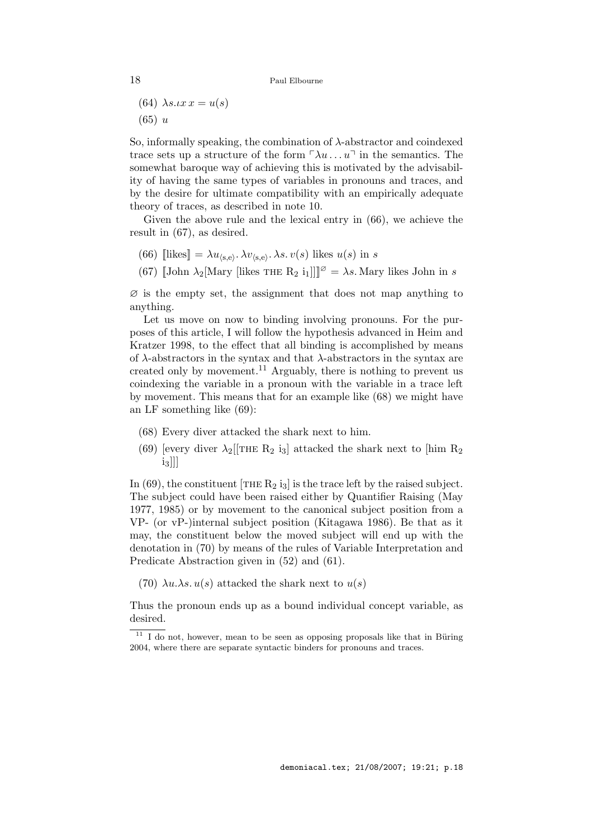(64)  $\lambda s. \iota x \, x = u(s)$ 

 $(65) u$ 

So, informally speaking, the combination of  $\lambda$ -abstractor and coindexed trace sets up a structure of the form  $\lceil \lambda u \ldots u \rceil$  in the semantics. The somewhat baroque way of achieving this is motivated by the advisability of having the same types of variables in pronouns and traces, and by the desire for ultimate compatibility with an empirically adequate theory of traces, as described in note 10.

Given the above rule and the lexical entry in (66), we achieve the result in (67), as desired.

- (66) [[likes] =  $\lambda u_{\langle s,e \rangle}$ .  $\lambda v_{\langle s,e \rangle}$ .  $\lambda s. v(s)$  likes  $u(s)$  in s
- (67)  $\llbracket$ John  $\lambda_2$ [Mary [likes THE  $R_2$  i<sub>1</sub>]] $\llbracket\emptyset \rrbracket = \lambda s$ . Mary likes John in s

 $\varnothing$  is the empty set, the assignment that does not map anything to anything.

Let us move on now to binding involving pronouns. For the purposes of this article, I will follow the hypothesis advanced in Heim and Kratzer 1998, to the effect that all binding is accomplished by means of  $\lambda$ -abstractors in the syntax and that  $\lambda$ -abstractors in the syntax are created only by movement.<sup>11</sup> Arguably, there is nothing to prevent us coindexing the variable in a pronoun with the variable in a trace left by movement. This means that for an example like (68) we might have an LF something like (69):

- (68) Every diver attacked the shark next to him.
- (69) [every diver  $\lambda_2$ [[THE R<sub>2</sub> i<sub>3</sub>] attacked the shark next to [him R<sub>2</sub>  $[i_3]]$

In (69), the constituent [THE  $R_2$  i<sub>3</sub>] is the trace left by the raised subject. The subject could have been raised either by Quantifier Raising (May 1977, 1985) or by movement to the canonical subject position from a VP- (or vP-)internal subject position (Kitagawa 1986). Be that as it may, the constituent below the moved subject will end up with the denotation in (70) by means of the rules of Variable Interpretation and Predicate Abstraction given in (52) and (61).

(70)  $\lambda u.\lambda s. u(s)$  attacked the shark next to  $u(s)$ 

Thus the pronoun ends up as a bound individual concept variable, as desired.

 $\overline{11}$  I do not, however, mean to be seen as opposing proposals like that in Büring 2004, where there are separate syntactic binders for pronouns and traces.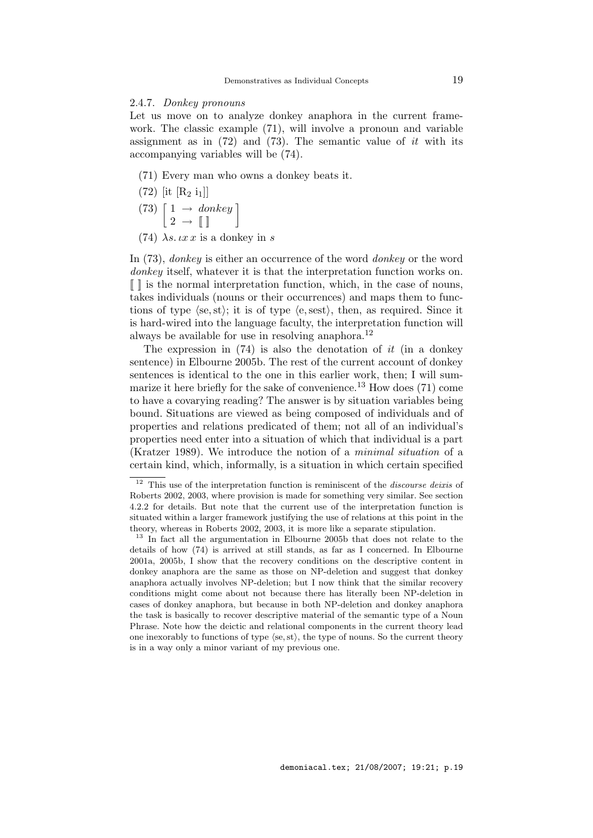# 2.4.7. Donkey pronouns

Let us move on to analyze donkey anaphora in the current framework. The classic example (71), will involve a pronoun and variable assignment as in  $(72)$  and  $(73)$ . The semantic value of it with its accompanying variables will be (74).

- (71) Every man who owns a donkey beats it.
- $(72)$  [it [R<sub>2</sub> i<sub>1</sub>]]
- $(73)$   $\begin{bmatrix} 1 \rightarrow \text{ donkey} \\ 2 \rightarrow \mathbb{I} \end{bmatrix}$
- (74)  $\lambda s$ .  $\iota x \, x$  is a donkey in s

In (73), donkey is either an occurrence of the word donkey or the word donkey itself, whatever it is that the interpretation function works on.  $\llbracket \cdot \rrbracket$  is the normal interpretation function, which, in the case of nouns, takes individuals (nouns or their occurrences) and maps them to functions of type  $\langle se, st \rangle$ ; it is of type  $\langle e, sest \rangle$ , then, as required. Since it is hard-wired into the language faculty, the interpretation function will always be available for use in resolving anaphora.<sup>12</sup>

The expression in  $(74)$  is also the denotation of it (in a donkey sentence) in Elbourne 2005b. The rest of the current account of donkey sentences is identical to the one in this earlier work, then; I will summarize it here briefly for the sake of convenience.<sup>13</sup> How does  $(71)$  come to have a covarying reading? The answer is by situation variables being bound. Situations are viewed as being composed of individuals and of properties and relations predicated of them; not all of an individual's properties need enter into a situation of which that individual is a part (Kratzer 1989). We introduce the notion of a minimal situation of a certain kind, which, informally, is a situation in which certain specified

 $12$  This use of the interpretation function is reminiscent of the *discourse deixis* of Roberts 2002, 2003, where provision is made for something very similar. See section 4.2.2 for details. But note that the current use of the interpretation function is situated within a larger framework justifying the use of relations at this point in the theory, whereas in Roberts 2002, 2003, it is more like a separate stipulation.

<sup>&</sup>lt;sup>13</sup> In fact all the argumentation in Elbourne 2005b that does not relate to the details of how (74) is arrived at still stands, as far as I concerned. In Elbourne 2001a, 2005b, I show that the recovery conditions on the descriptive content in donkey anaphora are the same as those on NP-deletion and suggest that donkey anaphora actually involves NP-deletion; but I now think that the similar recovery conditions might come about not because there has literally been NP-deletion in cases of donkey anaphora, but because in both NP-deletion and donkey anaphora the task is basically to recover descriptive material of the semantic type of a Noun Phrase. Note how the deictic and relational components in the current theory lead one inexorably to functions of type  $\langle se, st \rangle$ , the type of nouns. So the current theory is in a way only a minor variant of my previous one.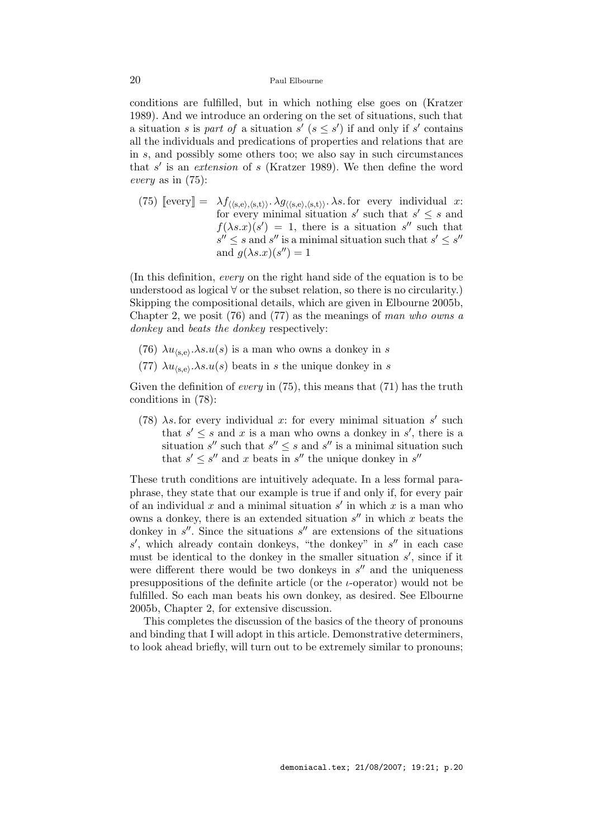conditions are fulfilled, but in which nothing else goes on (Kratzer 1989). And we introduce an ordering on the set of situations, such that a situation s is part of a situation s'  $(s \leq s')$  if and only if s' contains all the individuals and predications of properties and relations that are in s, and possibly some others too; we also say in such circumstances that  $s'$  is an extension of s (Kratzer 1989). We then define the word every as in (75):

(75)  $[\text{every}] = \lambda f_{\langle \langle s,e \rangle, \langle s,t \rangle \rangle} \cdot \lambda g_{\langle \langle s,e \rangle, \langle s,t \rangle \rangle} \cdot \lambda s$  for every individual x: for every minimal situation s' such that  $s' \leq s$  and  $f(\lambda s.x)(s') = 1$ , there is a situation s'' such that  $s'' \leq s$  and  $s''$  is a minimal situation such that  $s' \leq s''$ and  $g(\lambda s.x)(s'') = 1$ 

(In this definition, every on the right hand side of the equation is to be understood as logical ∀ or the subset relation, so there is no circularity.) Skipping the compositional details, which are given in Elbourne 2005b, Chapter 2, we posit  $(76)$  and  $(77)$  as the meanings of man who owns a donkey and beats the donkey respectively:

- (76)  $\lambda u_{\langle s,e\rangle} \cdot \lambda s \cdot u(s)$  is a man who owns a donkey in s
- (77)  $\lambda u_{\langle s,e\rangle} \cdot \lambda s \cdot u(s)$  beats in s the unique donkey in s

Given the definition of *every* in  $(75)$ , this means that  $(71)$  has the truth conditions in (78):

(78)  $\lambda s$  for every individual x: for every minimal situation s' such that  $s' \leq s$  and x is a man who owns a donkey in  $s'$ , there is a situation  $s''$  such that  $s'' \leq s$  and  $s''$  is a minimal situation such that  $s' \leq s''$  and x beats in  $s''$  the unique donkey in  $s''$ 

These truth conditions are intuitively adequate. In a less formal paraphrase, they state that our example is true if and only if, for every pair of an individual x and a minimal situation  $s'$  in which x is a man who owns a donkey, there is an extended situation  $s''$  in which x beats the donkey in  $s''$ . Since the situations  $s''$  are extensions of the situations  $s'$ , which already contain donkeys, "the donkey" in  $s''$  in each case must be identical to the donkey in the smaller situation  $s'$ , since if it were different there would be two donkeys in  $s''$  and the uniqueness presuppositions of the definite article (or the  $i$ -operator) would not be fulfilled. So each man beats his own donkey, as desired. See Elbourne 2005b, Chapter 2, for extensive discussion.

This completes the discussion of the basics of the theory of pronouns and binding that I will adopt in this article. Demonstrative determiners, to look ahead briefly, will turn out to be extremely similar to pronouns;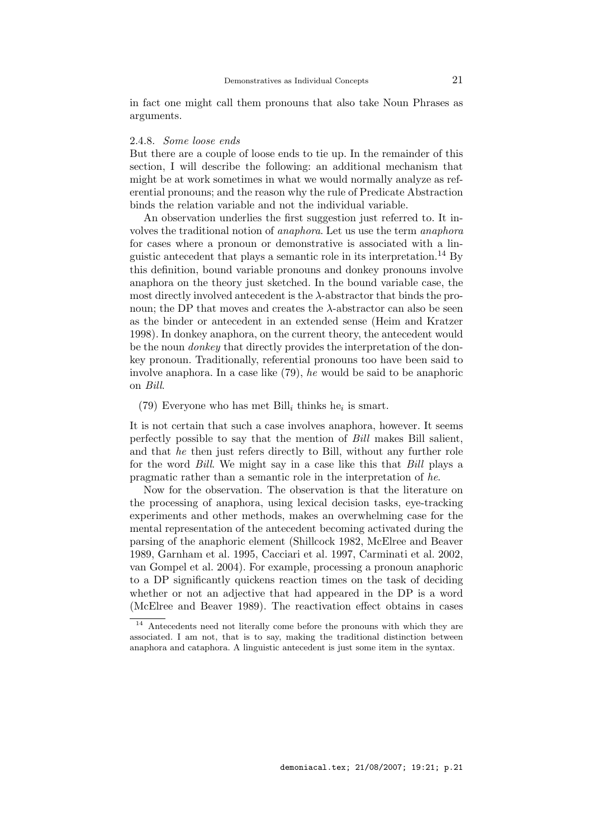in fact one might call them pronouns that also take Noun Phrases as arguments.

## 2.4.8. Some loose ends

But there are a couple of loose ends to tie up. In the remainder of this section, I will describe the following: an additional mechanism that might be at work sometimes in what we would normally analyze as referential pronouns; and the reason why the rule of Predicate Abstraction binds the relation variable and not the individual variable.

An observation underlies the first suggestion just referred to. It involves the traditional notion of anaphora. Let us use the term anaphora for cases where a pronoun or demonstrative is associated with a linguistic antecedent that plays a semantic role in its interpretation.<sup>14</sup> By this definition, bound variable pronouns and donkey pronouns involve anaphora on the theory just sketched. In the bound variable case, the most directly involved antecedent is the  $\lambda$ -abstractor that binds the pronoun; the DP that moves and creates the  $λ$ -abstractor can also be seen as the binder or antecedent in an extended sense (Heim and Kratzer 1998). In donkey anaphora, on the current theory, the antecedent would be the noun donkey that directly provides the interpretation of the donkey pronoun. Traditionally, referential pronouns too have been said to involve anaphora. In a case like (79), he would be said to be anaphoric on Bill.

(79) Everyone who has met Bill<sub>i</sub> thinks he<sub>i</sub> is smart.

It is not certain that such a case involves anaphora, however. It seems perfectly possible to say that the mention of Bill makes Bill salient, and that he then just refers directly to Bill, without any further role for the word Bill. We might say in a case like this that Bill plays a pragmatic rather than a semantic role in the interpretation of he.

Now for the observation. The observation is that the literature on the processing of anaphora, using lexical decision tasks, eye-tracking experiments and other methods, makes an overwhelming case for the mental representation of the antecedent becoming activated during the parsing of the anaphoric element (Shillcock 1982, McElree and Beaver 1989, Garnham et al. 1995, Cacciari et al. 1997, Carminati et al. 2002, van Gompel et al. 2004). For example, processing a pronoun anaphoric to a DP significantly quickens reaction times on the task of deciding whether or not an adjective that had appeared in the DP is a word (McElree and Beaver 1989). The reactivation effect obtains in cases

<sup>&</sup>lt;sup>14</sup> Antecedents need not literally come before the pronouns with which they are associated. I am not, that is to say, making the traditional distinction between anaphora and cataphora. A linguistic antecedent is just some item in the syntax.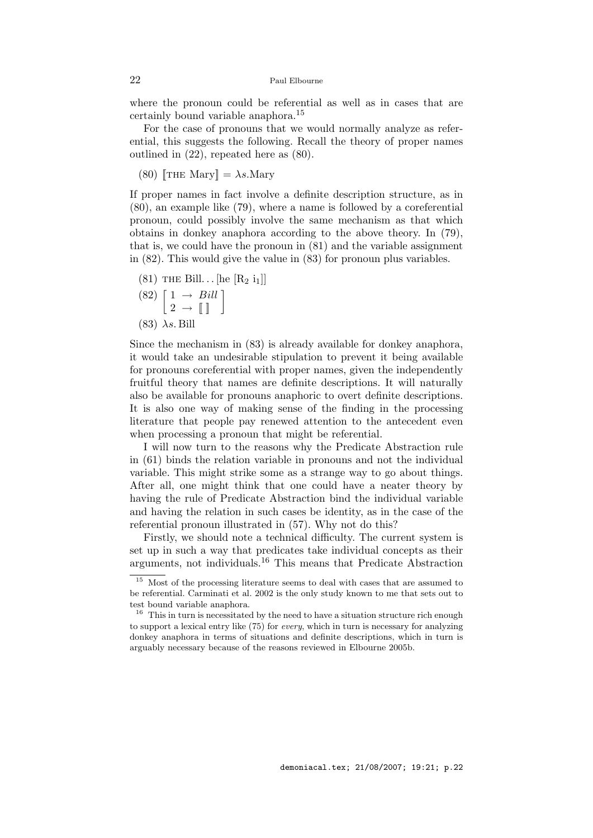where the pronoun could be referential as well as in cases that are certainly bound variable anaphora.<sup>15</sup>

For the case of pronouns that we would normally analyze as referential, this suggests the following. Recall the theory of proper names outlined in (22), repeated here as (80).

(80)  $\left[\text{THE Mary}\right] = \lambda s.\text{Mary}$ 

If proper names in fact involve a definite description structure, as in (80), an example like (79), where a name is followed by a coreferential pronoun, could possibly involve the same mechanism as that which obtains in donkey anaphora according to the above theory. In (79), that is, we could have the pronoun in (81) and the variable assignment in (82). This would give the value in (83) for pronoun plus variables.

 $(81)$  THE Bill... [he [R<sub>2</sub> i<sub>1</sub>]]

$$
\begin{array}{c}\n(82) \left[ \begin{array}{ccc} 1 \ \rightarrow \ \text{Bill} \\ 2 \ \rightarrow \ \llbracket \ \rrbracket \end{array} \right]\n\end{array}
$$

 $(83)$   $\lambda s$ . Bill

Since the mechanism in (83) is already available for donkey anaphora, it would take an undesirable stipulation to prevent it being available for pronouns coreferential with proper names, given the independently fruitful theory that names are definite descriptions. It will naturally also be available for pronouns anaphoric to overt definite descriptions. It is also one way of making sense of the finding in the processing literature that people pay renewed attention to the antecedent even when processing a pronoun that might be referential.

I will now turn to the reasons why the Predicate Abstraction rule in (61) binds the relation variable in pronouns and not the individual variable. This might strike some as a strange way to go about things. After all, one might think that one could have a neater theory by having the rule of Predicate Abstraction bind the individual variable and having the relation in such cases be identity, as in the case of the referential pronoun illustrated in (57). Why not do this?

Firstly, we should note a technical difficulty. The current system is set up in such a way that predicates take individual concepts as their arguments, not individuals.<sup>16</sup> This means that Predicate Abstraction

 $^{15}\,$  Most of the processing literature seems to deal with cases that are assumed to be referential. Carminati et al. 2002 is the only study known to me that sets out to test bound variable anaphora.

<sup>&</sup>lt;sup>16</sup> This in turn is necessitated by the need to have a situation structure rich enough to support a lexical entry like (75) for every, which in turn is necessary for analyzing donkey anaphora in terms of situations and definite descriptions, which in turn is arguably necessary because of the reasons reviewed in Elbourne 2005b.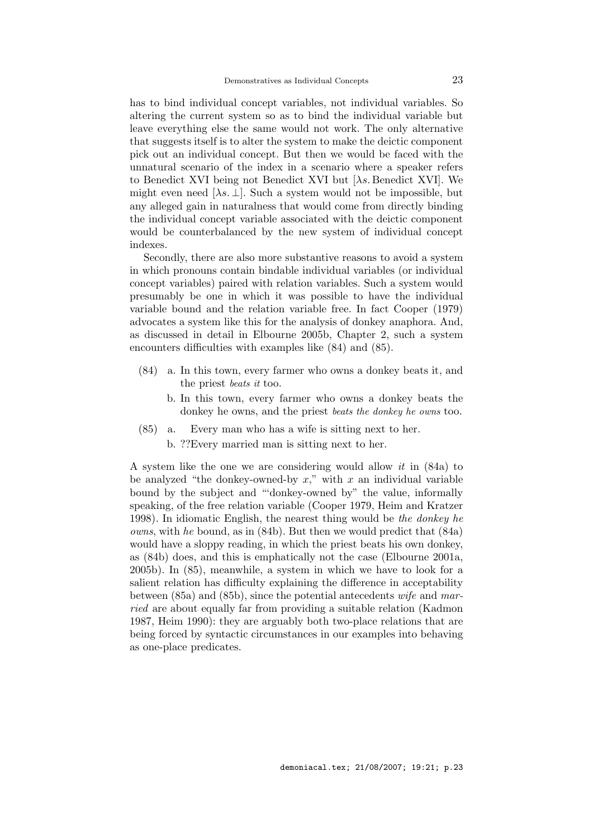has to bind individual concept variables, not individual variables. So altering the current system so as to bind the individual variable but leave everything else the same would not work. The only alternative that suggests itself is to alter the system to make the deictic component pick out an individual concept. But then we would be faced with the unnatural scenario of the index in a scenario where a speaker refers to Benedict XVI being not Benedict XVI but  $[\lambda s]$ . Benedict XVI. We might even need [ $\lambda s$ .  $\perp$ ]. Such a system would not be impossible, but any alleged gain in naturalness that would come from directly binding the individual concept variable associated with the deictic component would be counterbalanced by the new system of individual concept indexes.

Secondly, there are also more substantive reasons to avoid a system in which pronouns contain bindable individual variables (or individual concept variables) paired with relation variables. Such a system would presumably be one in which it was possible to have the individual variable bound and the relation variable free. In fact Cooper (1979) advocates a system like this for the analysis of donkey anaphora. And, as discussed in detail in Elbourne 2005b, Chapter 2, such a system encounters difficulties with examples like (84) and (85).

- (84) a. In this town, every farmer who owns a donkey beats it, and the priest beats it too.
	- b. In this town, every farmer who owns a donkey beats the donkey he owns, and the priest beats the donkey he owns too.
- (85) a. Every man who has a wife is sitting next to her. b. ??Every married man is sitting next to her.

A system like the one we are considering would allow it in (84a) to be analyzed "the donkey-owned-by  $x$ ," with  $x$  an individual variable bound by the subject and "'donkey-owned by" the value, informally speaking, of the free relation variable (Cooper 1979, Heim and Kratzer 1998). In idiomatic English, the nearest thing would be the donkey he owns, with he bound, as in (84b). But then we would predict that (84a) would have a sloppy reading, in which the priest beats his own donkey, as (84b) does, and this is emphatically not the case (Elbourne 2001a, 2005b). In (85), meanwhile, a system in which we have to look for a salient relation has difficulty explaining the difference in acceptability between (85a) and (85b), since the potential antecedents wife and married are about equally far from providing a suitable relation (Kadmon 1987, Heim 1990): they are arguably both two-place relations that are being forced by syntactic circumstances in our examples into behaving as one-place predicates.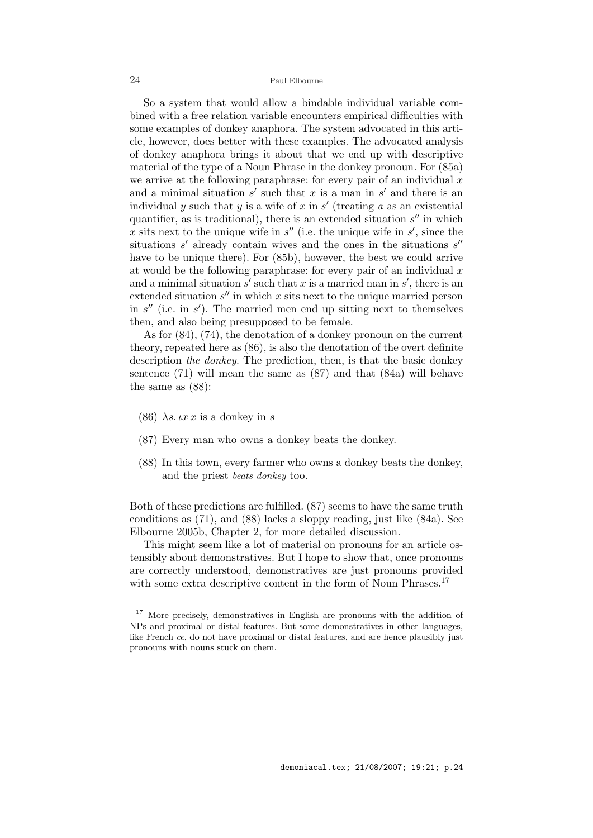So a system that would allow a bindable individual variable combined with a free relation variable encounters empirical difficulties with some examples of donkey anaphora. The system advocated in this article, however, does better with these examples. The advocated analysis of donkey anaphora brings it about that we end up with descriptive material of the type of a Noun Phrase in the donkey pronoun. For (85a) we arrive at the following paraphrase: for every pair of an individual  $x$ and a minimal situation  $s'$  such that x is a man in  $s'$  and there is an individual y such that y is a wife of x in  $s'$  (treating a as an existential quantifier, as is traditional), there is an extended situation  $s''$  in which x sits next to the unique wife in  $s''$  (i.e. the unique wife in  $s'$ , since the situations  $s'$  already contain wives and the ones in the situations  $s''$ have to be unique there). For  $(85b)$ , however, the best we could arrive at would be the following paraphrase: for every pair of an individual  $x$ and a minimal situation  $s'$  such that x is a married man in  $s'$ , there is an extended situation  $s''$  in which x sits next to the unique married person in  $s''$  (i.e. in  $s'$ ). The married men end up sitting next to themselves then, and also being presupposed to be female.

As for (84), (74), the denotation of a donkey pronoun on the current theory, repeated here as (86), is also the denotation of the overt definite description the donkey. The prediction, then, is that the basic donkey sentence (71) will mean the same as (87) and that (84a) will behave the same as (88):

- (86)  $\lambda s. \iota x \iota x$  is a donkey in s
- (87) Every man who owns a donkey beats the donkey.
- (88) In this town, every farmer who owns a donkey beats the donkey, and the priest beats donkey too.

Both of these predictions are fulfilled. (87) seems to have the same truth conditions as (71), and (88) lacks a sloppy reading, just like (84a). See Elbourne 2005b, Chapter 2, for more detailed discussion.

This might seem like a lot of material on pronouns for an article ostensibly about demonstratives. But I hope to show that, once pronouns are correctly understood, demonstratives are just pronouns provided with some extra descriptive content in the form of Noun Phrases.<sup>17</sup>

<sup>&</sup>lt;sup>17</sup> More precisely, demonstratives in English are pronouns with the addition of NPs and proximal or distal features. But some demonstratives in other languages, like French ce, do not have proximal or distal features, and are hence plausibly just pronouns with nouns stuck on them.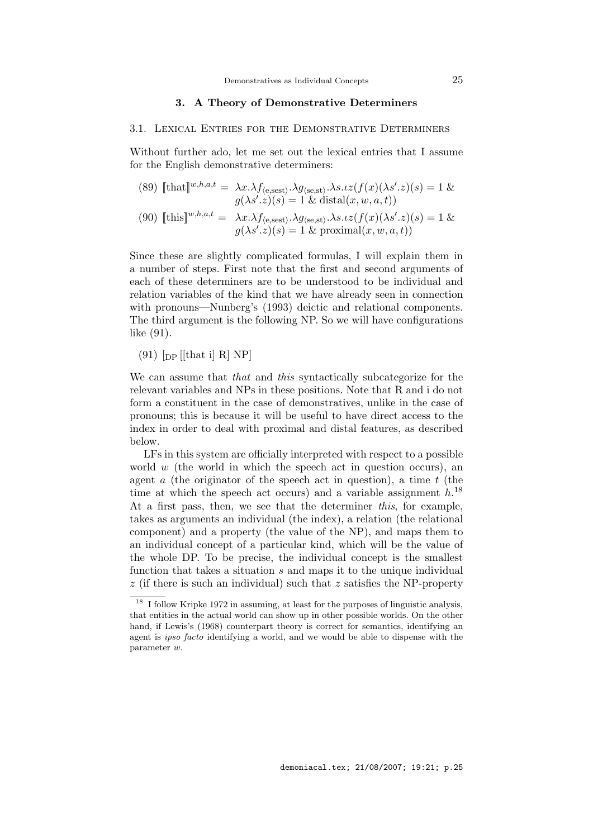# 3. A Theory of Demonstrative Determiners

#### 3.1. Lexical Entries for the Demonstrative Determiners

Without further ado, let me set out the lexical entries that I assume for the English demonstrative determiners:

(89) 
$$
\llbracket \text{that} \rrbracket^{w,h,a,t} = \lambda x. \lambda f_{\langle e, \text{sest} \rangle} \cdot \lambda g_{\langle \text{se,st} \rangle} \cdot \lambda s. \iota z(f(x)(\lambda s'.z)(s) = 1 \& g(\lambda s'.z)(s) = 1 \& \text{distal}(x, w, a, t))
$$

(90) 
$$
\llbracket \text{this} \rrbracket^{w,h,a,t} = \lambda x. \lambda f_{\langle e, \text{sest} \rangle} \cdot \lambda g_{\langle \text{se,st} \rangle} \cdot \lambda s. \iota z(f(x)(\lambda s'.z)(s) = 1 \& g(\lambda s'.z)(s) = 1 \& \text{proximal}(x, w, a, t))
$$

Since these are slightly complicated formulas, I will explain them in a number of steps. First note that the first and second arguments of each of these determiners are to be understood to be individual and relation variables of the kind that we have already seen in connection with pronouns—Nunberg's (1993) deictic and relational components. The third argument is the following NP. So we will have configurations like (91).

 $(91)$  [<sub>DP</sub> [[that i] R] NP]

We can assume that that and this syntactically subcategorize for the relevant variables and NPs in these positions. Note that R and i do not form a constituent in the case of demonstratives, unlike in the case of pronouns; this is because it will be useful to have direct access to the index in order to deal with proximal and distal features, as described below.

LFs in this system are officially interpreted with respect to a possible world  $w$  (the world in which the speech act in question occurs), an agent  $\alpha$  (the originator of the speech act in question), a time  $t$  (the time at which the speech act occurs) and a variable assignment  $h^{18}$ At a first pass, then, we see that the determiner this, for example, takes as arguments an individual (the index), a relation (the relational component) and a property (the value of the NP), and maps them to an individual concept of a particular kind, which will be the value of the whole DP. To be precise, the individual concept is the smallest function that takes a situation  $s$  and maps it to the unique individual  $z$  (if there is such an individual) such that  $z$  satisfies the NP-property

<sup>&</sup>lt;sup>18</sup> I follow Kripke 1972 in assuming, at least for the purposes of linguistic analysis, that entities in the actual world can show up in other possible worlds. On the other hand, if Lewis's (1968) counterpart theory is correct for semantics, identifying an agent is ipso facto identifying a world, and we would be able to dispense with the parameter w.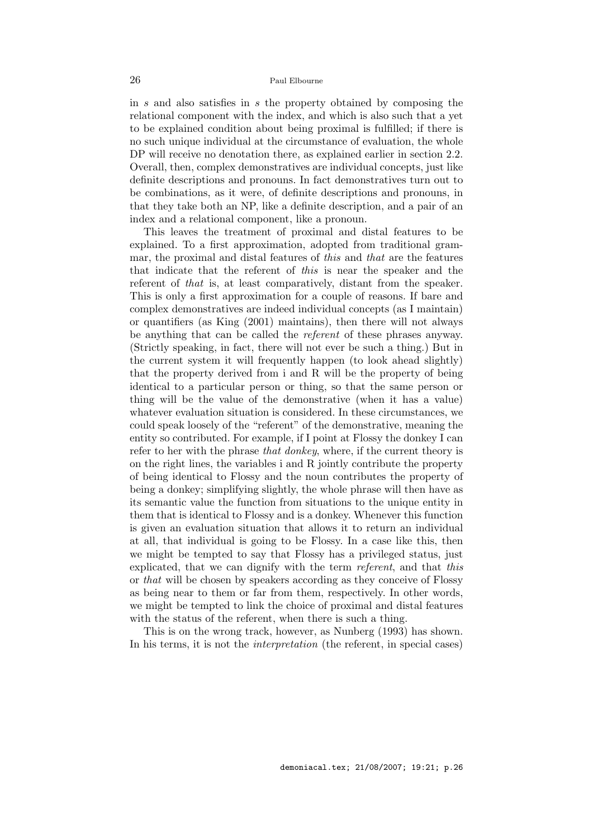in s and also satisfies in s the property obtained by composing the relational component with the index, and which is also such that a yet to be explained condition about being proximal is fulfilled; if there is no such unique individual at the circumstance of evaluation, the whole DP will receive no denotation there, as explained earlier in section 2.2. Overall, then, complex demonstratives are individual concepts, just like definite descriptions and pronouns. In fact demonstratives turn out to be combinations, as it were, of definite descriptions and pronouns, in that they take both an NP, like a definite description, and a pair of an index and a relational component, like a pronoun.

This leaves the treatment of proximal and distal features to be explained. To a first approximation, adopted from traditional grammar, the proximal and distal features of this and that are the features that indicate that the referent of this is near the speaker and the referent of that is, at least comparatively, distant from the speaker. This is only a first approximation for a couple of reasons. If bare and complex demonstratives are indeed individual concepts (as I maintain) or quantifiers (as King (2001) maintains), then there will not always be anything that can be called the referent of these phrases anyway. (Strictly speaking, in fact, there will not ever be such a thing.) But in the current system it will frequently happen (to look ahead slightly) that the property derived from i and R will be the property of being identical to a particular person or thing, so that the same person or thing will be the value of the demonstrative (when it has a value) whatever evaluation situation is considered. In these circumstances, we could speak loosely of the "referent" of the demonstrative, meaning the entity so contributed. For example, if I point at Flossy the donkey I can refer to her with the phrase that donkey, where, if the current theory is on the right lines, the variables i and R jointly contribute the property of being identical to Flossy and the noun contributes the property of being a donkey; simplifying slightly, the whole phrase will then have as its semantic value the function from situations to the unique entity in them that is identical to Flossy and is a donkey. Whenever this function is given an evaluation situation that allows it to return an individual at all, that individual is going to be Flossy. In a case like this, then we might be tempted to say that Flossy has a privileged status, just explicated, that we can dignify with the term referent, and that this or that will be chosen by speakers according as they conceive of Flossy as being near to them or far from them, respectively. In other words, we might be tempted to link the choice of proximal and distal features with the status of the referent, when there is such a thing.

This is on the wrong track, however, as Nunberg (1993) has shown. In his terms, it is not the *interpretation* (the referent, in special cases)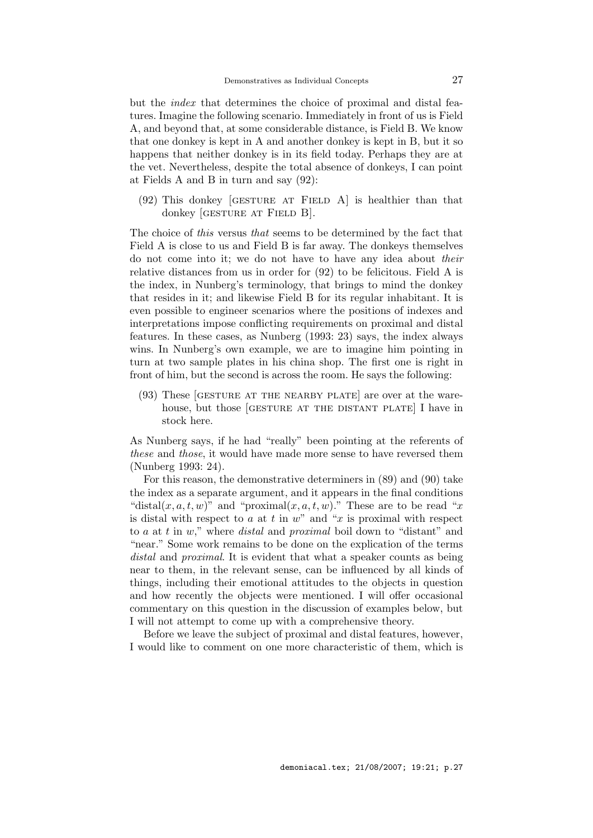but the index that determines the choice of proximal and distal features. Imagine the following scenario. Immediately in front of us is Field A, and beyond that, at some considerable distance, is Field B. We know that one donkey is kept in A and another donkey is kept in B, but it so happens that neither donkey is in its field today. Perhaps they are at the vet. Nevertheless, despite the total absence of donkeys, I can point at Fields A and B in turn and say (92):

 $(92)$  This donkey [GESTURE AT FIELD A] is healthier than that donkey *GESTURE AT FIELD B.* 

The choice of this versus that seems to be determined by the fact that Field A is close to us and Field B is far away. The donkeys themselves do not come into it; we do not have to have any idea about their relative distances from us in order for (92) to be felicitous. Field A is the index, in Nunberg's terminology, that brings to mind the donkey that resides in it; and likewise Field B for its regular inhabitant. It is even possible to engineer scenarios where the positions of indexes and interpretations impose conflicting requirements on proximal and distal features. In these cases, as Nunberg (1993: 23) says, the index always wins. In Nunberg's own example, we are to imagine him pointing in turn at two sample plates in his china shop. The first one is right in front of him, but the second is across the room. He says the following:

(93) These [GESTURE AT THE NEARBY PLATE] are over at the warehouse, but those [GESTURE AT THE DISTANT PLATE] I have in stock here.

As Nunberg says, if he had "really" been pointing at the referents of these and those, it would have made more sense to have reversed them (Nunberg 1993: 24).

For this reason, the demonstrative determiners in (89) and (90) take the index as a separate argument, and it appears in the final conditions "distal $(x, a, t, w)$ " and "proximal $(x, a, t, w)$ ." These are to be read "x" is distal with respect to  $a$  at  $t$  in  $w$ " and " $x$  is proximal with respect to  $a$  at  $t$  in  $w$ ," where *distal* and *proximal* boil down to "distant" and "near." Some work remains to be done on the explication of the terms distal and *proximal*. It is evident that what a speaker counts as being near to them, in the relevant sense, can be influenced by all kinds of things, including their emotional attitudes to the objects in question and how recently the objects were mentioned. I will offer occasional commentary on this question in the discussion of examples below, but I will not attempt to come up with a comprehensive theory.

Before we leave the subject of proximal and distal features, however, I would like to comment on one more characteristic of them, which is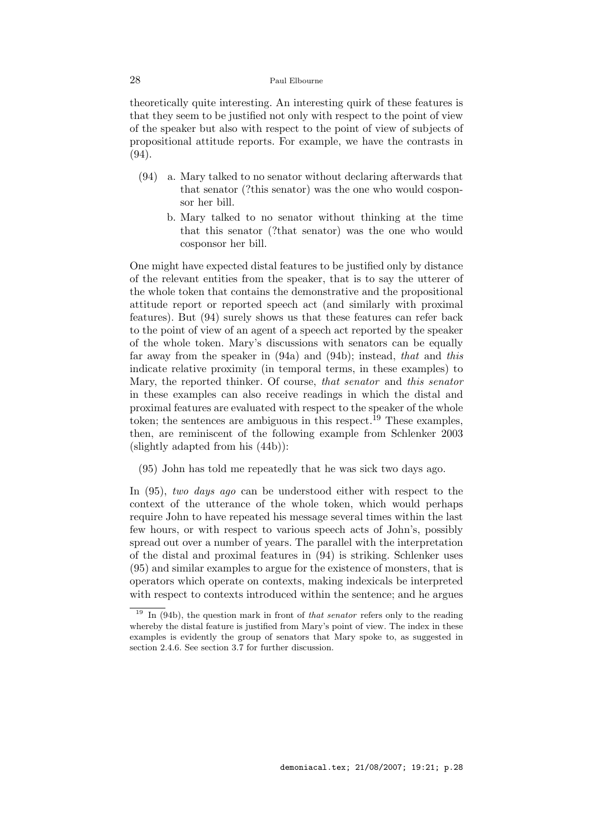theoretically quite interesting. An interesting quirk of these features is that they seem to be justified not only with respect to the point of view of the speaker but also with respect to the point of view of subjects of propositional attitude reports. For example, we have the contrasts in (94).

- (94) a. Mary talked to no senator without declaring afterwards that that senator (?this senator) was the one who would cosponsor her bill.
	- b. Mary talked to no senator without thinking at the time that this senator (?that senator) was the one who would cosponsor her bill.

One might have expected distal features to be justified only by distance of the relevant entities from the speaker, that is to say the utterer of the whole token that contains the demonstrative and the propositional attitude report or reported speech act (and similarly with proximal features). But (94) surely shows us that these features can refer back to the point of view of an agent of a speech act reported by the speaker of the whole token. Mary's discussions with senators can be equally far away from the speaker in (94a) and (94b); instead, that and this indicate relative proximity (in temporal terms, in these examples) to Mary, the reported thinker. Of course, that senator and this senator in these examples can also receive readings in which the distal and proximal features are evaluated with respect to the speaker of the whole token; the sentences are ambiguous in this respect.<sup>19</sup> These examples, then, are reminiscent of the following example from Schlenker 2003 (slightly adapted from his (44b)):

(95) John has told me repeatedly that he was sick two days ago.

In (95), two days ago can be understood either with respect to the context of the utterance of the whole token, which would perhaps require John to have repeated his message several times within the last few hours, or with respect to various speech acts of John's, possibly spread out over a number of years. The parallel with the interpretation of the distal and proximal features in (94) is striking. Schlenker uses (95) and similar examples to argue for the existence of monsters, that is operators which operate on contexts, making indexicals be interpreted with respect to contexts introduced within the sentence; and he argues

 $\frac{19}{19}$  In (94b), the question mark in front of *that senator* refers only to the reading whereby the distal feature is justified from Mary's point of view. The index in these examples is evidently the group of senators that Mary spoke to, as suggested in section 2.4.6. See section 3.7 for further discussion.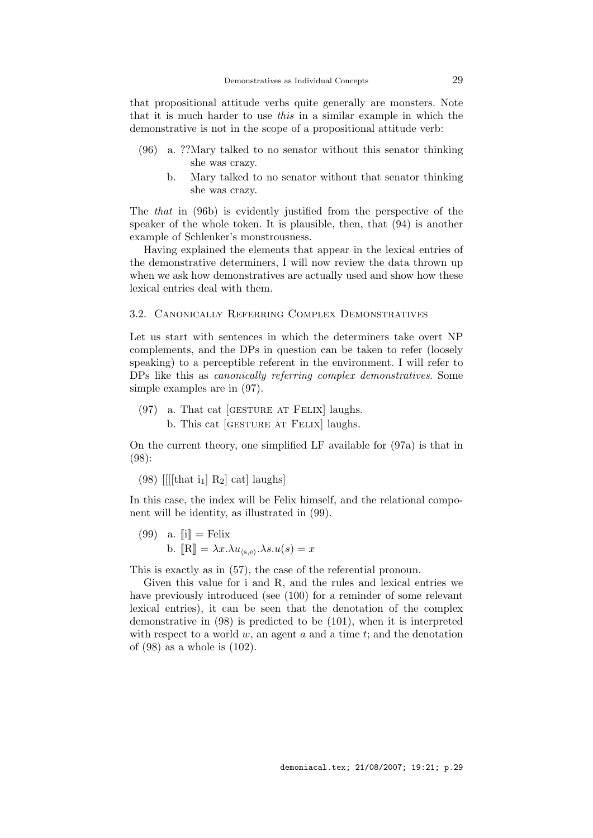that propositional attitude verbs quite generally are monsters. Note that it is much harder to use this in a similar example in which the demonstrative is not in the scope of a propositional attitude verb:

- (96) a. ??Mary talked to no senator without this senator thinking she was crazy.
	- b. Mary talked to no senator without that senator thinking she was crazy.

The that in (96b) is evidently justified from the perspective of the speaker of the whole token. It is plausible, then, that (94) is another example of Schlenker's monstrousness.

Having explained the elements that appear in the lexical entries of the demonstrative determiners, I will now review the data thrown up when we ask how demonstratives are actually used and show how these lexical entries deal with them.

#### 3.2. Canonically Referring Complex Demonstratives

Let us start with sentences in which the determiners take overt NP complements, and the DPs in question can be taken to refer (loosely speaking) to a perceptible referent in the environment. I will refer to DPs like this as canonically referring complex demonstratives. Some simple examples are in (97).

 $(97)$  a. That cat [GESTURE AT FELIX] laughs. b. This cat [gesture at Felix] laughs.

On the current theory, one simplified LF available for (97a) is that in (98):

(98) [[[[that i<sub>1</sub>] R<sub>2</sub>] cat] laughs]

In this case, the index will be Felix himself, and the relational component will be identity, as illustrated in (99).

 $(99)$  a.  $\|\mathbf{i}\| = \text{Felix}$ b.  $[\mathbb{R}] = \lambda x. \lambda u_{\langle s, e \rangle} \cdot \lambda s. u(s) = x$ 

This is exactly as in (57), the case of the referential pronoun.

Given this value for i and R, and the rules and lexical entries we have previously introduced (see (100) for a reminder of some relevant lexical entries), it can be seen that the denotation of the complex demonstrative in (98) is predicted to be (101), when it is interpreted with respect to a world  $w$ , an agent  $a$  and a time  $t$ ; and the denotation of (98) as a whole is (102).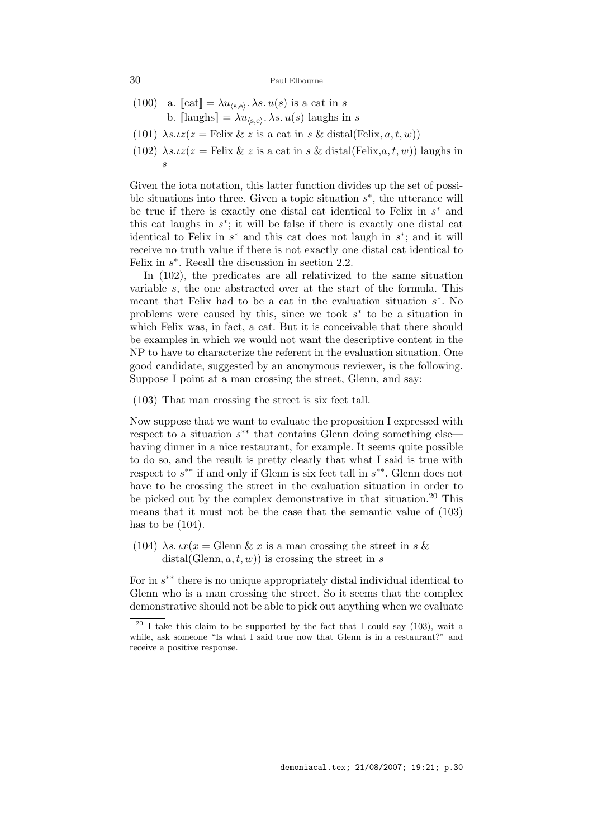- (100) a.  $[\text{cat}] = \lambda u_{\langle s,e \rangle}$ .  $\lambda s. u(s)$  is a cat in s b.  $[\text{laughs}] = \lambda u_{\langle s,e \rangle}$ .  $\lambda s. u(s)$  laughs in s
- (101)  $\lambda s.iz(z = \text{Felix} \& z \text{ is a cat in } s \& \text{ distal(Felix}, a, t, w))$
- (102)  $\lambda s.tz(z) = \text{Felix} \& z \text{ is a cat in } s \& \text{ distal}( \text{Felix}, a, t, w) )$  laughs in s

Given the iota notation, this latter function divides up the set of possible situations into three. Given a topic situation  $s^*$ , the utterance will be true if there is exactly one distal cat identical to Felix in  $s^*$  and this cat laughs in  $s^*$ ; it will be false if there is exactly one distal cat identical to Felix in  $s^*$  and this cat does not laugh in  $s^*$ ; and it will receive no truth value if there is not exactly one distal cat identical to Felix in  $s^*$ . Recall the discussion in section 2.2.

In (102), the predicates are all relativized to the same situation variable s, the one abstracted over at the start of the formula. This meant that Felix had to be a cat in the evaluation situation  $s^*$ . No problems were caused by this, since we took  $s^*$  to be a situation in which Felix was, in fact, a cat. But it is conceivable that there should be examples in which we would not want the descriptive content in the NP to have to characterize the referent in the evaluation situation. One good candidate, suggested by an anonymous reviewer, is the following. Suppose I point at a man crossing the street, Glenn, and say:

(103) That man crossing the street is six feet tall.

Now suppose that we want to evaluate the proposition I expressed with respect to a situation  $s^{**}$  that contains Glenn doing something else having dinner in a nice restaurant, for example. It seems quite possible to do so, and the result is pretty clearly that what I said is true with respect to  $s^{**}$  if and only if Glenn is six feet tall in  $s^{**}$ . Glenn does not have to be crossing the street in the evaluation situation in order to be picked out by the complex demonstrative in that situation.<sup>20</sup> This means that it must not be the case that the semantic value of (103) has to be  $(104)$ .

(104)  $\lambda s. \iota x(x) = \text{Glenn} \& x \text{ is a man crossing the street in } s \& x$  $distal(Glenn, a, t, w))$  is crossing the street in s

For in s ∗∗ there is no unique appropriately distal individual identical to Glenn who is a man crossing the street. So it seems that the complex demonstrative should not be able to pick out anything when we evaluate

 $\frac{20}{1}$  T take this claim to be supported by the fact that I could say (103), wait a while, ask someone "Is what I said true now that Glenn is in a restaurant?" and receive a positive response.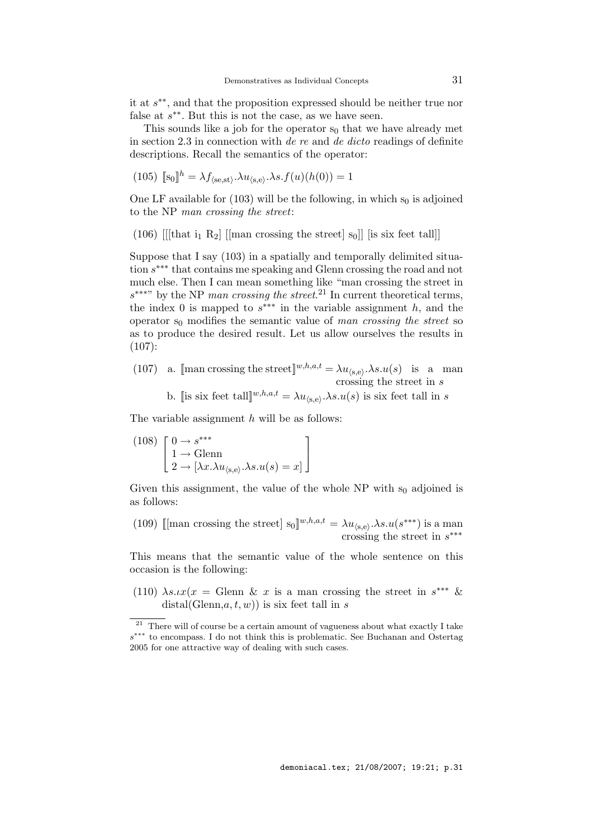it at s ∗∗, and that the proposition expressed should be neither true nor false at  $s^{**}$ . But this is not the case, as we have seen.

This sounds like a job for the operator  $s_0$  that we have already met in section 2.3 in connection with de re and de dicto readings of definite descriptions. Recall the semantics of the operator:

(105) 
$$
[\![s_0]\!]^h = \lambda f_{\langle se, st \rangle} \cdot \lambda u_{\langle s, e \rangle} \cdot \lambda s \cdot f(u)(h(0)) = 1
$$

One LF available for  $(103)$  will be the following, in which s<sub>0</sub> is adjoined to the NP man crossing the street:

(106) [[[that i<sub>1</sub> R<sub>2</sub>] [[man crossing the street] s<sub>0</sub>]] [is six feet tall]]

Suppose that I say (103) in a spatially and temporally delimited situation s ∗∗∗ that contains me speaking and Glenn crossing the road and not much else. Then I can mean something like "man crossing the street in  $s^{***}$  by the NP man crossing the street.<sup>21</sup> In current theoretical terms, the index 0 is mapped to  $s^{***}$  in the variable assignment h, and the operator  $s_0$  modifies the semantic value of man crossing the street so as to produce the desired result. Let us allow ourselves the results in  $(107):$ 

- (107) a. [man crossing the street]<sup>w,h,a,t</sup> =  $\lambda u_{\langle s, e \rangle} \cdot \lambda s. u(s)$  is a man crossing the street in s
	- b. [[is six feet tall] $w, h, a, t = \lambda u_{(s,e)}.$  $\lambda s. u(s)$  is six feet tall in s

The variable assignment  $h$  will be as follows:

(108) 
$$
\begin{bmatrix} 0 \to s^{***} \\ 1 \to \text{Glenn} \\ 2 \to [\lambda x. \lambda u_{\langle s, e \rangle}. \lambda s. u(s) = x] \end{bmatrix}
$$

Given this assignment, the value of the whole  $NP$  with  $s_0$  adjoined is as follows:

(109) [[man crossing the street]  $s_0]^{w,h,a,t} = \lambda u_{(s,e)} \cdot \lambda s.u(s^{***})$  is a man crossing the street in  $s^{***}$ 

This means that the semantic value of the whole sentence on this occasion is the following:

(110)  $\lambda s \cdot \iota x(x) = \text{Glenn} \& x \text{ is a man crossing the street in } s^{***} \& x$  $distal(Glenn,a, t, w))$  is six feet tall in s

 $\overline{a^{21}}$  There will of course be a certain amount of vagueness about what exactly I take s ∗∗∗ to encompass. I do not think this is problematic. See Buchanan and Ostertag 2005 for one attractive way of dealing with such cases.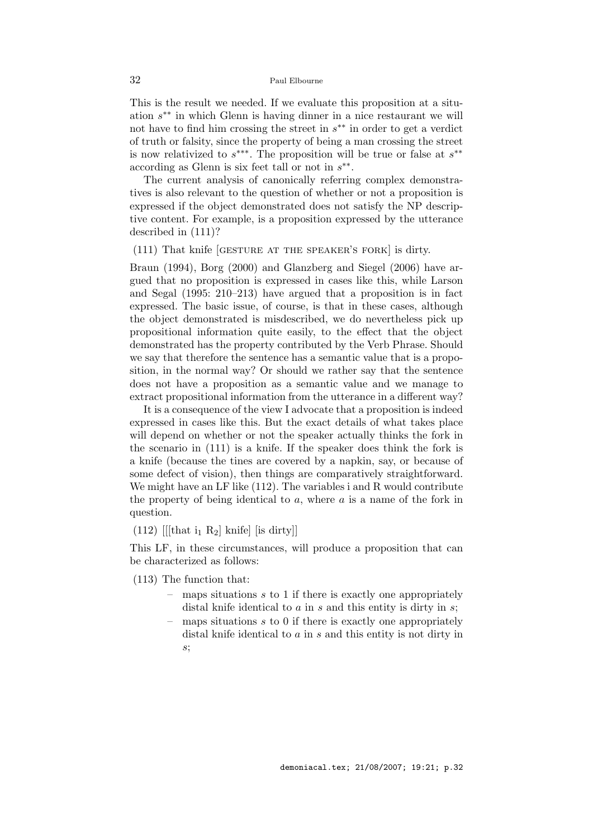This is the result we needed. If we evaluate this proposition at a situation s ∗∗ in which Glenn is having dinner in a nice restaurant we will not have to find him crossing the street in  $s^{**}$  in order to get a verdict of truth or falsity, since the property of being a man crossing the street is now relativized to  $s^{***}$ . The proposition will be true or false at  $s^{**}$ according as Glenn is six feet tall or not in  $s^{**}$ .

The current analysis of canonically referring complex demonstratives is also relevant to the question of whether or not a proposition is expressed if the object demonstrated does not satisfy the NP descriptive content. For example, is a proposition expressed by the utterance described in (111)?

# (111) That knife [gesture at the speaker's fork] is dirty.

Braun (1994), Borg (2000) and Glanzberg and Siegel (2006) have argued that no proposition is expressed in cases like this, while Larson and Segal (1995: 210–213) have argued that a proposition is in fact expressed. The basic issue, of course, is that in these cases, although the object demonstrated is misdescribed, we do nevertheless pick up propositional information quite easily, to the effect that the object demonstrated has the property contributed by the Verb Phrase. Should we say that therefore the sentence has a semantic value that is a proposition, in the normal way? Or should we rather say that the sentence does not have a proposition as a semantic value and we manage to extract propositional information from the utterance in a different way?

It is a consequence of the view I advocate that a proposition is indeed expressed in cases like this. But the exact details of what takes place will depend on whether or not the speaker actually thinks the fork in the scenario in (111) is a knife. If the speaker does think the fork is a knife (because the tines are covered by a napkin, say, or because of some defect of vision), then things are comparatively straightforward. We might have an LF like  $(112)$ . The variables i and R would contribute the property of being identical to  $a$ , where  $a$  is a name of the fork in question.

(112) [[[that  $i_1 R_2$ ] knife] [is dirty]]

This LF, in these circumstances, will produce a proposition that can be characterized as follows:

- (113) The function that:
	- $\overline{\phantom{a}}$  maps situations s to 1 if there is exactly one appropriately distal knife identical to  $a$  in  $s$  and this entity is dirty in  $s$ ;
	- maps situations  $s$  to 0 if there is exactly one appropriately distal knife identical to a in s and this entity is not dirty in s;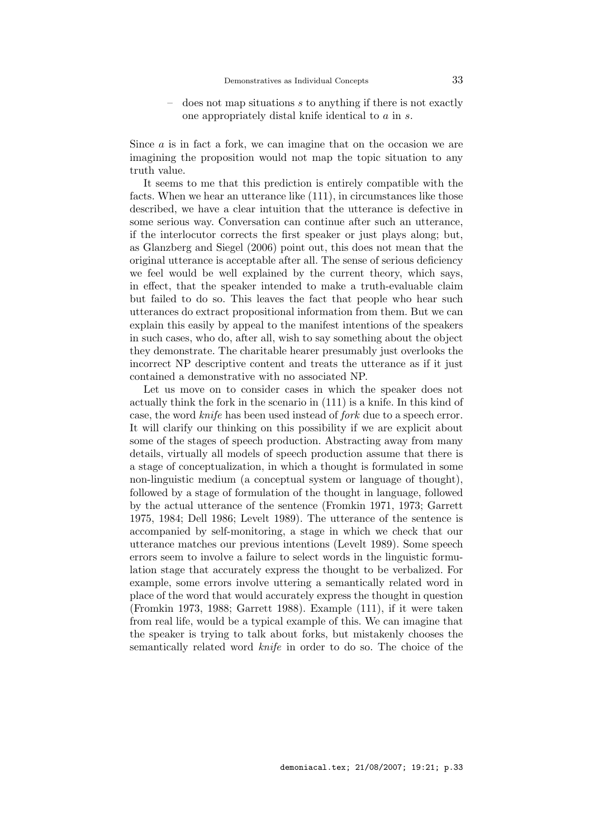$\sim$  does not map situations s to anything if there is not exactly one appropriately distal knife identical to a in s.

Since a is in fact a fork, we can imagine that on the occasion we are imagining the proposition would not map the topic situation to any truth value.

It seems to me that this prediction is entirely compatible with the facts. When we hear an utterance like (111), in circumstances like those described, we have a clear intuition that the utterance is defective in some serious way. Conversation can continue after such an utterance, if the interlocutor corrects the first speaker or just plays along; but, as Glanzberg and Siegel (2006) point out, this does not mean that the original utterance is acceptable after all. The sense of serious deficiency we feel would be well explained by the current theory, which says, in effect, that the speaker intended to make a truth-evaluable claim but failed to do so. This leaves the fact that people who hear such utterances do extract propositional information from them. But we can explain this easily by appeal to the manifest intentions of the speakers in such cases, who do, after all, wish to say something about the object they demonstrate. The charitable hearer presumably just overlooks the incorrect NP descriptive content and treats the utterance as if it just contained a demonstrative with no associated NP.

Let us move on to consider cases in which the speaker does not actually think the fork in the scenario in (111) is a knife. In this kind of case, the word knife has been used instead of fork due to a speech error. It will clarify our thinking on this possibility if we are explicit about some of the stages of speech production. Abstracting away from many details, virtually all models of speech production assume that there is a stage of conceptualization, in which a thought is formulated in some non-linguistic medium (a conceptual system or language of thought), followed by a stage of formulation of the thought in language, followed by the actual utterance of the sentence (Fromkin 1971, 1973; Garrett 1975, 1984; Dell 1986; Levelt 1989). The utterance of the sentence is accompanied by self-monitoring, a stage in which we check that our utterance matches our previous intentions (Levelt 1989). Some speech errors seem to involve a failure to select words in the linguistic formulation stage that accurately express the thought to be verbalized. For example, some errors involve uttering a semantically related word in place of the word that would accurately express the thought in question (Fromkin 1973, 1988; Garrett 1988). Example (111), if it were taken from real life, would be a typical example of this. We can imagine that the speaker is trying to talk about forks, but mistakenly chooses the semantically related word knife in order to do so. The choice of the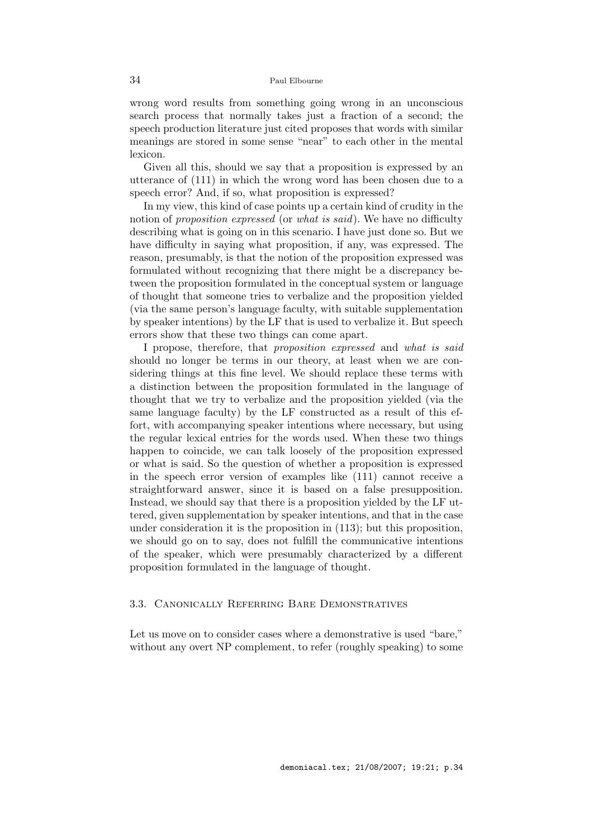wrong word results from something going wrong in an unconscious search process that normally takes just a fraction of a second; the speech production literature just cited proposes that words with similar meanings are stored in some sense "near" to each other in the mental lexicon.

Given all this, should we say that a proposition is expressed by an utterance of (111) in which the wrong word has been chosen due to a speech error? And, if so, what proposition is expressed?

In my view, this kind of case points up a certain kind of crudity in the notion of *proposition expressed* (or *what is said*). We have no difficulty describing what is going on in this scenario. I have just done so. But we have difficulty in saying what proposition, if any, was expressed. The reason, presumably, is that the notion of the proposition expressed was formulated without recognizing that there might be a discrepancy between the proposition formulated in the conceptual system or language of thought that someone tries to verbalize and the proposition yielded (via the same person's language faculty, with suitable supplementation by speaker intentions) by the LF that is used to verbalize it. But speech errors show that these two things can come apart.

I propose, therefore, that proposition expressed and what is said should no longer be terms in our theory, at least when we are considering things at this fine level. We should replace these terms with a distinction between the proposition formulated in the language of thought that we try to verbalize and the proposition yielded (via the same language faculty) by the LF constructed as a result of this effort, with accompanying speaker intentions where necessary, but using the regular lexical entries for the words used. When these two things happen to coincide, we can talk loosely of the proposition expressed or what is said. So the question of whether a proposition is expressed in the speech error version of examples like (111) cannot receive a straightforward answer, since it is based on a false presupposition. Instead, we should say that there is a proposition yielded by the LF uttered, given supplementation by speaker intentions, and that in the case under consideration it is the proposition in (113); but this proposition, we should go on to say, does not fulfill the communicative intentions of the speaker, which were presumably characterized by a different proposition formulated in the language of thought.

# 3.3. Canonically Referring Bare Demonstratives

Let us move on to consider cases where a demonstrative is used "bare," without any overt NP complement, to refer (roughly speaking) to some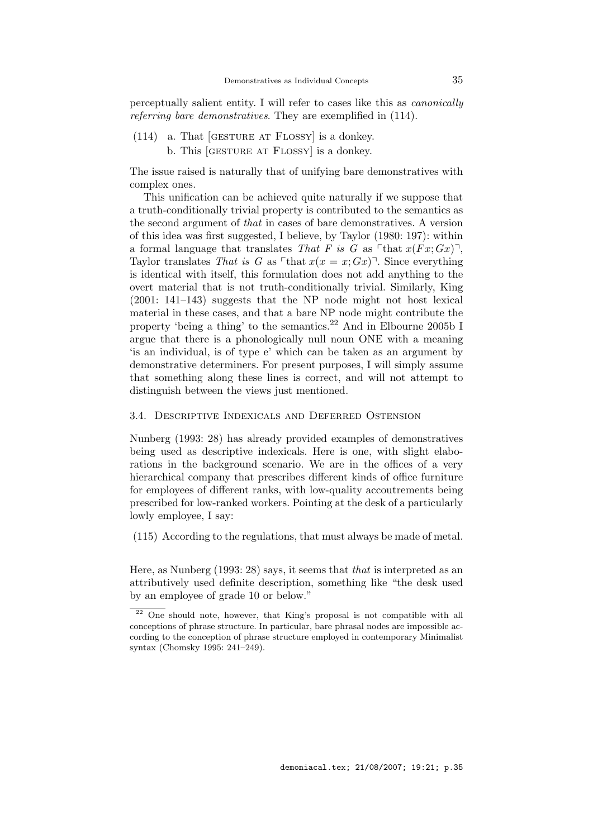perceptually salient entity. I will refer to cases like this as canonically referring bare demonstratives. They are exemplified in (114).

- (114) a. That [gesture at Flossy] is a donkey.
	- b. This [gesture at Flossy] is a donkey.

The issue raised is naturally that of unifying bare demonstratives with complex ones.

This unification can be achieved quite naturally if we suppose that a truth-conditionally trivial property is contributed to the semantics as the second argument of that in cases of bare demonstratives. A version of this idea was first suggested, I believe, by Taylor (1980: 197): within a formal language that translates That F is G as  $\lceil \text{that } x(Fx; Gx) \rceil$ , Taylor translates That is G as  $\lceil \text{that } x(x = x; Gx) \rceil$ . Since everything is identical with itself, this formulation does not add anything to the overt material that is not truth-conditionally trivial. Similarly, King (2001: 141–143) suggests that the NP node might not host lexical material in these cases, and that a bare NP node might contribute the property 'being a thing' to the semantics.<sup>22</sup> And in Elbourne 2005b I argue that there is a phonologically null noun ONE with a meaning 'is an individual, is of type e' which can be taken as an argument by demonstrative determiners. For present purposes, I will simply assume that something along these lines is correct, and will not attempt to distinguish between the views just mentioned.

#### 3.4. Descriptive Indexicals and Deferred Ostension

Nunberg (1993: 28) has already provided examples of demonstratives being used as descriptive indexicals. Here is one, with slight elaborations in the background scenario. We are in the offices of a very hierarchical company that prescribes different kinds of office furniture for employees of different ranks, with low-quality accoutrements being prescribed for low-ranked workers. Pointing at the desk of a particularly lowly employee, I say:

(115) According to the regulations, that must always be made of metal.

Here, as Nunberg (1993: 28) says, it seems that that is interpreted as an attributively used definite description, something like "the desk used by an employee of grade 10 or below."

 $\frac{22}{2}$  One should note, however, that King's proposal is not compatible with all conceptions of phrase structure. In particular, bare phrasal nodes are impossible according to the conception of phrase structure employed in contemporary Minimalist syntax (Chomsky 1995: 241–249).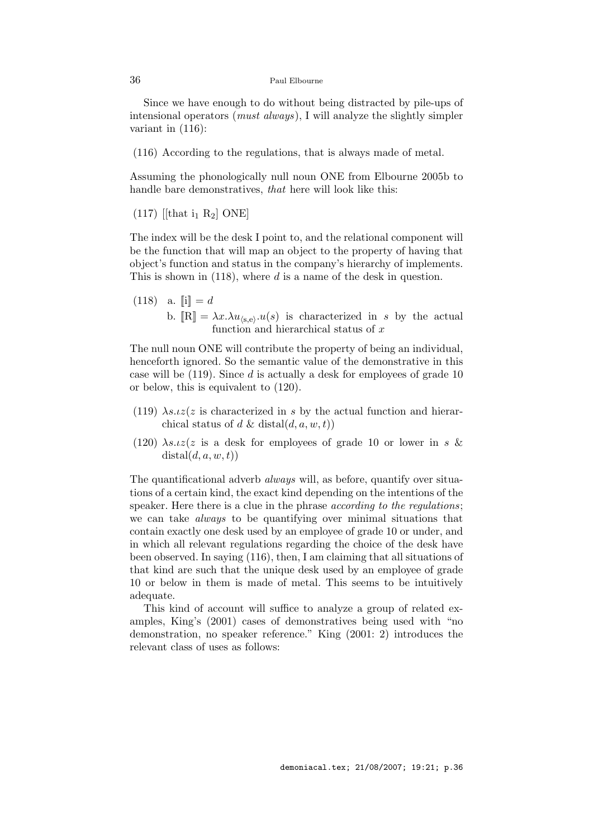Since we have enough to do without being distracted by pile-ups of intensional operators (must always), I will analyze the slightly simpler variant in (116):

(116) According to the regulations, that is always made of metal.

Assuming the phonologically null noun ONE from Elbourne 2005b to handle bare demonstratives, that here will look like this:

 $(117)$  [[that i<sub>1</sub> R<sub>2</sub>] ONE]

The index will be the desk I point to, and the relational component will be the function that will map an object to the property of having that object's function and status in the company's hierarchy of implements. This is shown in  $(118)$ , where d is a name of the desk in question.

(118) a.  $[i] = d$ b.  $[\mathbb{R}] = \lambda x . \lambda u_{\langle s,e \rangle}.u(s)$  is characterized in s by the actual function and hierarchical status of  $x$ 

The null noun ONE will contribute the property of being an individual, henceforth ignored. So the semantic value of the demonstrative in this case will be  $(119)$ . Since d is actually a desk for employees of grade 10 or below, this is equivalent to (120).

- (119)  $\lambda s.tz(z)$  is characterized in s by the actual function and hierarchical status of d & distal $(d, a, w, t)$
- (120)  $\lambda s.tz(z)$  is a desk for employees of grade 10 or lower in s &  $distal(d, a, w, t))$

The quantificational adverb *always* will, as before, quantify over situations of a certain kind, the exact kind depending on the intentions of the speaker. Here there is a clue in the phrase *according to the regulations*; we can take always to be quantifying over minimal situations that contain exactly one desk used by an employee of grade 10 or under, and in which all relevant regulations regarding the choice of the desk have been observed. In saying (116), then, I am claiming that all situations of that kind are such that the unique desk used by an employee of grade 10 or below in them is made of metal. This seems to be intuitively adequate.

This kind of account will suffice to analyze a group of related examples, King's (2001) cases of demonstratives being used with "no demonstration, no speaker reference." King (2001: 2) introduces the relevant class of uses as follows: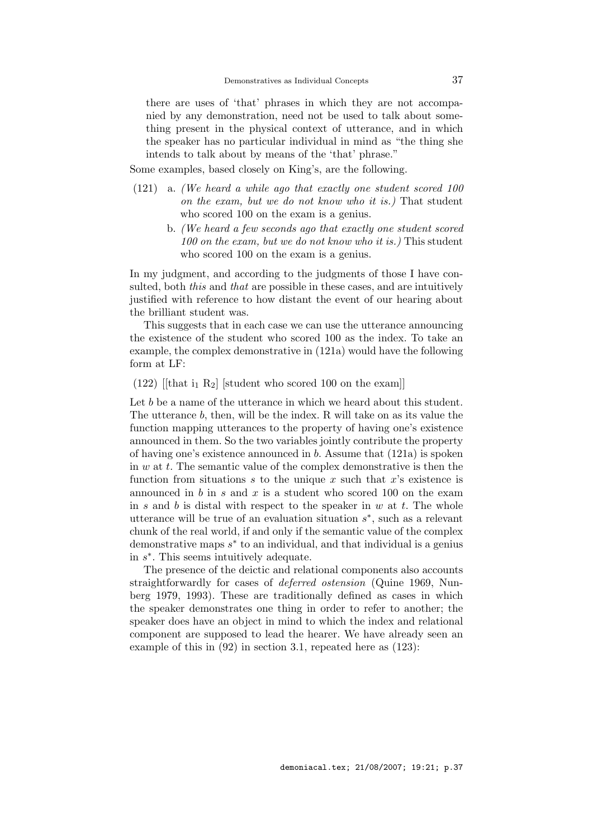there are uses of 'that' phrases in which they are not accompanied by any demonstration, need not be used to talk about something present in the physical context of utterance, and in which the speaker has no particular individual in mind as "the thing she intends to talk about by means of the 'that' phrase."

Some examples, based closely on King's, are the following.

- (121) a. (We heard a while ago that exactly one student scored 100 on the exam, but we do not know who it is.) That student who scored 100 on the exam is a genius.
	- b. (We heard a few seconds ago that exactly one student scored 100 on the exam, but we do not know who it is.) This student who scored 100 on the exam is a genius.

In my judgment, and according to the judgments of those I have consulted, both *this* and *that* are possible in these cases, and are intuitively justified with reference to how distant the event of our hearing about the brilliant student was.

This suggests that in each case we can use the utterance announcing the existence of the student who scored 100 as the index. To take an example, the complex demonstrative in (121a) would have the following form at LF:

(122) [[that  $i_1 R_2$ ] [student who scored 100 on the exam]]

Let b be a name of the utterance in which we heard about this student. The utterance b, then, will be the index. R will take on as its value the function mapping utterances to the property of having one's existence announced in them. So the two variables jointly contribute the property of having one's existence announced in b. Assume that (121a) is spoken in  $w$  at  $t$ . The semantic value of the complex demonstrative is then the function from situations s to the unique x such that  $x$ 's existence is announced in  $b$  in  $s$  and  $x$  is a student who scored 100 on the exam in s and b is distal with respect to the speaker in  $w$  at  $t$ . The whole utterance will be true of an evaluation situation  $s^*$ , such as a relevant chunk of the real world, if and only if the semantic value of the complex demonstrative maps  $s^*$  to an individual, and that individual is a genius in  $s^*$ . This seems intuitively adequate.

The presence of the deictic and relational components also accounts straightforwardly for cases of deferred ostension (Quine 1969, Nunberg 1979, 1993). These are traditionally defined as cases in which the speaker demonstrates one thing in order to refer to another; the speaker does have an object in mind to which the index and relational component are supposed to lead the hearer. We have already seen an example of this in (92) in section 3.1, repeated here as (123):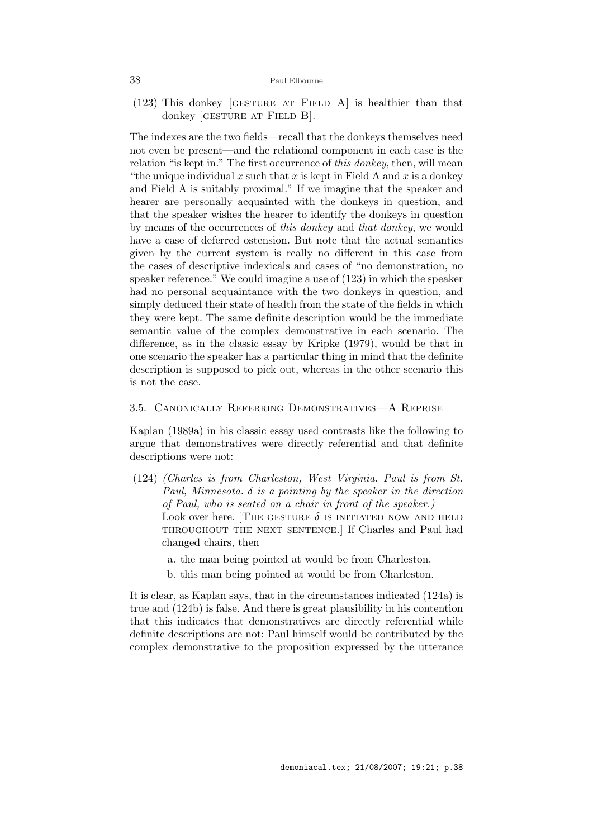$(123)$  This donkey [GESTURE AT FIELD A] is healthier than that donkey [GESTURE AT FIELD B].

The indexes are the two fields—recall that the donkeys themselves need not even be present—and the relational component in each case is the relation "is kept in." The first occurrence of this donkey, then, will mean "the unique individual x such that x is kept in Field A and x is a donkey" and Field A is suitably proximal." If we imagine that the speaker and hearer are personally acquainted with the donkeys in question, and that the speaker wishes the hearer to identify the donkeys in question by means of the occurrences of this donkey and that donkey, we would have a case of deferred ostension. But note that the actual semantics given by the current system is really no different in this case from the cases of descriptive indexicals and cases of "no demonstration, no speaker reference." We could imagine a use of (123) in which the speaker had no personal acquaintance with the two donkeys in question, and simply deduced their state of health from the state of the fields in which they were kept. The same definite description would be the immediate semantic value of the complex demonstrative in each scenario. The difference, as in the classic essay by Kripke (1979), would be that in one scenario the speaker has a particular thing in mind that the definite description is supposed to pick out, whereas in the other scenario this is not the case.

# 3.5. Canonically Referring Demonstratives—A Reprise

Kaplan (1989a) in his classic essay used contrasts like the following to argue that demonstratives were directly referential and that definite descriptions were not:

- (124) (Charles is from Charleston, West Virginia. Paul is from St. Paul, Minnesota.  $\delta$  is a pointing by the speaker in the direction of Paul, who is seated on a chair in front of the speaker.) Look over here. [THE GESTURE  $\delta$  is initiated now and held throughout the next sentence.] If Charles and Paul had changed chairs, then
	- a. the man being pointed at would be from Charleston.
	- b. this man being pointed at would be from Charleston.

It is clear, as Kaplan says, that in the circumstances indicated (124a) is true and (124b) is false. And there is great plausibility in his contention that this indicates that demonstratives are directly referential while definite descriptions are not: Paul himself would be contributed by the complex demonstrative to the proposition expressed by the utterance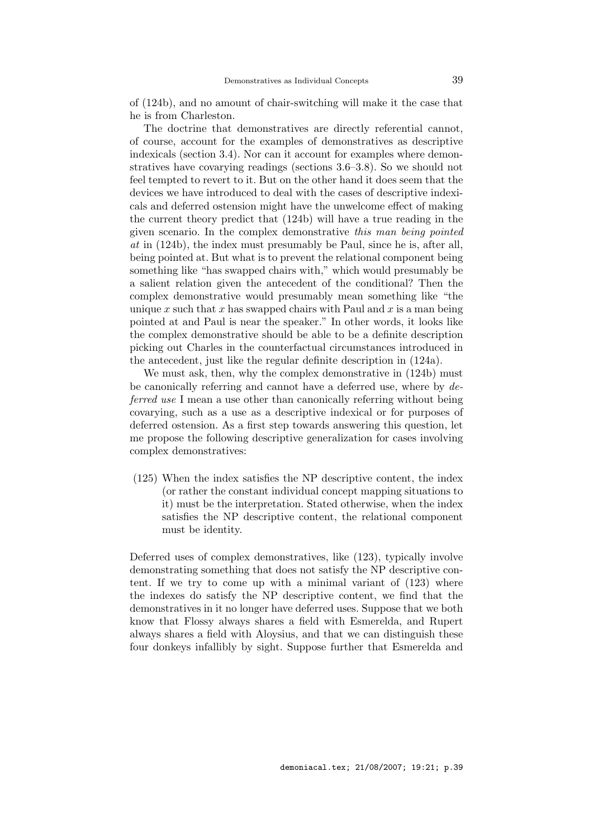of (124b), and no amount of chair-switching will make it the case that he is from Charleston.

The doctrine that demonstratives are directly referential cannot, of course, account for the examples of demonstratives as descriptive indexicals (section 3.4). Nor can it account for examples where demonstratives have covarying readings (sections 3.6–3.8). So we should not feel tempted to revert to it. But on the other hand it does seem that the devices we have introduced to deal with the cases of descriptive indexicals and deferred ostension might have the unwelcome effect of making the current theory predict that (124b) will have a true reading in the given scenario. In the complex demonstrative this man being pointed at in (124b), the index must presumably be Paul, since he is, after all, being pointed at. But what is to prevent the relational component being something like "has swapped chairs with," which would presumably be a salient relation given the antecedent of the conditional? Then the complex demonstrative would presumably mean something like "the unique x such that x has swapped chairs with Paul and x is a man being pointed at and Paul is near the speaker." In other words, it looks like the complex demonstrative should be able to be a definite description picking out Charles in the counterfactual circumstances introduced in the antecedent, just like the regular definite description in (124a).

We must ask, then, why the complex demonstrative in  $(124b)$  must be canonically referring and cannot have a deferred use, where by deferred use I mean a use other than canonically referring without being covarying, such as a use as a descriptive indexical or for purposes of deferred ostension. As a first step towards answering this question, let me propose the following descriptive generalization for cases involving complex demonstratives:

(125) When the index satisfies the NP descriptive content, the index (or rather the constant individual concept mapping situations to it) must be the interpretation. Stated otherwise, when the index satisfies the NP descriptive content, the relational component must be identity.

Deferred uses of complex demonstratives, like (123), typically involve demonstrating something that does not satisfy the NP descriptive content. If we try to come up with a minimal variant of (123) where the indexes do satisfy the NP descriptive content, we find that the demonstratives in it no longer have deferred uses. Suppose that we both know that Flossy always shares a field with Esmerelda, and Rupert always shares a field with Aloysius, and that we can distinguish these four donkeys infallibly by sight. Suppose further that Esmerelda and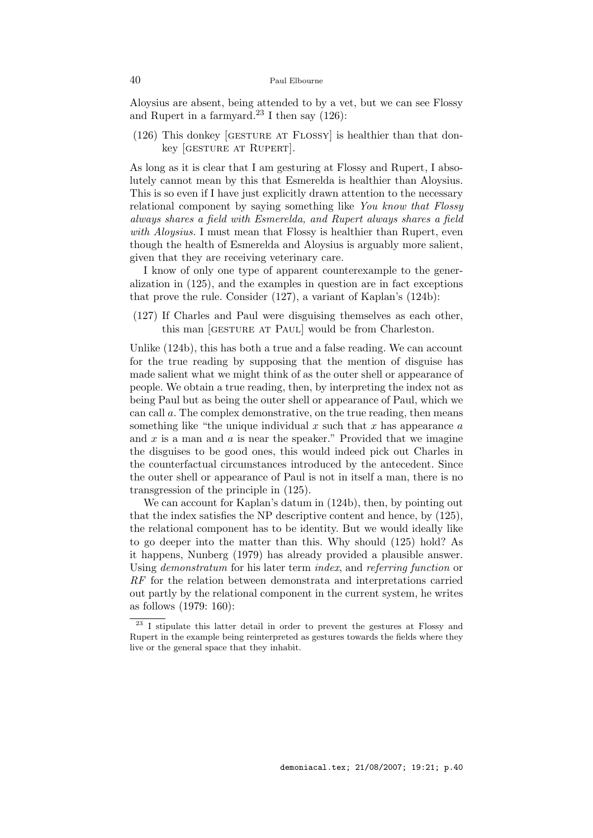Aloysius are absent, being attended to by a vet, but we can see Flossy and Rupert in a farmyard.<sup>23</sup> I then say  $(126)$ :

(126) This donkey [GESTURE AT FLOSSY] is healthier than that donkey [GESTURE AT RUPERT].

As long as it is clear that I am gesturing at Flossy and Rupert, I absolutely cannot mean by this that Esmerelda is healthier than Aloysius. This is so even if I have just explicitly drawn attention to the necessary relational component by saying something like You know that Flossy always shares a field with Esmerelda, and Rupert always shares a field with Aloysius. I must mean that Flossy is healthier than Rupert, even though the health of Esmerelda and Aloysius is arguably more salient, given that they are receiving veterinary care.

I know of only one type of apparent counterexample to the generalization in (125), and the examples in question are in fact exceptions that prove the rule. Consider (127), a variant of Kaplan's (124b):

(127) If Charles and Paul were disguising themselves as each other, this man [GESTURE AT PAUL] would be from Charleston.

Unlike (124b), this has both a true and a false reading. We can account for the true reading by supposing that the mention of disguise has made salient what we might think of as the outer shell or appearance of people. We obtain a true reading, then, by interpreting the index not as being Paul but as being the outer shell or appearance of Paul, which we can call a. The complex demonstrative, on the true reading, then means something like "the unique individual  $x$  such that  $x$  has appearance  $a$ and  $x$  is a man and  $a$  is near the speaker." Provided that we imagine the disguises to be good ones, this would indeed pick out Charles in the counterfactual circumstances introduced by the antecedent. Since the outer shell or appearance of Paul is not in itself a man, there is no transgression of the principle in (125).

We can account for Kaplan's datum in (124b), then, by pointing out that the index satisfies the NP descriptive content and hence, by (125), the relational component has to be identity. But we would ideally like to go deeper into the matter than this. Why should (125) hold? As it happens, Nunberg (1979) has already provided a plausible answer. Using demonstratum for his later term index, and referring function or RF for the relation between demonstrata and interpretations carried out partly by the relational component in the current system, he writes as follows (1979: 160):

 $\overline{\hspace{2cm}}$  23 I stipulate this latter detail in order to prevent the gestures at Flossy and Rupert in the example being reinterpreted as gestures towards the fields where they live or the general space that they inhabit.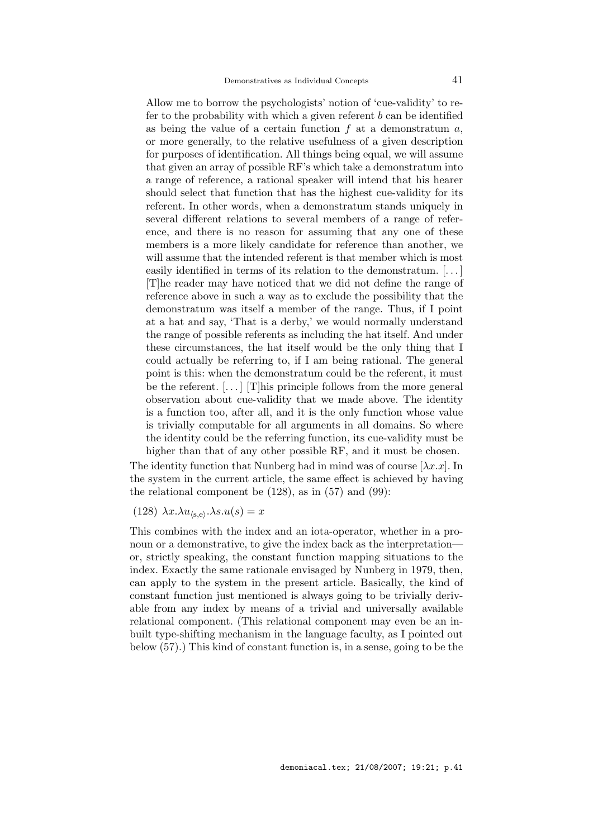Allow me to borrow the psychologists' notion of 'cue-validity' to refer to the probability with which a given referent  $b$  can be identified as being the value of a certain function  $f$  at a demonstratum  $a$ , or more generally, to the relative usefulness of a given description for purposes of identification. All things being equal, we will assume that given an array of possible RF's which take a demonstratum into a range of reference, a rational speaker will intend that his hearer should select that function that has the highest cue-validity for its referent. In other words, when a demonstratum stands uniquely in several different relations to several members of a range of reference, and there is no reason for assuming that any one of these members is a more likely candidate for reference than another, we will assume that the intended referent is that member which is most easily identified in terms of its relation to the demonstratum. [. . . ] [T]he reader may have noticed that we did not define the range of reference above in such a way as to exclude the possibility that the demonstratum was itself a member of the range. Thus, if I point at a hat and say, 'That is a derby,' we would normally understand the range of possible referents as including the hat itself. And under these circumstances, the hat itself would be the only thing that I could actually be referring to, if I am being rational. The general point is this: when the demonstratum could be the referent, it must be the referent.  $[...]$  [T]his principle follows from the more general observation about cue-validity that we made above. The identity is a function too, after all, and it is the only function whose value is trivially computable for all arguments in all domains. So where the identity could be the referring function, its cue-validity must be higher than that of any other possible RF, and it must be chosen.

The identity function that Nunberg had in mind was of course  $[\lambda x.x]$ . In the system in the current article, the same effect is achieved by having the relational component be  $(128)$ , as in  $(57)$  and  $(99)$ :

(128)  $\lambda x.\lambda u_{\langle s,e \rangle}.\lambda s.u(s) = x$ 

This combines with the index and an iota-operator, whether in a pronoun or a demonstrative, to give the index back as the interpretation or, strictly speaking, the constant function mapping situations to the index. Exactly the same rationale envisaged by Nunberg in 1979, then, can apply to the system in the present article. Basically, the kind of constant function just mentioned is always going to be trivially derivable from any index by means of a trivial and universally available relational component. (This relational component may even be an inbuilt type-shifting mechanism in the language faculty, as I pointed out below (57).) This kind of constant function is, in a sense, going to be the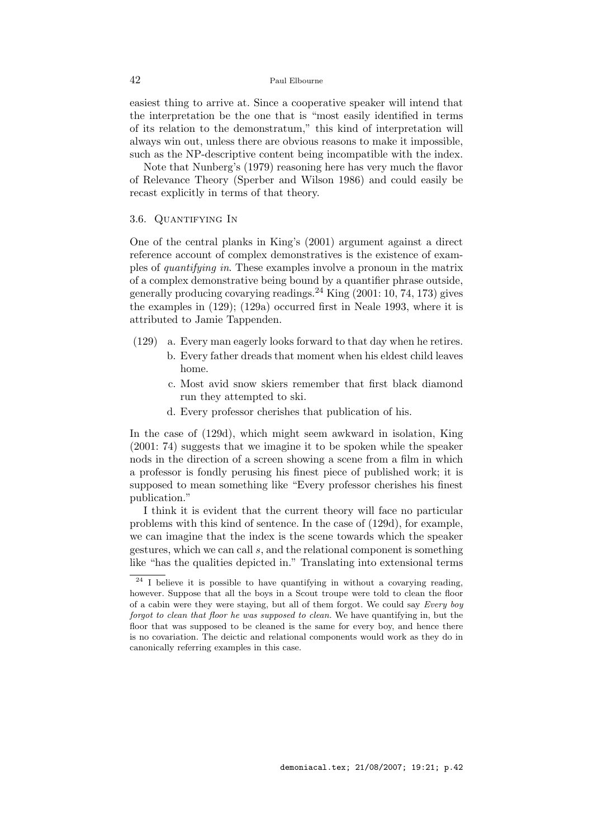easiest thing to arrive at. Since a cooperative speaker will intend that the interpretation be the one that is "most easily identified in terms of its relation to the demonstratum," this kind of interpretation will always win out, unless there are obvious reasons to make it impossible, such as the NP-descriptive content being incompatible with the index.

Note that Nunberg's (1979) reasoning here has very much the flavor of Relevance Theory (Sperber and Wilson 1986) and could easily be recast explicitly in terms of that theory.

# 3.6. Quantifying In

One of the central planks in King's (2001) argument against a direct reference account of complex demonstratives is the existence of examples of quantifying in. These examples involve a pronoun in the matrix of a complex demonstrative being bound by a quantifier phrase outside, generally producing covarying readings.<sup>24</sup> King  $(2001: 10, 74, 173)$  gives the examples in (129); (129a) occurred first in Neale 1993, where it is attributed to Jamie Tappenden.

- (129) a. Every man eagerly looks forward to that day when he retires.
	- b. Every father dreads that moment when his eldest child leaves home.
	- c. Most avid snow skiers remember that first black diamond run they attempted to ski.
	- d. Every professor cherishes that publication of his.

In the case of (129d), which might seem awkward in isolation, King (2001: 74) suggests that we imagine it to be spoken while the speaker nods in the direction of a screen showing a scene from a film in which a professor is fondly perusing his finest piece of published work; it is supposed to mean something like "Every professor cherishes his finest publication."

I think it is evident that the current theory will face no particular problems with this kind of sentence. In the case of (129d), for example, we can imagine that the index is the scene towards which the speaker gestures, which we can call s, and the relational component is something like "has the qualities depicted in." Translating into extensional terms

<sup>&</sup>lt;sup>24</sup> I believe it is possible to have quantifying in without a covarying reading, however. Suppose that all the boys in a Scout troupe were told to clean the floor of a cabin were they were staying, but all of them forgot. We could say Every boy forgot to clean that floor he was supposed to clean. We have quantifying in, but the floor that was supposed to be cleaned is the same for every boy, and hence there is no covariation. The deictic and relational components would work as they do in canonically referring examples in this case.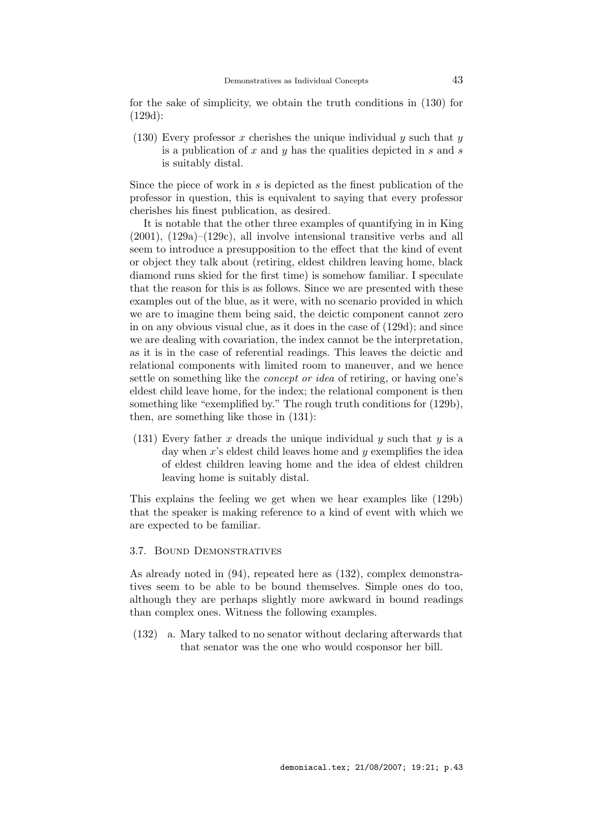for the sake of simplicity, we obtain the truth conditions in (130) for (129d):

(130) Every professor x cherishes the unique individual y such that y is a publication of x and y has the qualities depicted in s and s is suitably distal.

Since the piece of work in  $s$  is depicted as the finest publication of the professor in question, this is equivalent to saying that every professor cherishes his finest publication, as desired.

It is notable that the other three examples of quantifying in in King  $(2001)$ ,  $(129a)$ – $(129c)$ , all involve intensional transitive verbs and all seem to introduce a presupposition to the effect that the kind of event or object they talk about (retiring, eldest children leaving home, black diamond runs skied for the first time) is somehow familiar. I speculate that the reason for this is as follows. Since we are presented with these examples out of the blue, as it were, with no scenario provided in which we are to imagine them being said, the deictic component cannot zero in on any obvious visual clue, as it does in the case of (129d); and since we are dealing with covariation, the index cannot be the interpretation, as it is in the case of referential readings. This leaves the deictic and relational components with limited room to maneuver, and we hence settle on something like the concept or idea of retiring, or having one's eldest child leave home, for the index; the relational component is then something like "exemplified by." The rough truth conditions for (129b), then, are something like those in (131):

(131) Every father x dreads the unique individual y such that y is a day when  $x$ 's eldest child leaves home and  $y$  exemplifies the idea of eldest children leaving home and the idea of eldest children leaving home is suitably distal.

This explains the feeling we get when we hear examples like (129b) that the speaker is making reference to a kind of event with which we are expected to be familiar.

# 3.7. Bound Demonstratives

As already noted in (94), repeated here as (132), complex demonstratives seem to be able to be bound themselves. Simple ones do too, although they are perhaps slightly more awkward in bound readings than complex ones. Witness the following examples.

(132) a. Mary talked to no senator without declaring afterwards that that senator was the one who would cosponsor her bill.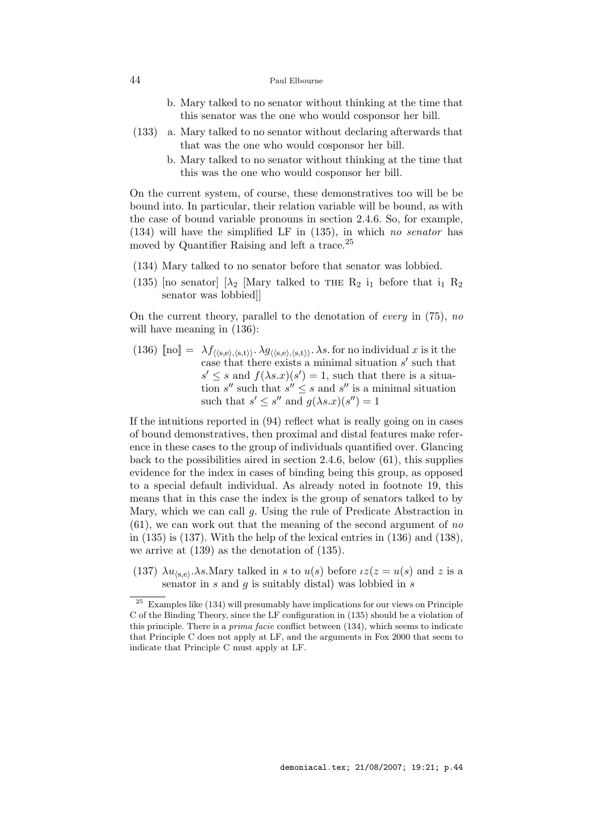- b. Mary talked to no senator without thinking at the time that this senator was the one who would cosponsor her bill.
- (133) a. Mary talked to no senator without declaring afterwards that that was the one who would cosponsor her bill.
	- b. Mary talked to no senator without thinking at the time that this was the one who would cosponsor her bill.

On the current system, of course, these demonstratives too will be be bound into. In particular, their relation variable will be bound, as with the case of bound variable pronouns in section 2.4.6. So, for example, (134) will have the simplified LF in (135), in which no senator has moved by Quantifier Raising and left a trace.<sup>25</sup>

- (134) Mary talked to no senator before that senator was lobbied.
- (135) [no senator]  $[\lambda_2$  [Mary talked to THE  $R_2$  i<sub>1</sub> before that i<sub>1</sub>  $R_2$ senator was lobbied]]

On the current theory, parallel to the denotation of *every* in  $(75)$ , no will have meaning in (136):

(136)  $\llbracket \text{no} \rrbracket = \lambda f_{\langle \langle \text{s},\text{e} \rangle,\langle \text{s},\text{t} \rangle \rangle} \cdot \lambda g_{\langle \langle \text{s},\text{e} \rangle,\langle \text{s},\text{t} \rangle \rangle} \cdot \lambda s$ . for no individual x is it the case that there exists a minimal situation  $s'$  such that  $s' \leq s$  and  $f(\lambda s.x)(s') = 1$ , such that there is a situation s'' such that  $s'' \leq s$  and s'' is a minimal situation such that  $s' \leq s''$  and  $g(\lambda s.x)(s'') = 1$ 

If the intuitions reported in (94) reflect what is really going on in cases of bound demonstratives, then proximal and distal features make reference in these cases to the group of individuals quantified over. Glancing back to the possibilities aired in section 2.4.6, below (61), this supplies evidence for the index in cases of binding being this group, as opposed to a special default individual. As already noted in footnote 19, this means that in this case the index is the group of senators talked to by Mary, which we can call g. Using the rule of Predicate Abstraction in  $(61)$ , we can work out that the meaning of the second argument of no in  $(135)$  is  $(137)$ . With the help of the lexical entries in  $(136)$  and  $(138)$ , we arrive at (139) as the denotation of (135).

(137)  $\lambda u_{(s,e)}$ .  $\lambda s$ . Mary talked in s to  $u(s)$  before  $\iota z(z = u(s)$  and z is a senator in  $s$  and  $q$  is suitably distal) was lobbied in  $s$ 

 $25$  Examples like (134) will presumably have implications for our views on Principle C of the Binding Theory, since the LF configuration in (135) should be a violation of this principle. There is a *prima facie* conflict between (134), which seems to indicate that Principle C does not apply at LF, and the arguments in Fox 2000 that seem to indicate that Principle C must apply at LF.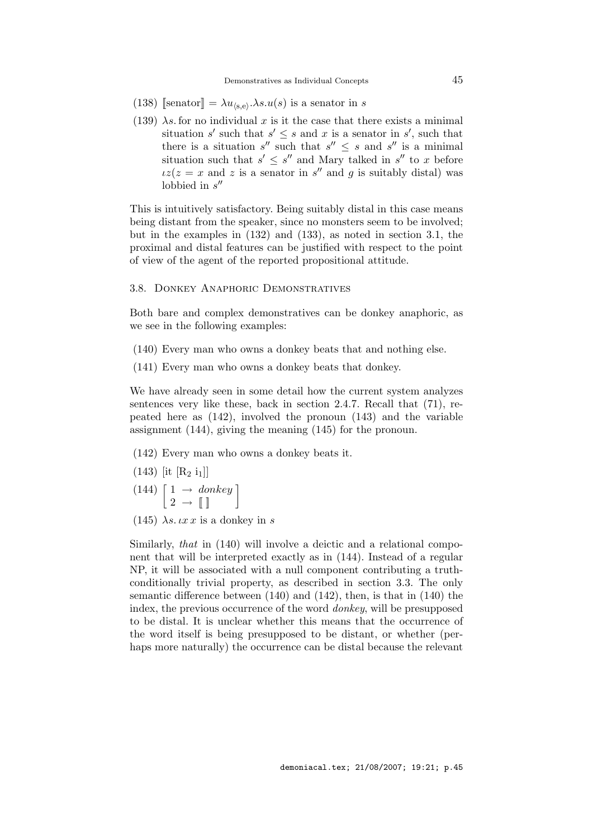- (138) [senator] =  $\lambda u_{\langle s,e \rangle} \cdot \lambda s. u(s)$  is a senator in s
- (139)  $\lambda s$  for no individual x is it the case that there exists a minimal situation s' such that  $s' \leq s$  and x is a senator in s', such that there is a situation  $s''$  such that  $s'' \leq s$  and  $s''$  is a minimal situation such that  $s' \leq s''$  and Mary talked in  $s''$  to x before  $iz(z = x$  and z is a senator in s'' and g is suitably distal) was lobbied in  $s''$

This is intuitively satisfactory. Being suitably distal in this case means being distant from the speaker, since no monsters seem to be involved; but in the examples in (132) and (133), as noted in section 3.1, the proximal and distal features can be justified with respect to the point of view of the agent of the reported propositional attitude.

# 3.8. Donkey Anaphoric Demonstratives

Both bare and complex demonstratives can be donkey anaphoric, as we see in the following examples:

- (140) Every man who owns a donkey beats that and nothing else.
- (141) Every man who owns a donkey beats that donkey.

We have already seen in some detail how the current system analyzes sentences very like these, back in section 2.4.7. Recall that (71), repeated here as (142), involved the pronoun (143) and the variable assignment (144), giving the meaning (145) for the pronoun.

(142) Every man who owns a donkey beats it.

- $(143)$  [it [R<sub>2</sub> i<sub>1</sub>]]
- $(144) \left[ \begin{matrix} 1 \rightarrow \text{ donkey} \\ 2 \rightarrow \mathbb{I} \end{matrix} \right]$
- (145)  $\lambda s. \iota x \iota x$  is a donkey in s

Similarly, that in (140) will involve a deictic and a relational component that will be interpreted exactly as in (144). Instead of a regular NP, it will be associated with a null component contributing a truthconditionally trivial property, as described in section 3.3. The only semantic difference between (140) and (142), then, is that in (140) the index, the previous occurrence of the word donkey, will be presupposed to be distal. It is unclear whether this means that the occurrence of the word itself is being presupposed to be distant, or whether (perhaps more naturally) the occurrence can be distal because the relevant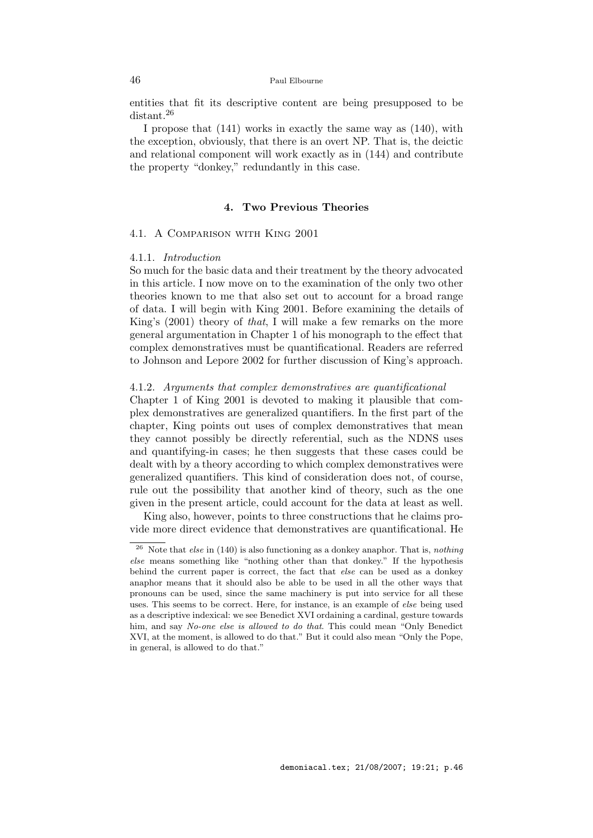entities that fit its descriptive content are being presupposed to be distant.<sup>26</sup>

I propose that (141) works in exactly the same way as (140), with the exception, obviously, that there is an overt NP. That is, the deictic and relational component will work exactly as in (144) and contribute the property "donkey," redundantly in this case.

# 4. Two Previous Theories

# 4.1. A Comparison with King 2001

#### 4.1.1. Introduction

So much for the basic data and their treatment by the theory advocated in this article. I now move on to the examination of the only two other theories known to me that also set out to account for a broad range of data. I will begin with King 2001. Before examining the details of King's (2001) theory of that, I will make a few remarks on the more general argumentation in Chapter 1 of his monograph to the effect that complex demonstratives must be quantificational. Readers are referred to Johnson and Lepore 2002 for further discussion of King's approach.

## 4.1.2. Arguments that complex demonstratives are quantificational

Chapter 1 of King 2001 is devoted to making it plausible that complex demonstratives are generalized quantifiers. In the first part of the chapter, King points out uses of complex demonstratives that mean they cannot possibly be directly referential, such as the NDNS uses and quantifying-in cases; he then suggests that these cases could be dealt with by a theory according to which complex demonstratives were generalized quantifiers. This kind of consideration does not, of course, rule out the possibility that another kind of theory, such as the one given in the present article, could account for the data at least as well.

King also, however, points to three constructions that he claims provide more direct evidence that demonstratives are quantificational. He

<sup>&</sup>lt;sup>26</sup> Note that *else* in (140) is also functioning as a donkey anaphor. That is, *nothing* else means something like "nothing other than that donkey." If the hypothesis behind the current paper is correct, the fact that else can be used as a donkey anaphor means that it should also be able to be used in all the other ways that pronouns can be used, since the same machinery is put into service for all these uses. This seems to be correct. Here, for instance, is an example of else being used as a descriptive indexical: we see Benedict XVI ordaining a cardinal, gesture towards him, and say No-one else is allowed to do that. This could mean "Only Benedict" XVI, at the moment, is allowed to do that." But it could also mean "Only the Pope, in general, is allowed to do that."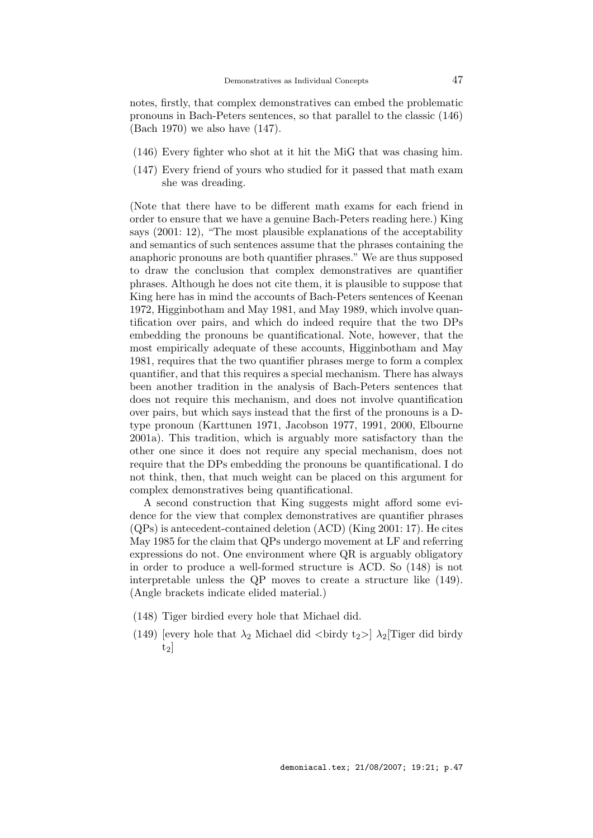notes, firstly, that complex demonstratives can embed the problematic pronouns in Bach-Peters sentences, so that parallel to the classic (146) (Bach 1970) we also have (147).

- (146) Every fighter who shot at it hit the MiG that was chasing him.
- (147) Every friend of yours who studied for it passed that math exam she was dreading.

(Note that there have to be different math exams for each friend in order to ensure that we have a genuine Bach-Peters reading here.) King says (2001: 12), "The most plausible explanations of the acceptability and semantics of such sentences assume that the phrases containing the anaphoric pronouns are both quantifier phrases." We are thus supposed to draw the conclusion that complex demonstratives are quantifier phrases. Although he does not cite them, it is plausible to suppose that King here has in mind the accounts of Bach-Peters sentences of Keenan 1972, Higginbotham and May 1981, and May 1989, which involve quantification over pairs, and which do indeed require that the two DPs embedding the pronouns be quantificational. Note, however, that the most empirically adequate of these accounts, Higginbotham and May 1981, requires that the two quantifier phrases merge to form a complex quantifier, and that this requires a special mechanism. There has always been another tradition in the analysis of Bach-Peters sentences that does not require this mechanism, and does not involve quantification over pairs, but which says instead that the first of the pronouns is a Dtype pronoun (Karttunen 1971, Jacobson 1977, 1991, 2000, Elbourne 2001a). This tradition, which is arguably more satisfactory than the other one since it does not require any special mechanism, does not require that the DPs embedding the pronouns be quantificational. I do not think, then, that much weight can be placed on this argument for complex demonstratives being quantificational.

A second construction that King suggests might afford some evidence for the view that complex demonstratives are quantifier phrases (QPs) is antecedent-contained deletion (ACD) (King 2001: 17). He cites May 1985 for the claim that QPs undergo movement at LF and referring expressions do not. One environment where QR is arguably obligatory in order to produce a well-formed structure is ACD. So (148) is not interpretable unless the QP moves to create a structure like (149). (Angle brackets indicate elided material.)

- (148) Tiger birdied every hole that Michael did.
- (149) [every hole that  $\lambda_2$  Michael did  $\langle$ birdy t<sub>2</sub>>]  $\lambda_2$ [Tiger did birdy  $t_2$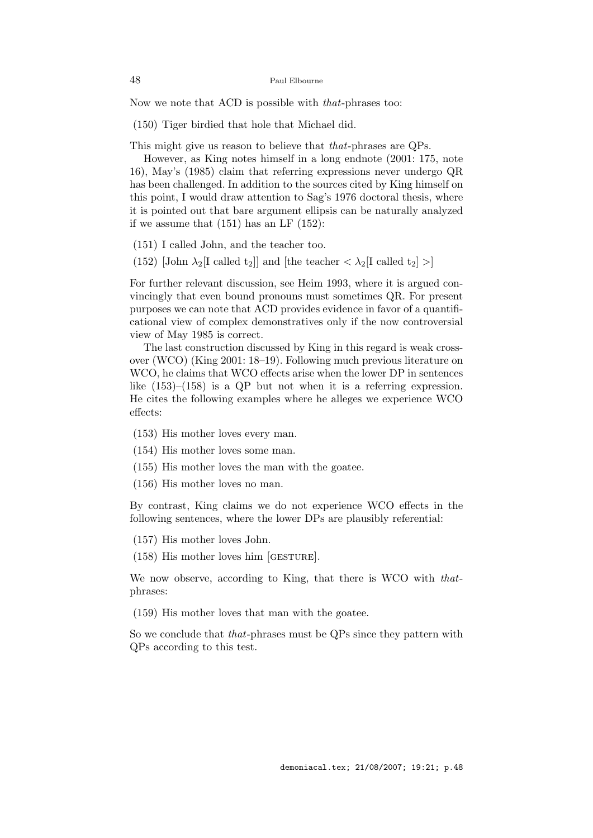Now we note that ACD is possible with that-phrases too:

(150) Tiger birdied that hole that Michael did.

This might give us reason to believe that that-phrases are QPs.

However, as King notes himself in a long endnote (2001: 175, note 16), May's (1985) claim that referring expressions never undergo QR has been challenged. In addition to the sources cited by King himself on this point, I would draw attention to Sag's 1976 doctoral thesis, where it is pointed out that bare argument ellipsis can be naturally analyzed if we assume that  $(151)$  has an LF  $(152)$ :

(151) I called John, and the teacher too.

(152) [John  $\lambda_2$ [I called t<sub>2</sub>]] and [the teacher  $\langle \lambda_2 | I \text{ called } t_2 \rangle$ ]

For further relevant discussion, see Heim 1993, where it is argued convincingly that even bound pronouns must sometimes QR. For present purposes we can note that ACD provides evidence in favor of a quantificational view of complex demonstratives only if the now controversial view of May 1985 is correct.

The last construction discussed by King in this regard is weak crossover (WCO) (King 2001: 18–19). Following much previous literature on WCO, he claims that WCO effects arise when the lower DP in sentences like  $(153)$ – $(158)$  is a QP but not when it is a referring expression. He cites the following examples where he alleges we experience WCO effects:

- (153) His mother loves every man.
- (154) His mother loves some man.
- (155) His mother loves the man with the goatee.
- (156) His mother loves no man.

By contrast, King claims we do not experience WCO effects in the following sentences, where the lower DPs are plausibly referential:

- (157) His mother loves John.
- (158) His mother loves him [gesture].

We now observe, according to King, that there is WCO with *that*phrases:

(159) His mother loves that man with the goatee.

So we conclude that that-phrases must be QPs since they pattern with QPs according to this test.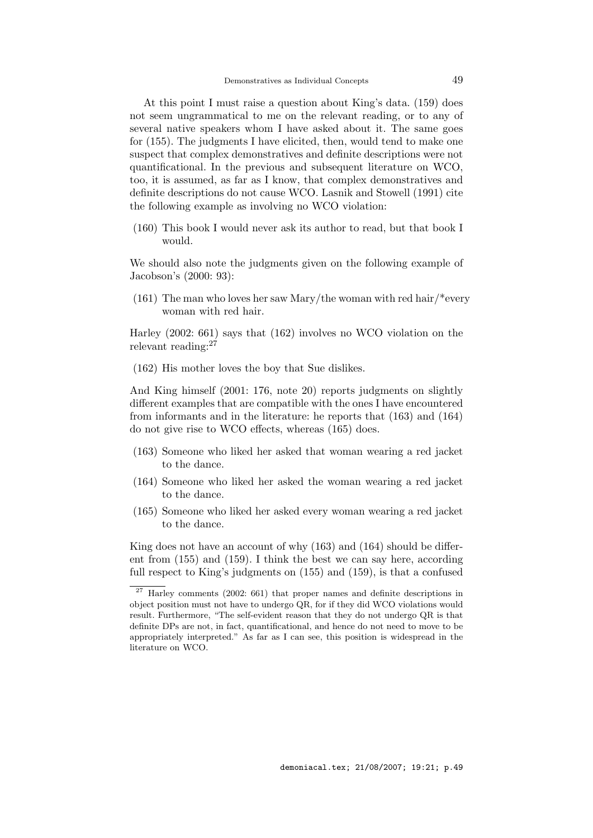At this point I must raise a question about King's data. (159) does not seem ungrammatical to me on the relevant reading, or to any of several native speakers whom I have asked about it. The same goes for (155). The judgments I have elicited, then, would tend to make one suspect that complex demonstratives and definite descriptions were not quantificational. In the previous and subsequent literature on WCO, too, it is assumed, as far as I know, that complex demonstratives and definite descriptions do not cause WCO. Lasnik and Stowell (1991) cite the following example as involving no WCO violation:

(160) This book I would never ask its author to read, but that book I would.

We should also note the judgments given on the following example of Jacobson's (2000: 93):

(161) The man who loves her saw Mary/the woman with red hair/\*every woman with red hair.

Harley (2002: 661) says that (162) involves no WCO violation on the relevant reading:<sup>27</sup>

(162) His mother loves the boy that Sue dislikes.

And King himself (2001: 176, note 20) reports judgments on slightly different examples that are compatible with the ones I have encountered from informants and in the literature: he reports that (163) and (164) do not give rise to WCO effects, whereas (165) does.

- (163) Someone who liked her asked that woman wearing a red jacket to the dance.
- (164) Someone who liked her asked the woman wearing a red jacket to the dance.
- (165) Someone who liked her asked every woman wearing a red jacket to the dance.

King does not have an account of why (163) and (164) should be different from (155) and (159). I think the best we can say here, according full respect to King's judgments on (155) and (159), is that a confused

 $\frac{27}{27}$  Harley comments (2002: 661) that proper names and definite descriptions in object position must not have to undergo QR, for if they did WCO violations would result. Furthermore, "The self-evident reason that they do not undergo QR is that definite DPs are not, in fact, quantificational, and hence do not need to move to be appropriately interpreted." As far as I can see, this position is widespread in the literature on WCO.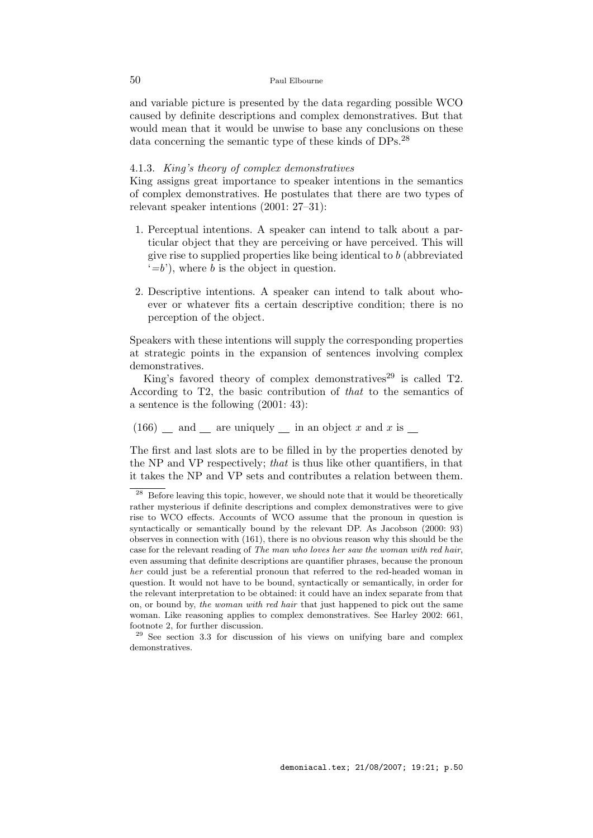and variable picture is presented by the data regarding possible WCO caused by definite descriptions and complex demonstratives. But that would mean that it would be unwise to base any conclusions on these data concerning the semantic type of these kinds of DPs.<sup>28</sup>

# 4.1.3. King's theory of complex demonstratives

King assigns great importance to speaker intentions in the semantics of complex demonstratives. He postulates that there are two types of relevant speaker intentions (2001: 27–31):

- 1. Perceptual intentions. A speaker can intend to talk about a particular object that they are perceiving or have perceived. This will give rise to supplied properties like being identical to  $b$  (abbreviated  $(-b)$ , where b is the object in question.
- 2. Descriptive intentions. A speaker can intend to talk about whoever or whatever fits a certain descriptive condition; there is no perception of the object.

Speakers with these intentions will supply the corresponding properties at strategic points in the expansion of sentences involving complex demonstratives.

King's favored theory of complex demonstratives<sup>29</sup> is called  $T2$ . According to T2, the basic contribution of that to the semantics of a sentence is the following (2001: 43):

 $(166)$  and mean are uniquely in an object x and x is  $\equiv$ 

The first and last slots are to be filled in by the properties denoted by the NP and VP respectively; that is thus like other quantifiers, in that it takes the NP and VP sets and contributes a relation between them.

 $28$  Before leaving this topic, however, we should note that it would be theoretically rather mysterious if definite descriptions and complex demonstratives were to give rise to WCO effects. Accounts of WCO assume that the pronoun in question is syntactically or semantically bound by the relevant DP. As Jacobson (2000: 93) observes in connection with (161), there is no obvious reason why this should be the case for the relevant reading of The man who loves her saw the woman with red hair, even assuming that definite descriptions are quantifier phrases, because the pronoun her could just be a referential pronoun that referred to the red-headed woman in question. It would not have to be bound, syntactically or semantically, in order for the relevant interpretation to be obtained: it could have an index separate from that on, or bound by, the woman with red hair that just happened to pick out the same woman. Like reasoning applies to complex demonstratives. See Harley 2002: 661, footnote 2, for further discussion.

<sup>&</sup>lt;sup>29</sup> See section 3.3 for discussion of his views on unifying bare and complex demonstratives.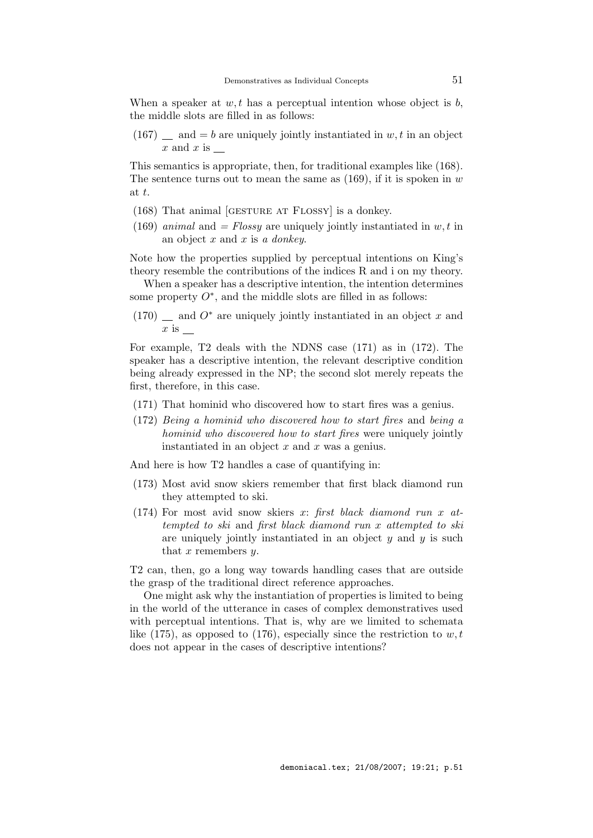When a speaker at  $w, t$  has a perceptual intention whose object is  $b$ , the middle slots are filled in as follows:

 $(167)$  and  $= b$  are uniquely jointly instantiated in w, t in an object  $x$  and  $x$  is

This semantics is appropriate, then, for traditional examples like (168). The sentence turns out to mean the same as  $(169)$ , if it is spoken in w at t.

- (168) That animal [gesture at Flossy] is a donkey.
- (169) animal and = Flossy are uniquely jointly instantiated in  $w, t$  in an object  $x$  and  $x$  is a *donkey*.

Note how the properties supplied by perceptual intentions on King's theory resemble the contributions of the indices R and i on my theory.

When a speaker has a descriptive intention, the intention determines some property  $O^*$ , and the middle slots are filled in as follows:

 $(170)$  and  $O^*$  are uniquely jointly instantiated in an object x and  $x$  is

For example, T2 deals with the NDNS case (171) as in (172). The speaker has a descriptive intention, the relevant descriptive condition being already expressed in the NP; the second slot merely repeats the first, therefore, in this case.

- (171) That hominid who discovered how to start fires was a genius.
- (172) Being a hominid who discovered how to start fires and being a hominid who discovered how to start fires were uniquely jointly instantiated in an object  $x$  and  $x$  was a genius.

And here is how T2 handles a case of quantifying in:

- (173) Most avid snow skiers remember that first black diamond run they attempted to ski.
- (174) For most avid snow skiers x: first black diamond run x attempted to ski and first black diamond run x attempted to ski are uniquely jointly instantiated in an object  $y$  and  $y$  is such that  $x$  remembers  $y$ .

T2 can, then, go a long way towards handling cases that are outside the grasp of the traditional direct reference approaches.

One might ask why the instantiation of properties is limited to being in the world of the utterance in cases of complex demonstratives used with perceptual intentions. That is, why are we limited to schemata like (175), as opposed to (176), especially since the restriction to  $w, t$ does not appear in the cases of descriptive intentions?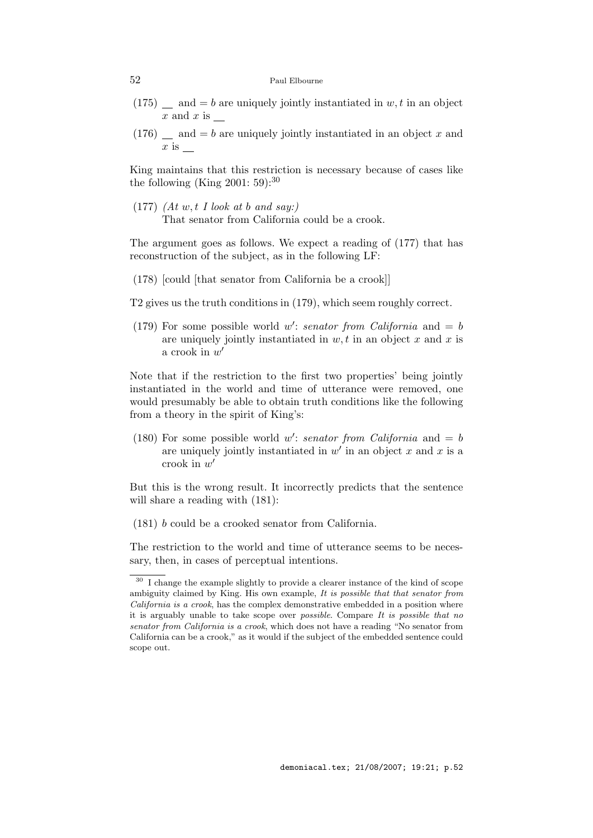- $(175)$  and  $= b$  are uniquely jointly instantiated in w, t in an object  $x$  and  $x$  is
- $(176)$  and  $= b$  are uniquely jointly instantiated in an object x and  $x$  is

King maintains that this restriction is necessary because of cases like the following (King  $2001:59$ ):<sup>30</sup>

(177)  $(At w, t I look at b and say.)$ That senator from California could be a crook.

The argument goes as follows. We expect a reading of (177) that has reconstruction of the subject, as in the following LF:

(178) [could [that senator from California be a crook]]

T2 gives us the truth conditions in (179), which seem roughly correct.

(179) For some possible world w': senator from California and  $= b$ are uniquely jointly instantiated in  $w, t$  in an object x and x is a crook in  $w'$ 

Note that if the restriction to the first two properties' being jointly instantiated in the world and time of utterance were removed, one would presumably be able to obtain truth conditions like the following from a theory in the spirit of King's:

(180) For some possible world w': senator from California and  $= b$ are uniquely jointly instantiated in  $w'$  in an object x and x is a crook in  $w'$ 

But this is the wrong result. It incorrectly predicts that the sentence will share a reading with (181):

(181) b could be a crooked senator from California.

The restriction to the world and time of utterance seems to be necessary, then, in cases of perceptual intentions.

 $\frac{30}{1}$  I change the example slightly to provide a clearer instance of the kind of scope ambiguity claimed by King. His own example, It is possible that that senator from California is a crook, has the complex demonstrative embedded in a position where it is arguably unable to take scope over *possible*. Compare  $It$  is possible that no senator from California is a crook, which does not have a reading "No senator from California can be a crook," as it would if the subject of the embedded sentence could scope out.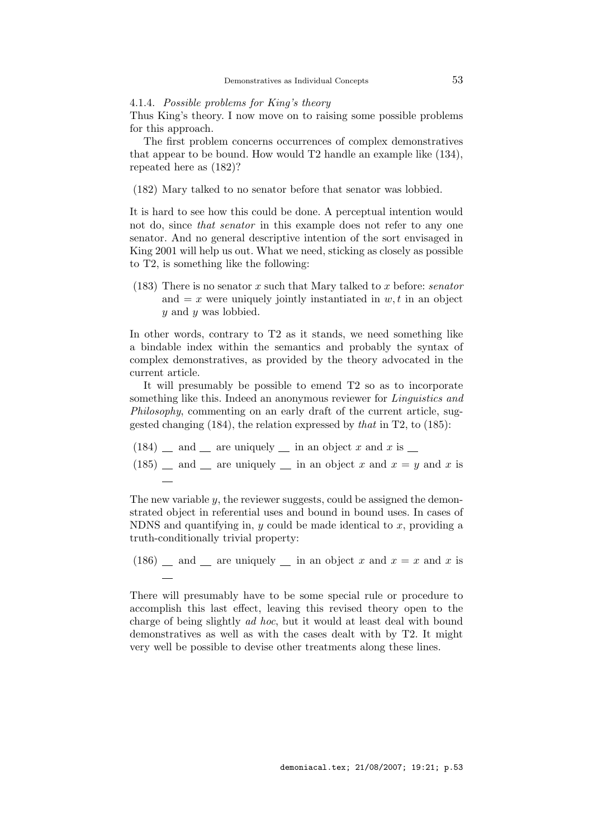4.1.4. Possible problems for King's theory

Thus King's theory. I now move on to raising some possible problems for this approach.

The first problem concerns occurrences of complex demonstratives that appear to be bound. How would T2 handle an example like (134), repeated here as (182)?

(182) Mary talked to no senator before that senator was lobbied.

It is hard to see how this could be done. A perceptual intention would not do, since that senator in this example does not refer to any one senator. And no general descriptive intention of the sort envisaged in King 2001 will help us out. What we need, sticking as closely as possible to T2, is something like the following:

(183) There is no senator x such that Mary talked to x before: *senator* and  $= x$  were uniquely jointly instantiated in  $w, t$  in an object y and y was lobbied.

In other words, contrary to T2 as it stands, we need something like a bindable index within the semantics and probably the syntax of complex demonstratives, as provided by the theory advocated in the current article.

It will presumably be possible to emend T2 so as to incorporate something like this. Indeed an anonymous reviewer for *Linguistics and* Philosophy, commenting on an early draft of the current article, suggested changing  $(184)$ , the relation expressed by that in T2, to  $(185)$ :

- $(184)$  and  $\equiv$  are uniquely  $\equiv$  in an object x and x is  $\equiv$
- (185)  $\equiv$  and  $\equiv$  are uniquely  $\equiv$  in an object x and  $x = y$  and x is

The new variable  $y$ , the reviewer suggests, could be assigned the demonstrated object in referential uses and bound in bound uses. In cases of NDNS and quantifying in,  $y$  could be made identical to  $x$ , providing a truth-conditionally trivial property:

(186) and are uniquely in an object x and  $x = x$  and x is

There will presumably have to be some special rule or procedure to accomplish this last effect, leaving this revised theory open to the charge of being slightly ad hoc, but it would at least deal with bound demonstratives as well as with the cases dealt with by T2. It might very well be possible to devise other treatments along these lines.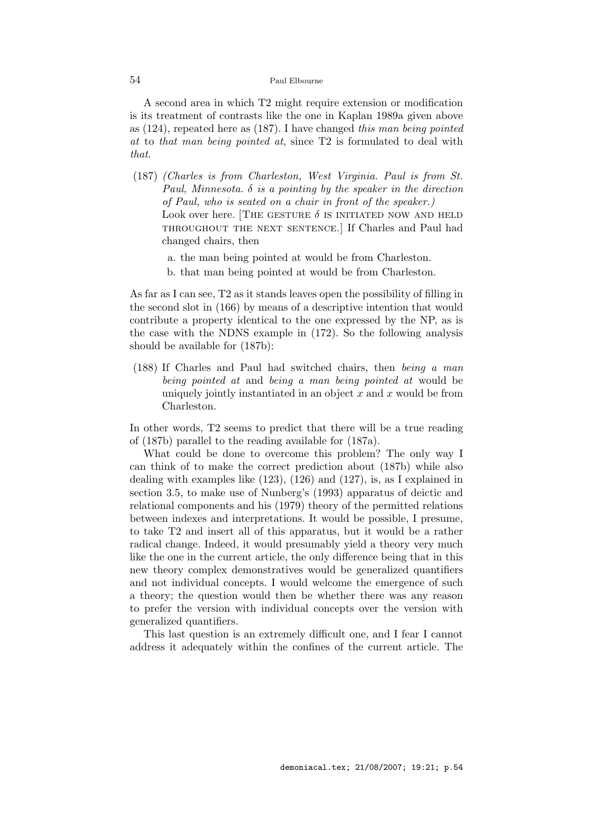A second area in which T2 might require extension or modification is its treatment of contrasts like the one in Kaplan 1989a given above as (124), repeated here as (187). I have changed this man being pointed at to that man being pointed at, since T2 is formulated to deal with that.

- (187) (Charles is from Charleston, West Virginia. Paul is from St. Paul, Minnesota.  $\delta$  is a pointing by the speaker in the direction of Paul, who is seated on a chair in front of the speaker.) Look over here. THE GESTURE  $\delta$  is initiated now and held throughout the next sentence.] If Charles and Paul had changed chairs, then
	- a. the man being pointed at would be from Charleston.
	- b. that man being pointed at would be from Charleston.

As far as I can see, T2 as it stands leaves open the possibility of filling in the second slot in (166) by means of a descriptive intention that would contribute a property identical to the one expressed by the NP, as is the case with the NDNS example in (172). So the following analysis should be available for (187b):

(188) If Charles and Paul had switched chairs, then being a man being pointed at and being a man being pointed at would be uniquely jointly instantiated in an object  $x$  and  $x$  would be from Charleston.

In other words, T2 seems to predict that there will be a true reading of (187b) parallel to the reading available for (187a).

What could be done to overcome this problem? The only way I can think of to make the correct prediction about (187b) while also dealing with examples like (123), (126) and (127), is, as I explained in section 3.5, to make use of Nunberg's (1993) apparatus of deictic and relational components and his (1979) theory of the permitted relations between indexes and interpretations. It would be possible, I presume, to take T2 and insert all of this apparatus, but it would be a rather radical change. Indeed, it would presumably yield a theory very much like the one in the current article, the only difference being that in this new theory complex demonstratives would be generalized quantifiers and not individual concepts. I would welcome the emergence of such a theory; the question would then be whether there was any reason to prefer the version with individual concepts over the version with generalized quantifiers.

This last question is an extremely difficult one, and I fear I cannot address it adequately within the confines of the current article. The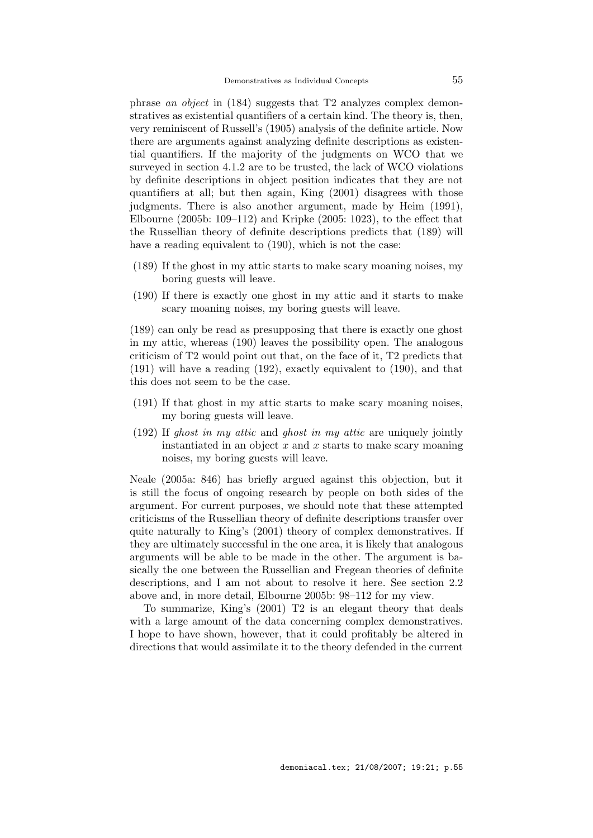phrase an object in (184) suggests that T2 analyzes complex demonstratives as existential quantifiers of a certain kind. The theory is, then, very reminiscent of Russell's (1905) analysis of the definite article. Now there are arguments against analyzing definite descriptions as existential quantifiers. If the majority of the judgments on WCO that we surveyed in section 4.1.2 are to be trusted, the lack of WCO violations by definite descriptions in object position indicates that they are not quantifiers at all; but then again, King (2001) disagrees with those judgments. There is also another argument, made by Heim (1991), Elbourne (2005b: 109–112) and Kripke (2005: 1023), to the effect that the Russellian theory of definite descriptions predicts that (189) will have a reading equivalent to  $(190)$ , which is not the case:

- (189) If the ghost in my attic starts to make scary moaning noises, my boring guests will leave.
- (190) If there is exactly one ghost in my attic and it starts to make scary moaning noises, my boring guests will leave.

(189) can only be read as presupposing that there is exactly one ghost in my attic, whereas (190) leaves the possibility open. The analogous criticism of T2 would point out that, on the face of it, T2 predicts that (191) will have a reading (192), exactly equivalent to (190), and that this does not seem to be the case.

- (191) If that ghost in my attic starts to make scary moaning noises, my boring guests will leave.
- (192) If ghost in my attic and ghost in my attic are uniquely jointly instantiated in an object  $x$  and  $x$  starts to make scary moaning noises, my boring guests will leave.

Neale (2005a: 846) has briefly argued against this objection, but it is still the focus of ongoing research by people on both sides of the argument. For current purposes, we should note that these attempted criticisms of the Russellian theory of definite descriptions transfer over quite naturally to King's (2001) theory of complex demonstratives. If they are ultimately successful in the one area, it is likely that analogous arguments will be able to be made in the other. The argument is basically the one between the Russellian and Fregean theories of definite descriptions, and I am not about to resolve it here. See section 2.2 above and, in more detail, Elbourne 2005b: 98–112 for my view.

To summarize, King's (2001) T2 is an elegant theory that deals with a large amount of the data concerning complex demonstratives. I hope to have shown, however, that it could profitably be altered in directions that would assimilate it to the theory defended in the current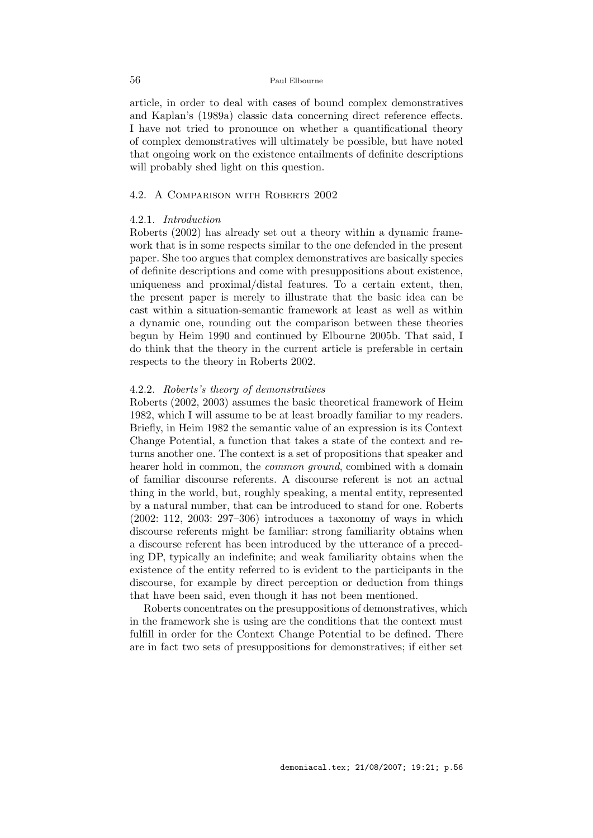article, in order to deal with cases of bound complex demonstratives and Kaplan's (1989a) classic data concerning direct reference effects. I have not tried to pronounce on whether a quantificational theory of complex demonstratives will ultimately be possible, but have noted that ongoing work on the existence entailments of definite descriptions will probably shed light on this question.

# 4.2. A Comparison with Roberts 2002

### 4.2.1. Introduction

Roberts (2002) has already set out a theory within a dynamic framework that is in some respects similar to the one defended in the present paper. She too argues that complex demonstratives are basically species of definite descriptions and come with presuppositions about existence, uniqueness and proximal/distal features. To a certain extent, then, the present paper is merely to illustrate that the basic idea can be cast within a situation-semantic framework at least as well as within a dynamic one, rounding out the comparison between these theories begun by Heim 1990 and continued by Elbourne 2005b. That said, I do think that the theory in the current article is preferable in certain respects to the theory in Roberts 2002.

# 4.2.2. Roberts's theory of demonstratives

Roberts (2002, 2003) assumes the basic theoretical framework of Heim 1982, which I will assume to be at least broadly familiar to my readers. Briefly, in Heim 1982 the semantic value of an expression is its Context Change Potential, a function that takes a state of the context and returns another one. The context is a set of propositions that speaker and hearer hold in common, the *common ground*, combined with a domain of familiar discourse referents. A discourse referent is not an actual thing in the world, but, roughly speaking, a mental entity, represented by a natural number, that can be introduced to stand for one. Roberts (2002: 112, 2003: 297–306) introduces a taxonomy of ways in which discourse referents might be familiar: strong familiarity obtains when a discourse referent has been introduced by the utterance of a preceding DP, typically an indefinite; and weak familiarity obtains when the existence of the entity referred to is evident to the participants in the discourse, for example by direct perception or deduction from things that have been said, even though it has not been mentioned.

Roberts concentrates on the presuppositions of demonstratives, which in the framework she is using are the conditions that the context must fulfill in order for the Context Change Potential to be defined. There are in fact two sets of presuppositions for demonstratives; if either set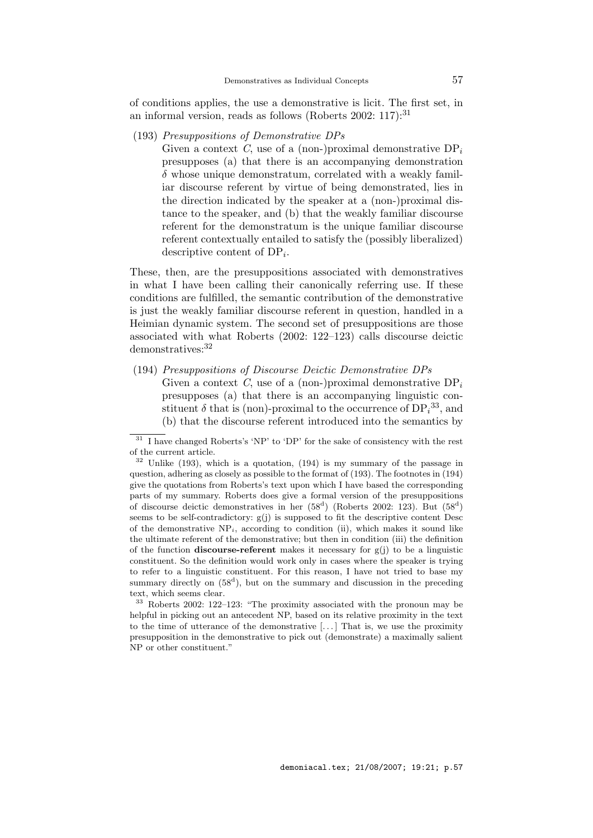of conditions applies, the use a demonstrative is licit. The first set, in an informal version, reads as follows (Roberts 2002: 117):<sup>31</sup>

(193) Presuppositions of Demonstrative DPs

Given a context C, use of a (non-)proximal demonstrative  $DP_i$ presupposes (a) that there is an accompanying demonstration  $\delta$  whose unique demonstratum, correlated with a weakly familiar discourse referent by virtue of being demonstrated, lies in the direction indicated by the speaker at a (non-)proximal distance to the speaker, and (b) that the weakly familiar discourse referent for the demonstratum is the unique familiar discourse referent contextually entailed to satisfy the (possibly liberalized) descriptive content of  $DP_i$ .

These, then, are the presuppositions associated with demonstratives in what I have been calling their canonically referring use. If these conditions are fulfilled, the semantic contribution of the demonstrative is just the weakly familiar discourse referent in question, handled in a Heimian dynamic system. The second set of presuppositions are those associated with what Roberts (2002: 122–123) calls discourse deictic demonstratives:<sup>32</sup>

(194) Presuppositions of Discourse Deictic Demonstrative DPs Given a context C, use of a (non-)proximal demonstrative  $DP_i$ presupposes (a) that there is an accompanying linguistic constituent  $\delta$  that is (non)-proximal to the occurrence of  $DP_i^{33}$ , and (b) that the discourse referent introduced into the semantics by

 $31$  I have changed Roberts's 'NP' to 'DP' for the sake of consistency with the rest of the current article.

 $32$  Unlike (193), which is a quotation, (194) is my summary of the passage in question, adhering as closely as possible to the format of (193). The footnotes in (194) give the quotations from Roberts's text upon which I have based the corresponding parts of my summary. Roberts does give a formal version of the presuppositions of discourse deictic demonstratives in her  $(58^d)$  (Roberts 2002: 123). But  $(58^d)$ seems to be self-contradictory:  $g(i)$  is supposed to fit the descriptive content Desc of the demonstrative  $NP_i$ , according to condition (ii), which makes it sound like the ultimate referent of the demonstrative; but then in condition (iii) the definition of the function **discourse-referent** makes it necessary for  $g(j)$  to be a linguistic constituent. So the definition would work only in cases where the speaker is trying to refer to a linguistic constituent. For this reason, I have not tried to base my summary directly on  $(58^d)$ , but on the summary and discussion in the preceding text, which seems clear.

<sup>33</sup> Roberts 2002: 122–123: "The proximity associated with the pronoun may be helpful in picking out an antecedent NP, based on its relative proximity in the text to the time of utterance of the demonstrative  $[\dots]$  That is, we use the proximity presupposition in the demonstrative to pick out (demonstrate) a maximally salient NP or other constituent."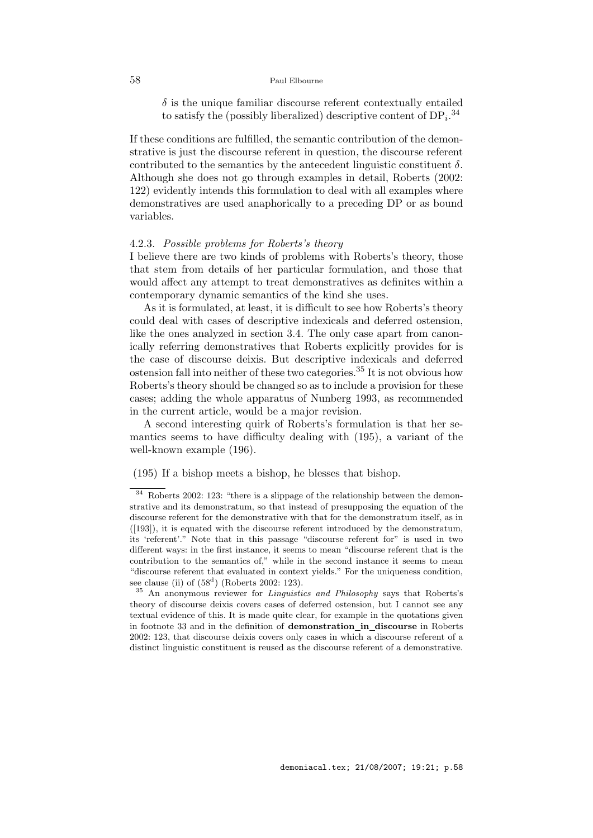$\delta$  is the unique familiar discourse referent contextually entailed to satisfy the (possibly liberalized) descriptive content of  $DP_i$ .<sup>34</sup>

If these conditions are fulfilled, the semantic contribution of the demonstrative is just the discourse referent in question, the discourse referent contributed to the semantics by the antecedent linguistic constituent  $\delta$ . Although she does not go through examples in detail, Roberts (2002: 122) evidently intends this formulation to deal with all examples where demonstratives are used anaphorically to a preceding DP or as bound variables.

## 4.2.3. Possible problems for Roberts's theory

I believe there are two kinds of problems with Roberts's theory, those that stem from details of her particular formulation, and those that would affect any attempt to treat demonstratives as definites within a contemporary dynamic semantics of the kind she uses.

As it is formulated, at least, it is difficult to see how Roberts's theory could deal with cases of descriptive indexicals and deferred ostension, like the ones analyzed in section 3.4. The only case apart from canonically referring demonstratives that Roberts explicitly provides for is the case of discourse deixis. But descriptive indexicals and deferred ostension fall into neither of these two categories.<sup>35</sup> It is not obvious how Roberts's theory should be changed so as to include a provision for these cases; adding the whole apparatus of Nunberg 1993, as recommended in the current article, would be a major revision.

A second interesting quirk of Roberts's formulation is that her semantics seems to have difficulty dealing with (195), a variant of the well-known example (196).

# (195) If a bishop meets a bishop, he blesses that bishop.

<sup>34</sup> Roberts 2002: 123: "there is a slippage of the relationship between the demonstrative and its demonstratum, so that instead of presupposing the equation of the discourse referent for the demonstrative with that for the demonstratum itself, as in ([193]), it is equated with the discourse referent introduced by the demonstratum, its 'referent'." Note that in this passage "discourse referent for" is used in two different ways: in the first instance, it seems to mean "discourse referent that is the contribution to the semantics of," while in the second instance it seems to mean "discourse referent that evaluated in context yields." For the uniqueness condition, see clause (ii) of  $(58^d)$  (Roberts 2002: 123).

An anonymous reviewer for *Linguistics and Philosophy* says that Roberts's theory of discourse deixis covers cases of deferred ostension, but I cannot see any textual evidence of this. It is made quite clear, for example in the quotations given in footnote 33 and in the definition of demonstration in discourse in Roberts 2002: 123, that discourse deixis covers only cases in which a discourse referent of a distinct linguistic constituent is reused as the discourse referent of a demonstrative.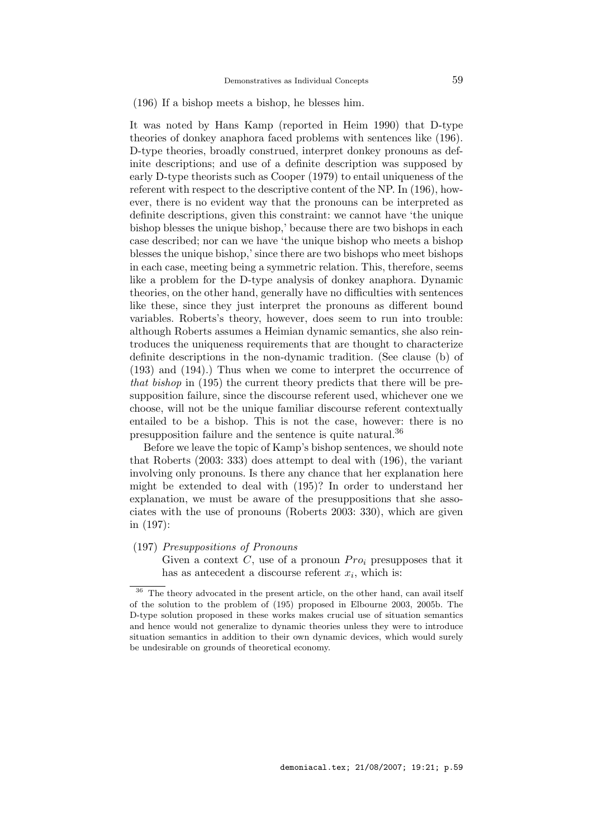# (196) If a bishop meets a bishop, he blesses him.

It was noted by Hans Kamp (reported in Heim 1990) that D-type theories of donkey anaphora faced problems with sentences like (196). D-type theories, broadly construed, interpret donkey pronouns as definite descriptions; and use of a definite description was supposed by early D-type theorists such as Cooper (1979) to entail uniqueness of the referent with respect to the descriptive content of the NP. In (196), however, there is no evident way that the pronouns can be interpreted as definite descriptions, given this constraint: we cannot have 'the unique bishop blesses the unique bishop,' because there are two bishops in each case described; nor can we have 'the unique bishop who meets a bishop blesses the unique bishop,' since there are two bishops who meet bishops in each case, meeting being a symmetric relation. This, therefore, seems like a problem for the D-type analysis of donkey anaphora. Dynamic theories, on the other hand, generally have no difficulties with sentences like these, since they just interpret the pronouns as different bound variables. Roberts's theory, however, does seem to run into trouble: although Roberts assumes a Heimian dynamic semantics, she also reintroduces the uniqueness requirements that are thought to characterize definite descriptions in the non-dynamic tradition. (See clause (b) of (193) and (194).) Thus when we come to interpret the occurrence of that bishop in (195) the current theory predicts that there will be presupposition failure, since the discourse referent used, whichever one we choose, will not be the unique familiar discourse referent contextually entailed to be a bishop. This is not the case, however: there is no presupposition failure and the sentence is quite natural.<sup>36</sup>

Before we leave the topic of Kamp's bishop sentences, we should note that Roberts (2003: 333) does attempt to deal with (196), the variant involving only pronouns. Is there any chance that her explanation here might be extended to deal with (195)? In order to understand her explanation, we must be aware of the presuppositions that she associates with the use of pronouns (Roberts 2003: 330), which are given in (197):

#### (197) Presuppositions of Pronouns

Given a context  $C$ , use of a pronoun  $Pro<sub>i</sub>$  presupposes that it has as antecedent a discourse referent  $x_i$ , which is:

 $36$  The theory advocated in the present article, on the other hand, can avail itself of the solution to the problem of (195) proposed in Elbourne 2003, 2005b. The D-type solution proposed in these works makes crucial use of situation semantics and hence would not generalize to dynamic theories unless they were to introduce situation semantics in addition to their own dynamic devices, which would surely be undesirable on grounds of theoretical economy.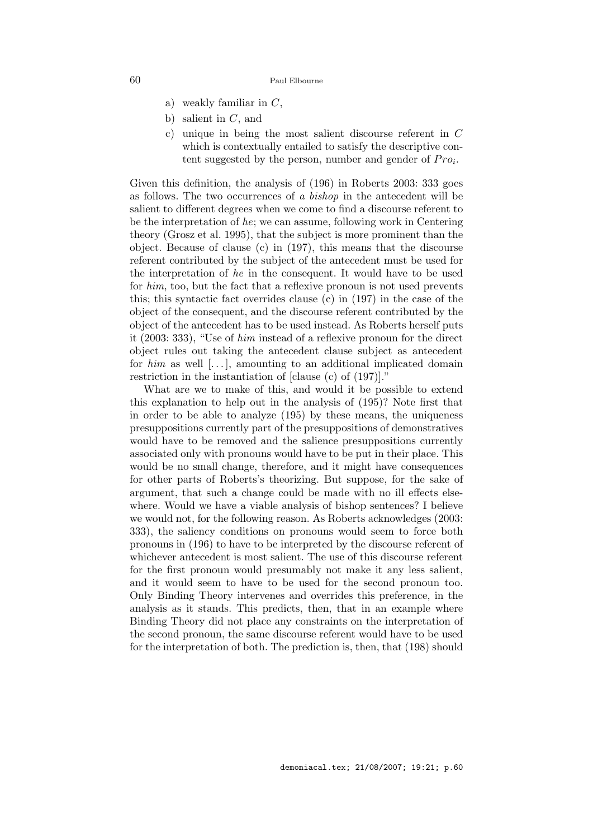- a) weakly familiar in  $C$ ,
- b) salient in  $C$ , and
- c) unique in being the most salient discourse referent in C which is contextually entailed to satisfy the descriptive content suggested by the person, number and gender of  $Pro_i$ .

Given this definition, the analysis of (196) in Roberts 2003: 333 goes as follows. The two occurrences of a bishop in the antecedent will be salient to different degrees when we come to find a discourse referent to be the interpretation of he; we can assume, following work in Centering theory (Grosz et al. 1995), that the subject is more prominent than the object. Because of clause (c) in (197), this means that the discourse referent contributed by the subject of the antecedent must be used for the interpretation of he in the consequent. It would have to be used for him, too, but the fact that a reflexive pronoun is not used prevents this; this syntactic fact overrides clause (c) in (197) in the case of the object of the consequent, and the discourse referent contributed by the object of the antecedent has to be used instead. As Roberts herself puts it (2003: 333), "Use of him instead of a reflexive pronoun for the direct object rules out taking the antecedent clause subject as antecedent for  $him$  as well  $[...]$ , amounting to an additional implicated domain restriction in the instantiation of [clause (c) of (197)]."

What are we to make of this, and would it be possible to extend this explanation to help out in the analysis of (195)? Note first that in order to be able to analyze (195) by these means, the uniqueness presuppositions currently part of the presuppositions of demonstratives would have to be removed and the salience presuppositions currently associated only with pronouns would have to be put in their place. This would be no small change, therefore, and it might have consequences for other parts of Roberts's theorizing. But suppose, for the sake of argument, that such a change could be made with no ill effects elsewhere. Would we have a viable analysis of bishop sentences? I believe we would not, for the following reason. As Roberts acknowledges (2003: 333), the saliency conditions on pronouns would seem to force both pronouns in (196) to have to be interpreted by the discourse referent of whichever antecedent is most salient. The use of this discourse referent for the first pronoun would presumably not make it any less salient, and it would seem to have to be used for the second pronoun too. Only Binding Theory intervenes and overrides this preference, in the analysis as it stands. This predicts, then, that in an example where Binding Theory did not place any constraints on the interpretation of the second pronoun, the same discourse referent would have to be used for the interpretation of both. The prediction is, then, that (198) should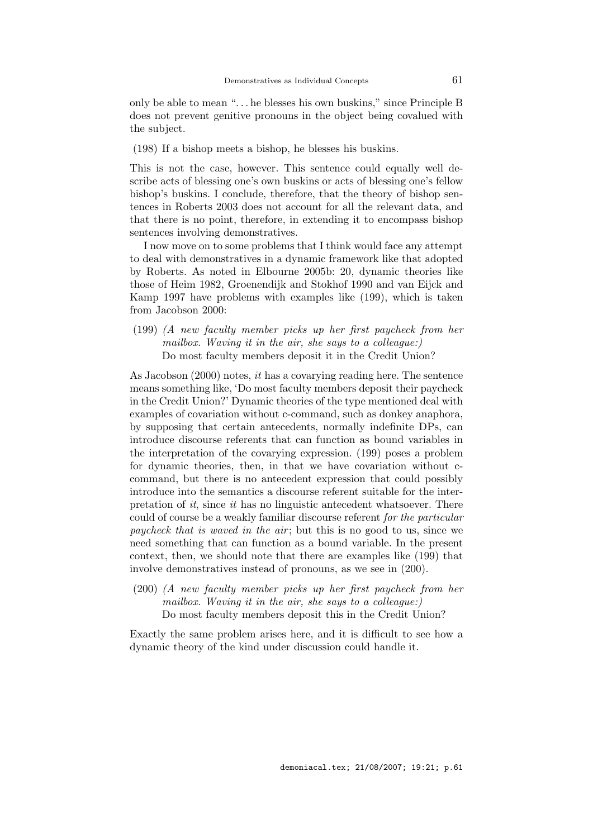only be able to mean ". . . he blesses his own buskins," since Principle B does not prevent genitive pronouns in the object being covalued with the subject.

(198) If a bishop meets a bishop, he blesses his buskins.

This is not the case, however. This sentence could equally well describe acts of blessing one's own buskins or acts of blessing one's fellow bishop's buskins. I conclude, therefore, that the theory of bishop sentences in Roberts 2003 does not account for all the relevant data, and that there is no point, therefore, in extending it to encompass bishop sentences involving demonstratives.

I now move on to some problems that I think would face any attempt to deal with demonstratives in a dynamic framework like that adopted by Roberts. As noted in Elbourne 2005b: 20, dynamic theories like those of Heim 1982, Groenendijk and Stokhof 1990 and van Eijck and Kamp 1997 have problems with examples like (199), which is taken from Jacobson 2000:

(199) (A new faculty member picks up her first paycheck from her mailbox. Waving it in the air, she says to a colleague:) Do most faculty members deposit it in the Credit Union?

As Jacobson (2000) notes, it has a covarying reading here. The sentence means something like, 'Do most faculty members deposit their paycheck in the Credit Union?' Dynamic theories of the type mentioned deal with examples of covariation without c-command, such as donkey anaphora, by supposing that certain antecedents, normally indefinite DPs, can introduce discourse referents that can function as bound variables in the interpretation of the covarying expression. (199) poses a problem for dynamic theories, then, in that we have covariation without ccommand, but there is no antecedent expression that could possibly introduce into the semantics a discourse referent suitable for the interpretation of it, since it has no linguistic antecedent whatsoever. There could of course be a weakly familiar discourse referent for the particular paycheck that is waved in the air ; but this is no good to us, since we need something that can function as a bound variable. In the present context, then, we should note that there are examples like (199) that involve demonstratives instead of pronouns, as we see in (200).

(200) (A new faculty member picks up her first paycheck from her mailbox. Waving it in the air, she says to a colleague:) Do most faculty members deposit this in the Credit Union?

Exactly the same problem arises here, and it is difficult to see how a dynamic theory of the kind under discussion could handle it.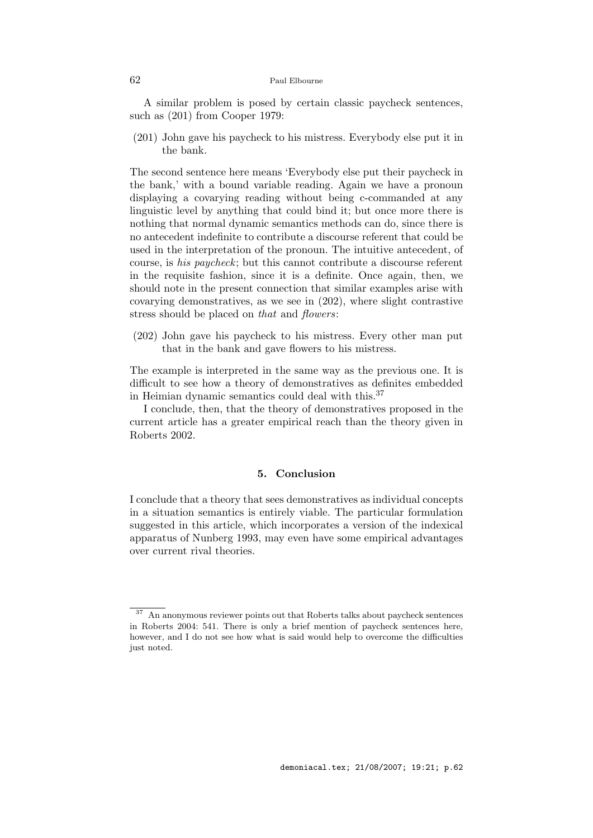A similar problem is posed by certain classic paycheck sentences, such as (201) from Cooper 1979:

(201) John gave his paycheck to his mistress. Everybody else put it in the bank.

The second sentence here means 'Everybody else put their paycheck in the bank,' with a bound variable reading. Again we have a pronoun displaying a covarying reading without being c-commanded at any linguistic level by anything that could bind it; but once more there is nothing that normal dynamic semantics methods can do, since there is no antecedent indefinite to contribute a discourse referent that could be used in the interpretation of the pronoun. The intuitive antecedent, of course, is his paycheck; but this cannot contribute a discourse referent in the requisite fashion, since it is a definite. Once again, then, we should note in the present connection that similar examples arise with covarying demonstratives, as we see in (202), where slight contrastive stress should be placed on that and flowers:

(202) John gave his paycheck to his mistress. Every other man put that in the bank and gave flowers to his mistress.

The example is interpreted in the same way as the previous one. It is difficult to see how a theory of demonstratives as definites embedded in Heimian dynamic semantics could deal with this.<sup>37</sup>

I conclude, then, that the theory of demonstratives proposed in the current article has a greater empirical reach than the theory given in Roberts 2002.

# 5. Conclusion

I conclude that a theory that sees demonstratives as individual concepts in a situation semantics is entirely viable. The particular formulation suggested in this article, which incorporates a version of the indexical apparatus of Nunberg 1993, may even have some empirical advantages over current rival theories.

<sup>37</sup> An anonymous reviewer points out that Roberts talks about paycheck sentences in Roberts 2004: 541. There is only a brief mention of paycheck sentences here, however, and I do not see how what is said would help to overcome the difficulties just noted.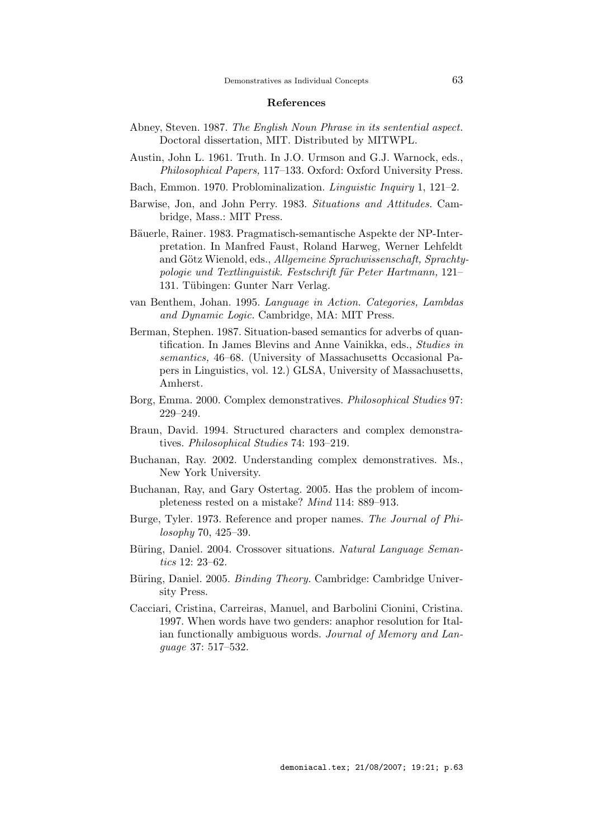## References

- Abney, Steven. 1987. The English Noun Phrase in its sentential aspect. Doctoral dissertation, MIT. Distributed by MITWPL.
- Austin, John L. 1961. Truth. In J.O. Urmson and G.J. Warnock, eds., Philosophical Papers, 117–133. Oxford: Oxford University Press.
- Bach, Emmon. 1970. Problominalization. Linguistic Inquiry 1, 121–2.
- Barwise, Jon, and John Perry. 1983. Situations and Attitudes. Cambridge, Mass.: MIT Press.
- Bäuerle, Rainer. 1983. Pragmatisch-semantische Aspekte der NP-Interpretation. In Manfred Faust, Roland Harweg, Werner Lehfeldt and Götz Wienold, eds., Allgemeine Sprachwissenschaft, Sprachtypologie und Textlinguistik. Festschrift für Peter Hartmann, 121– 131. Tübingen: Gunter Narr Verlag.
- van Benthem, Johan. 1995. Language in Action. Categories, Lambdas and Dynamic Logic. Cambridge, MA: MIT Press.
- Berman, Stephen. 1987. Situation-based semantics for adverbs of quantification. In James Blevins and Anne Vainikka, eds., Studies in semantics, 46–68. (University of Massachusetts Occasional Papers in Linguistics, vol. 12.) GLSA, University of Massachusetts, Amherst.
- Borg, Emma. 2000. Complex demonstratives. Philosophical Studies 97: 229–249.
- Braun, David. 1994. Structured characters and complex demonstratives. Philosophical Studies 74: 193–219.
- Buchanan, Ray. 2002. Understanding complex demonstratives. Ms., New York University.
- Buchanan, Ray, and Gary Ostertag. 2005. Has the problem of incompleteness rested on a mistake? Mind 114: 889–913.
- Burge, Tyler. 1973. Reference and proper names. The Journal of Philosophy 70, 425–39.
- Büring, Daniel. 2004. Crossover situations. Natural Language Semantics 12: 23–62.
- Büring, Daniel. 2005. Binding Theory. Cambridge: Cambridge University Press.
- Cacciari, Cristina, Carreiras, Manuel, and Barbolini Cionini, Cristina. 1997. When words have two genders: anaphor resolution for Italian functionally ambiguous words. Journal of Memory and Language 37: 517–532.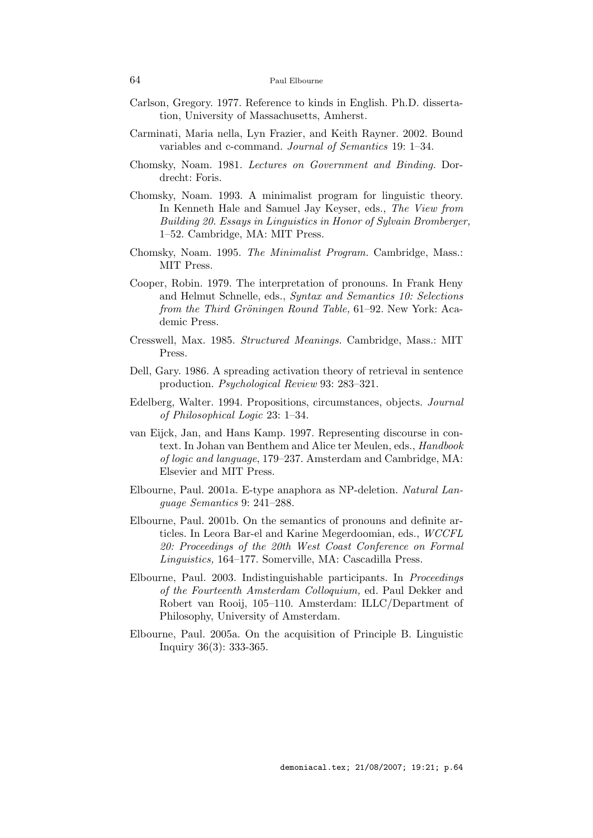- Carlson, Gregory. 1977. Reference to kinds in English. Ph.D. dissertation, University of Massachusetts, Amherst.
- Carminati, Maria nella, Lyn Frazier, and Keith Rayner. 2002. Bound variables and c-command. Journal of Semantics 19: 1–34.
- Chomsky, Noam. 1981. Lectures on Government and Binding. Dordrecht: Foris.
- Chomsky, Noam. 1993. A minimalist program for linguistic theory. In Kenneth Hale and Samuel Jay Keyser, eds., The View from Building 20. Essays in Linguistics in Honor of Sylvain Bromberger, 1–52. Cambridge, MA: MIT Press.
- Chomsky, Noam. 1995. The Minimalist Program. Cambridge, Mass.: MIT Press.
- Cooper, Robin. 1979. The interpretation of pronouns. In Frank Heny and Helmut Schnelle, eds., Syntax and Semantics 10: Selections from the Third Gröningen Round Table, 61–92. New York: Academic Press.
- Cresswell, Max. 1985. Structured Meanings. Cambridge, Mass.: MIT Press.
- Dell, Gary. 1986. A spreading activation theory of retrieval in sentence production. Psychological Review 93: 283–321.
- Edelberg, Walter. 1994. Propositions, circumstances, objects. Journal of Philosophical Logic 23: 1–34.
- van Eijck, Jan, and Hans Kamp. 1997. Representing discourse in context. In Johan van Benthem and Alice ter Meulen, eds., Handbook of logic and language, 179–237. Amsterdam and Cambridge, MA: Elsevier and MIT Press.
- Elbourne, Paul. 2001a. E-type anaphora as NP-deletion. Natural Language Semantics 9: 241–288.
- Elbourne, Paul. 2001b. On the semantics of pronouns and definite articles. In Leora Bar-el and Karine Megerdoomian, eds., WCCFL 20: Proceedings of the 20th West Coast Conference on Formal Linguistics, 164–177. Somerville, MA: Cascadilla Press.
- Elbourne, Paul. 2003. Indistinguishable participants. In Proceedings of the Fourteenth Amsterdam Colloquium, ed. Paul Dekker and Robert van Rooij, 105–110. Amsterdam: ILLC/Department of Philosophy, University of Amsterdam.
- Elbourne, Paul. 2005a. On the acquisition of Principle B. Linguistic Inquiry 36(3): 333-365.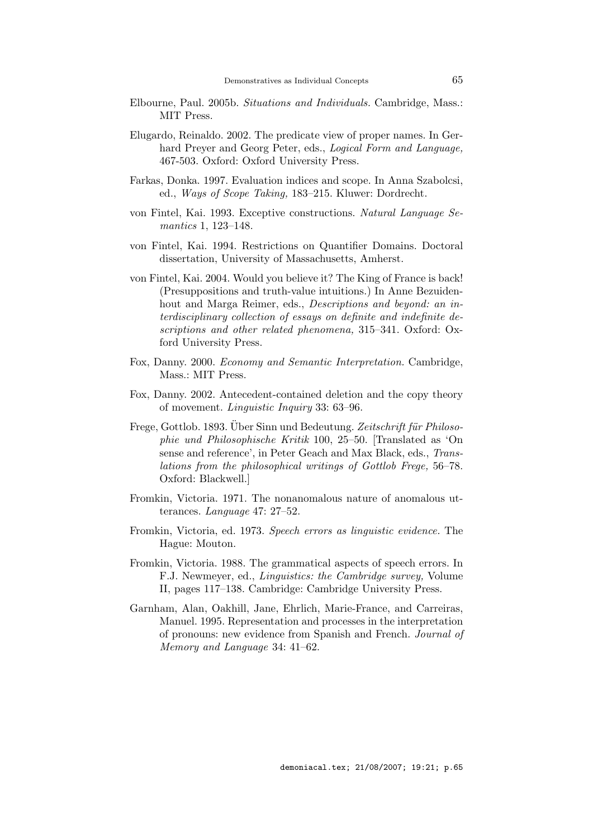- Elbourne, Paul. 2005b. Situations and Individuals. Cambridge, Mass.: MIT Press.
- Elugardo, Reinaldo. 2002. The predicate view of proper names. In Gerhard Preyer and Georg Peter, eds., *Logical Form and Language*, 467-503. Oxford: Oxford University Press.
- Farkas, Donka. 1997. Evaluation indices and scope. In Anna Szabolcsi, ed., Ways of Scope Taking, 183–215. Kluwer: Dordrecht.
- von Fintel, Kai. 1993. Exceptive constructions. Natural Language Semantics 1, 123–148.
- von Fintel, Kai. 1994. Restrictions on Quantifier Domains. Doctoral dissertation, University of Massachusetts, Amherst.
- von Fintel, Kai. 2004. Would you believe it? The King of France is back! (Presuppositions and truth-value intuitions.) In Anne Bezuidenhout and Marga Reimer, eds., *Descriptions and beyond: an in*terdisciplinary collection of essays on definite and indefinite descriptions and other related phenomena, 315–341. Oxford: Oxford University Press.
- Fox, Danny. 2000. Economy and Semantic Interpretation. Cambridge, Mass.: MIT Press.
- Fox, Danny. 2002. Antecedent-contained deletion and the copy theory of movement. Linguistic Inquiry 33: 63–96.
- Frege, Gottlob. 1893. Über Sinn und Bedeutung. Zeitschrift für Philosophie und Philosophische Kritik 100, 25–50. [Translated as 'On sense and reference', in Peter Geach and Max Black, eds., Translations from the philosophical writings of Gottlob Frege, 56–78. Oxford: Blackwell.]
- Fromkin, Victoria. 1971. The nonanomalous nature of anomalous utterances. Language 47: 27–52.
- Fromkin, Victoria, ed. 1973. Speech errors as linguistic evidence. The Hague: Mouton.
- Fromkin, Victoria. 1988. The grammatical aspects of speech errors. In F.J. Newmeyer, ed., Linguistics: the Cambridge survey, Volume II, pages 117–138. Cambridge: Cambridge University Press.
- Garnham, Alan, Oakhill, Jane, Ehrlich, Marie-France, and Carreiras, Manuel. 1995. Representation and processes in the interpretation of pronouns: new evidence from Spanish and French. Journal of Memory and Language 34: 41–62.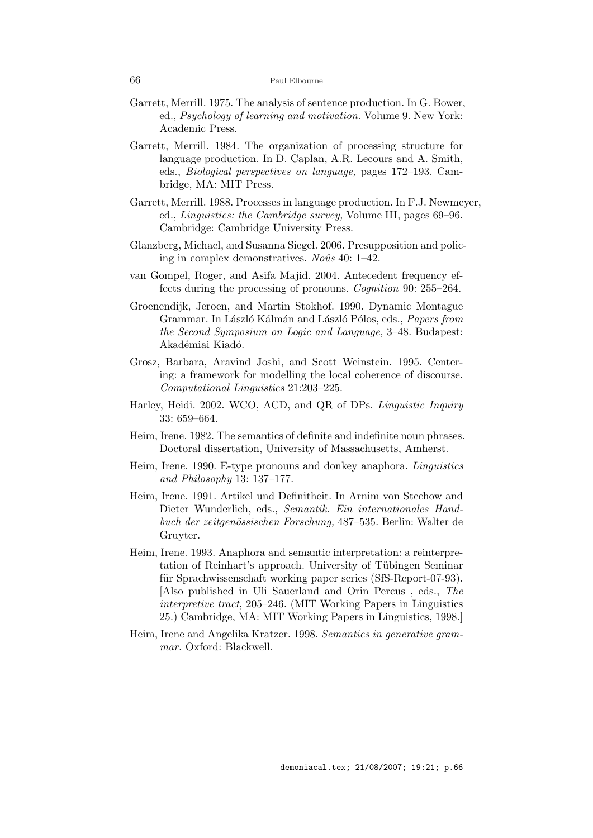- Garrett, Merrill. 1975. The analysis of sentence production. In G. Bower, ed., Psychology of learning and motivation. Volume 9. New York: Academic Press.
- Garrett, Merrill. 1984. The organization of processing structure for language production. In D. Caplan, A.R. Lecours and A. Smith, eds., Biological perspectives on language, pages 172–193. Cambridge, MA: MIT Press.
- Garrett, Merrill. 1988. Processes in language production. In F.J. Newmeyer, ed., Linguistics: the Cambridge survey, Volume III, pages 69–96. Cambridge: Cambridge University Press.
- Glanzberg, Michael, and Susanna Siegel. 2006. Presupposition and policing in complex demonstratives. No $\hat{u}$ s 40: 1–42.
- van Gompel, Roger, and Asifa Majid. 2004. Antecedent frequency effects during the processing of pronouns. Cognition 90: 255–264.
- Groenendijk, Jeroen, and Martin Stokhof. 1990. Dynamic Montague Grammar. In László Kálmán and László Pólos, eds., Papers from the Second Symposium on Logic and Language, 3–48. Budapest: Akadémiai Kiadó.
- Grosz, Barbara, Aravind Joshi, and Scott Weinstein. 1995. Centering: a framework for modelling the local coherence of discourse. Computational Linguistics 21:203–225.
- Harley, Heidi. 2002. WCO, ACD, and QR of DPs. Linguistic Inquiry 33: 659–664.
- Heim, Irene. 1982. The semantics of definite and indefinite noun phrases. Doctoral dissertation, University of Massachusetts, Amherst.
- Heim, Irene. 1990. E-type pronouns and donkey anaphora. Linguistics and Philosophy 13: 137–177.
- Heim, Irene. 1991. Artikel und Definitheit. In Arnim von Stechow and Dieter Wunderlich, eds., Semantik. Ein internationales Handbuch der zeitgenössischen Forschung, 487–535. Berlin: Walter de Gruyter.
- Heim, Irene. 1993. Anaphora and semantic interpretation: a reinterpretation of Reinhart's approach. University of Tübingen Seminar für Sprachwissenschaft working paper series (SfS-Report-07-93). [Also published in Uli Sauerland and Orin Percus , eds., The interpretive tract, 205–246. (MIT Working Papers in Linguistics 25.) Cambridge, MA: MIT Working Papers in Linguistics, 1998.]
- Heim, Irene and Angelika Kratzer. 1998. Semantics in generative grammar. Oxford: Blackwell.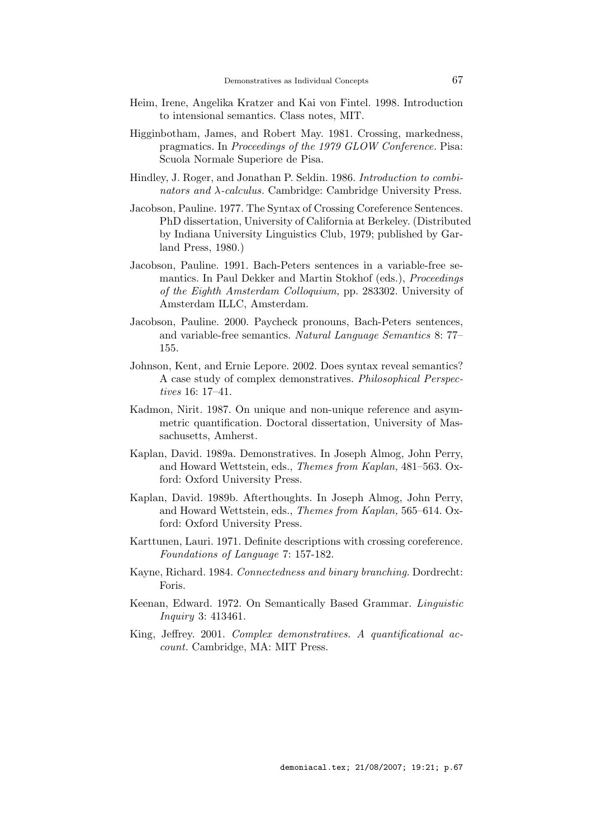- Heim, Irene, Angelika Kratzer and Kai von Fintel. 1998. Introduction to intensional semantics. Class notes, MIT.
- Higginbotham, James, and Robert May. 1981. Crossing, markedness, pragmatics. In Proceedings of the 1979 GLOW Conference. Pisa: Scuola Normale Superiore de Pisa.
- Hindley, J. Roger, and Jonathan P. Seldin. 1986. Introduction to combinators and λ-calculus. Cambridge: Cambridge University Press.
- Jacobson, Pauline. 1977. The Syntax of Crossing Coreference Sentences. PhD dissertation, University of California at Berkeley. (Distributed by Indiana University Linguistics Club, 1979; published by Garland Press, 1980.)
- Jacobson, Pauline. 1991. Bach-Peters sentences in a variable-free semantics. In Paul Dekker and Martin Stokhof (eds.), Proceedings of the Eighth Amsterdam Colloquium, pp. 283302. University of Amsterdam ILLC, Amsterdam.
- Jacobson, Pauline. 2000. Paycheck pronouns, Bach-Peters sentences, and variable-free semantics. Natural Language Semantics 8: 77– 155.
- Johnson, Kent, and Ernie Lepore. 2002. Does syntax reveal semantics? A case study of complex demonstratives. Philosophical Perspectives 16: 17–41.
- Kadmon, Nirit. 1987. On unique and non-unique reference and asymmetric quantification. Doctoral dissertation, University of Massachusetts, Amherst.
- Kaplan, David. 1989a. Demonstratives. In Joseph Almog, John Perry, and Howard Wettstein, eds., Themes from Kaplan, 481–563. Oxford: Oxford University Press.
- Kaplan, David. 1989b. Afterthoughts. In Joseph Almog, John Perry, and Howard Wettstein, eds., Themes from Kaplan, 565–614. Oxford: Oxford University Press.
- Karttunen, Lauri. 1971. Definite descriptions with crossing coreference. Foundations of Language 7: 157-182.
- Kayne, Richard. 1984. Connectedness and binary branching. Dordrecht: Foris.
- Keenan, Edward. 1972. On Semantically Based Grammar. Linguistic Inquiry 3: 413461.
- King, Jeffrey. 2001. Complex demonstratives. A quantificational account. Cambridge, MA: MIT Press.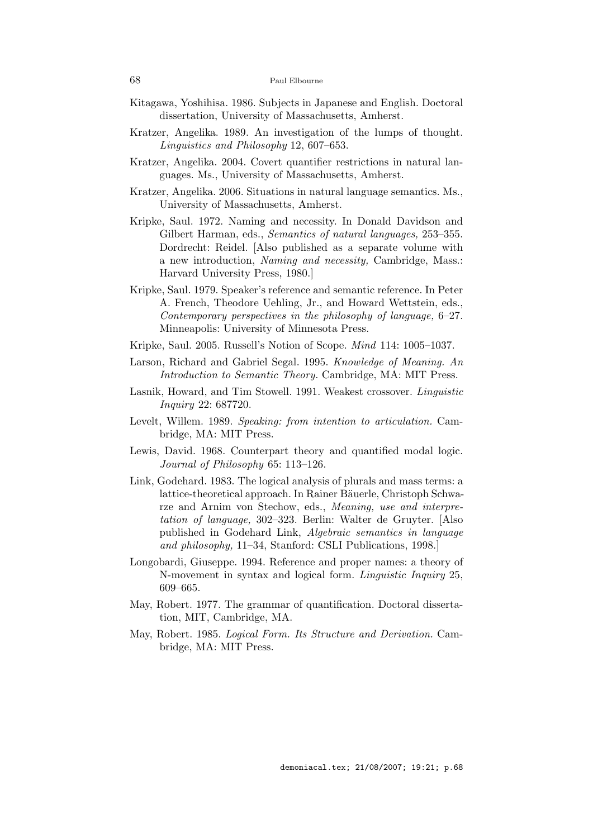- Kitagawa, Yoshihisa. 1986. Subjects in Japanese and English. Doctoral dissertation, University of Massachusetts, Amherst.
- Kratzer, Angelika. 1989. An investigation of the lumps of thought. Linguistics and Philosophy 12, 607–653.
- Kratzer, Angelika. 2004. Covert quantifier restrictions in natural languages. Ms., University of Massachusetts, Amherst.
- Kratzer, Angelika. 2006. Situations in natural language semantics. Ms., University of Massachusetts, Amherst.
- Kripke, Saul. 1972. Naming and necessity. In Donald Davidson and Gilbert Harman, eds., Semantics of natural languages, 253-355. Dordrecht: Reidel. [Also published as a separate volume with a new introduction, Naming and necessity, Cambridge, Mass.: Harvard University Press, 1980.]
- Kripke, Saul. 1979. Speaker's reference and semantic reference. In Peter A. French, Theodore Uehling, Jr., and Howard Wettstein, eds., Contemporary perspectives in the philosophy of language, 6–27. Minneapolis: University of Minnesota Press.
- Kripke, Saul. 2005. Russell's Notion of Scope. Mind 114: 1005–1037.
- Larson, Richard and Gabriel Segal. 1995. Knowledge of Meaning. An Introduction to Semantic Theory. Cambridge, MA: MIT Press.
- Lasnik, Howard, and Tim Stowell. 1991. Weakest crossover. Linguistic Inquiry 22: 687720.
- Levelt, Willem. 1989. Speaking: from intention to articulation. Cambridge, MA: MIT Press.
- Lewis, David. 1968. Counterpart theory and quantified modal logic. Journal of Philosophy 65: 113–126.
- Link, Godehard. 1983. The logical analysis of plurals and mass terms: a lattice-theoretical approach. In Rainer Bäuerle, Christoph Schwarze and Arnim von Stechow, eds., Meaning, use and interpretation of language, 302–323. Berlin: Walter de Gruyter. [Also published in Godehard Link, Algebraic semantics in language and philosophy, 11–34, Stanford: CSLI Publications, 1998.]
- Longobardi, Giuseppe. 1994. Reference and proper names: a theory of N-movement in syntax and logical form. Linguistic Inquiry 25, 609–665.
- May, Robert. 1977. The grammar of quantification. Doctoral dissertation, MIT, Cambridge, MA.
- May, Robert. 1985. Logical Form. Its Structure and Derivation. Cambridge, MA: MIT Press.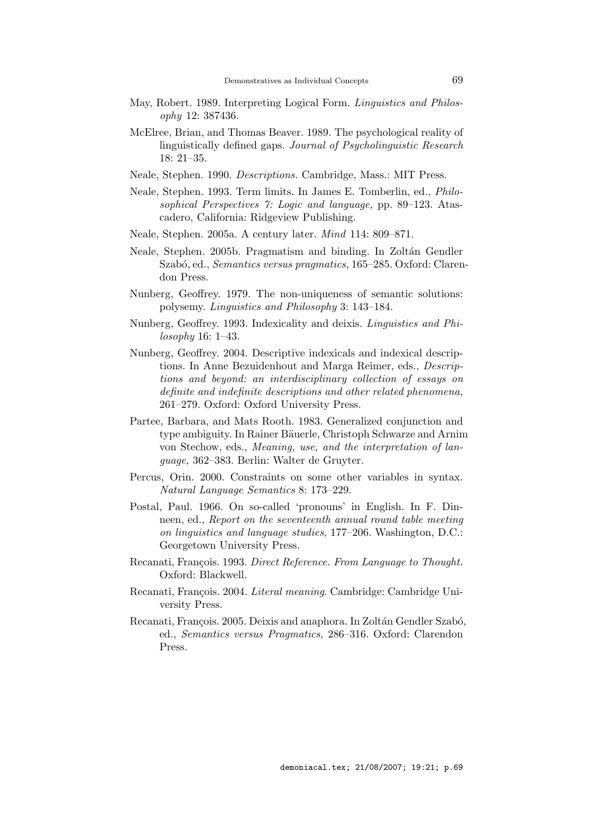- May, Robert. 1989. Interpreting Logical Form. Linguistics and Philosophy 12: 387436.
- McElree, Brian, and Thomas Beaver. 1989. The psychological reality of linguistically defined gaps. Journal of Psycholinguistic Research 18: 21–35.
- Neale, Stephen. 1990. Descriptions. Cambridge, Mass.: MIT Press.
- Neale, Stephen. 1993. Term limits. In James E. Tomberlin, ed., Philosophical Perspectives 7: Logic and language, pp. 89–123. Atascadero, California: Ridgeview Publishing.
- Neale, Stephen. 2005a. A century later. Mind 114: 809–871.
- Neale, Stephen. 2005b. Pragmatism and binding. In Zoltán Gendler Szabó, ed., *Semantics versus pragmatics*, 165–285. Oxford: Clarendon Press.
- Nunberg, Geoffrey. 1979. The non-uniqueness of semantic solutions: polysemy. Linguistics and Philosophy 3: 143–184.
- Nunberg, Geoffrey. 1993. Indexicality and deixis. Linguistics and Philosophy 16: 1–43.
- Nunberg, Geoffrey. 2004. Descriptive indexicals and indexical descriptions. In Anne Bezuidenhout and Marga Reimer, eds., Descriptions and beyond: an interdisciplinary collection of essays on definite and indefinite descriptions and other related phenomena, 261–279. Oxford: Oxford University Press.
- Partee, Barbara, and Mats Rooth. 1983. Generalized conjunction and type ambiguity. In Rainer Bäuerle, Christoph Schwarze and Arnim von Stechow, eds., Meaning, use, and the interpretation of language, 362–383. Berlin: Walter de Gruyter.
- Percus, Orin. 2000. Constraints on some other variables in syntax. Natural Language Semantics 8: 173–229.
- Postal, Paul. 1966. On so-called 'pronouns' in English. In F. Dinneen, ed., Report on the seventeenth annual round table meeting on linguistics and language studies, 177–206. Washington, D.C.: Georgetown University Press.
- Recanati, François. 1993. Direct Reference. From Language to Thought. Oxford: Blackwell.
- Recanati, François. 2004. Literal meaning. Cambridge: Cambridge University Press.
- Recanati, François. 2005. Deixis and anaphora. In Zoltán Gendler Szabó, ed., Semantics versus Pragmatics, 286–316. Oxford: Clarendon Press.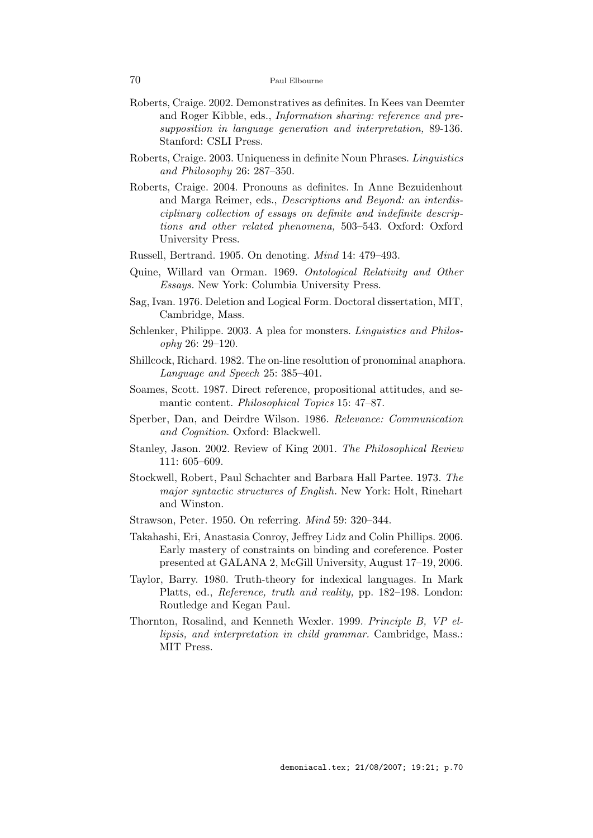- Roberts, Craige. 2002. Demonstratives as definites. In Kees van Deemter and Roger Kibble, eds., Information sharing: reference and presupposition in language generation and interpretation, 89-136. Stanford: CSLI Press.
- Roberts, Craige. 2003. Uniqueness in definite Noun Phrases. Linguistics and Philosophy 26: 287–350.
- Roberts, Craige. 2004. Pronouns as definites. In Anne Bezuidenhout and Marga Reimer, eds., Descriptions and Beyond: an interdisciplinary collection of essays on definite and indefinite descriptions and other related phenomena, 503–543. Oxford: Oxford University Press.
- Russell, Bertrand. 1905. On denoting. Mind 14: 479–493.
- Quine, Willard van Orman. 1969. Ontological Relativity and Other Essays. New York: Columbia University Press.
- Sag, Ivan. 1976. Deletion and Logical Form. Doctoral dissertation, MIT, Cambridge, Mass.
- Schlenker, Philippe. 2003. A plea for monsters. Linguistics and Philosophy 26: 29–120.
- Shillcock, Richard. 1982. The on-line resolution of pronominal anaphora. Language and Speech 25: 385–401.
- Soames, Scott. 1987. Direct reference, propositional attitudes, and semantic content. Philosophical Topics 15: 47–87.
- Sperber, Dan, and Deirdre Wilson. 1986. Relevance: Communication and Cognition. Oxford: Blackwell.
- Stanley, Jason. 2002. Review of King 2001. The Philosophical Review 111: 605–609.
- Stockwell, Robert, Paul Schachter and Barbara Hall Partee. 1973. The major syntactic structures of English. New York: Holt, Rinehart and Winston.
- Strawson, Peter. 1950. On referring. Mind 59: 320–344.
- Takahashi, Eri, Anastasia Conroy, Jeffrey Lidz and Colin Phillips. 2006. Early mastery of constraints on binding and coreference. Poster presented at GALANA 2, McGill University, August 17–19, 2006.
- Taylor, Barry. 1980. Truth-theory for indexical languages. In Mark Platts, ed., Reference, truth and reality, pp. 182–198. London: Routledge and Kegan Paul.
- Thornton, Rosalind, and Kenneth Wexler. 1999. Principle B, VP ellipsis, and interpretation in child grammar. Cambridge, Mass.: MIT Press.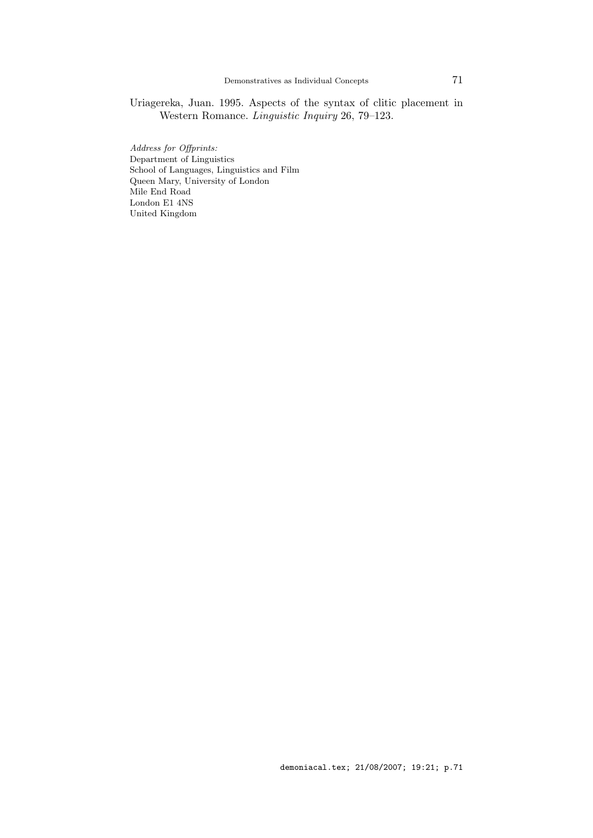Uriagereka, Juan. 1995. Aspects of the syntax of clitic placement in Western Romance. Linguistic Inquiry 26, 79–123.

Address for Offprints: Department of Linguistics School of Languages, Linguistics and Film Queen Mary, University of London Mile End Road London E1 4NS United Kingdom